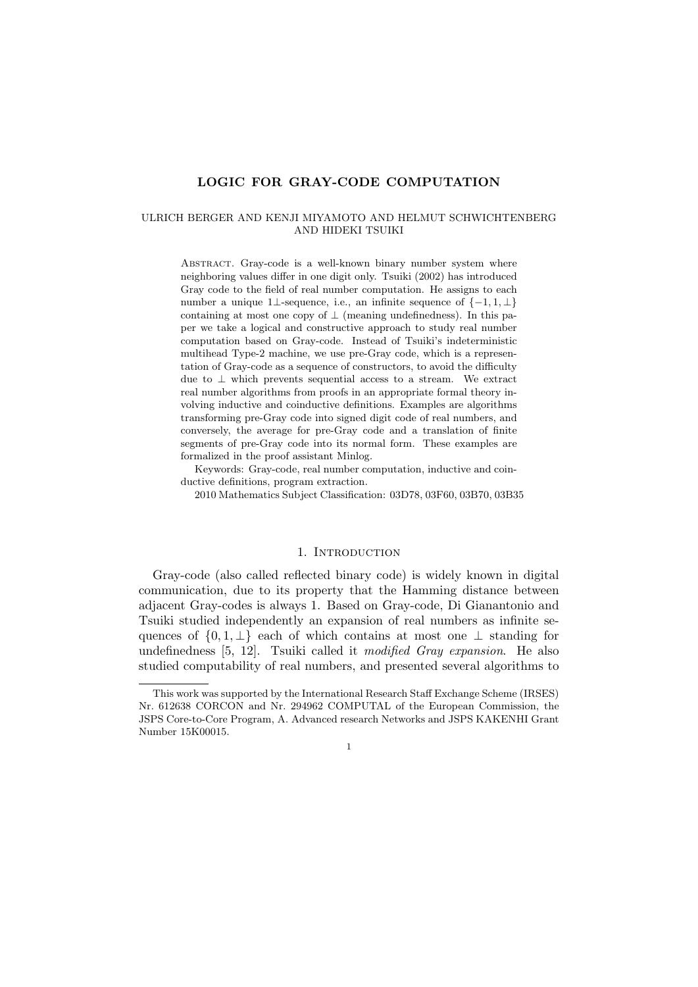# LOGIC FOR GRAY-CODE COMPUTATION

#### ULRICH BERGER AND KENJI MIYAMOTO AND HELMUT SCHWICHTENBERG AND HIDEKI TSUIKI

ABSTRACT. Gray-code is a well-known binary number system where neighboring values differ in one digit only. Tsuiki (2002) has introduced Gray code to the field of real number computation. He assigns to each number a unique 1⊥-sequence, i.e., an infinite sequence of  $\{-1, 1, \perp\}$ containing at most one copy of  $\perp$  (meaning undefinedness). In this paper we take a logical and constructive approach to study real number computation based on Gray-code. Instead of Tsuiki's indeterministic multihead Type-2 machine, we use pre-Gray code, which is a representation of Gray-code as a sequence of constructors, to avoid the difficulty due to ⊥ which prevents sequential access to a stream. We extract real number algorithms from proofs in an appropriate formal theory involving inductive and coinductive definitions. Examples are algorithms transforming pre-Gray code into signed digit code of real numbers, and conversely, the average for pre-Gray code and a translation of finite segments of pre-Gray code into its normal form. These examples are formalized in the proof assistant Minlog.

Keywords: Gray-code, real number computation, inductive and coinductive definitions, program extraction.

2010 Mathematics Subject Classification: 03D78, 03F60, 03B70, 03B35

### 1. INTRODUCTION

Gray-code (also called reflected binary code) is widely known in digital communication, due to its property that the Hamming distance between adjacent Gray-codes is always 1. Based on Gray-code, Di Gianantonio and Tsuiki studied independently an expansion of real numbers as infinite sequences of  $\{0, 1, \perp\}$  each of which contains at most one  $\perp$  standing for undefinedness [5, 12]. Tsuiki called it modified Gray expansion. He also studied computability of real numbers, and presented several algorithms to

This work was supported by the International Research Staff Exchange Scheme (IRSES) Nr. 612638 CORCON and Nr. 294962 COMPUTAL of the European Commission, the JSPS Core-to-Core Program, A. Advanced research Networks and JSPS KAKENHI Grant Number 15K00015.

<sup>1</sup>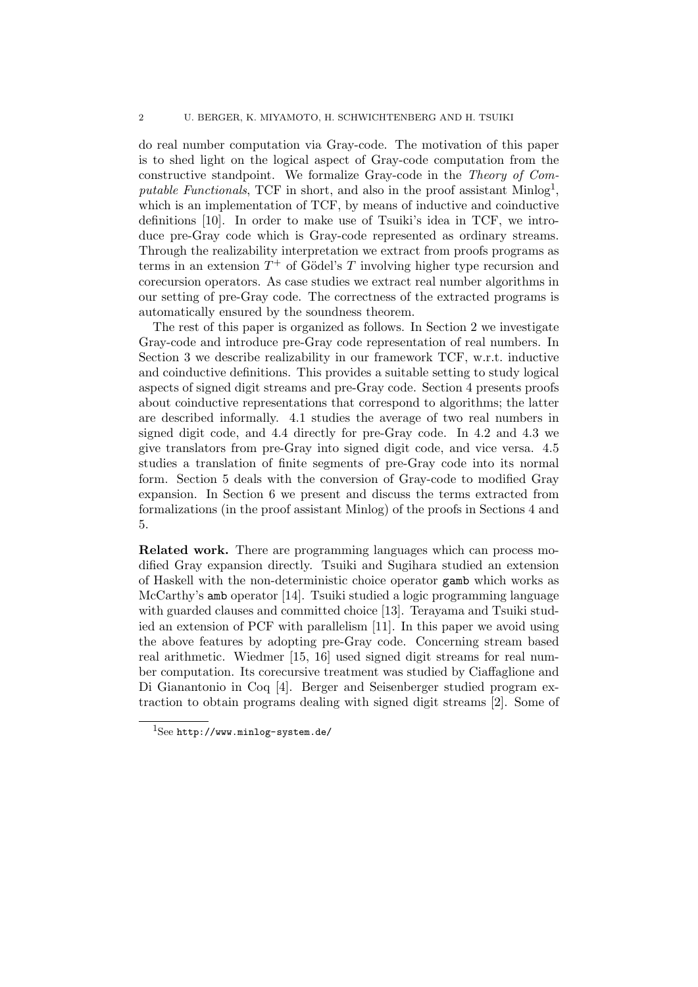#### 2 U. BERGER, K. MIYAMOTO, H. SCHWICHTENBERG AND H. TSUIKI

do real number computation via Gray-code. The motivation of this paper is to shed light on the logical aspect of Gray-code computation from the constructive standpoint. We formalize Gray-code in the Theory of Computable Functionals, TCF in short, and also in the proof assistant  $\text{Minlog}^1$ , which is an implementation of TCF, by means of inductive and coinductive definitions [10]. In order to make use of Tsuiki's idea in TCF, we introduce pre-Gray code which is Gray-code represented as ordinary streams. Through the realizability interpretation we extract from proofs programs as terms in an extension  $T^+$  of Gödel's T involving higher type recursion and corecursion operators. As case studies we extract real number algorithms in our setting of pre-Gray code. The correctness of the extracted programs is automatically ensured by the soundness theorem.

The rest of this paper is organized as follows. In Section 2 we investigate Gray-code and introduce pre-Gray code representation of real numbers. In Section 3 we describe realizability in our framework TCF, w.r.t. inductive and coinductive definitions. This provides a suitable setting to study logical aspects of signed digit streams and pre-Gray code. Section 4 presents proofs about coinductive representations that correspond to algorithms; the latter are described informally. 4.1 studies the average of two real numbers in signed digit code, and 4.4 directly for pre-Gray code. In 4.2 and 4.3 we give translators from pre-Gray into signed digit code, and vice versa. 4.5 studies a translation of finite segments of pre-Gray code into its normal form. Section 5 deals with the conversion of Gray-code to modified Gray expansion. In Section 6 we present and discuss the terms extracted from formalizations (in the proof assistant Minlog) of the proofs in Sections 4 and 5.

Related work. There are programming languages which can process modified Gray expansion directly. Tsuiki and Sugihara studied an extension of Haskell with the non-deterministic choice operator gamb which works as McCarthy's amb operator [14]. Tsuiki studied a logic programming language with guarded clauses and committed choice [13]. Terayama and Tsuiki studied an extension of PCF with parallelism [11]. In this paper we avoid using the above features by adopting pre-Gray code. Concerning stream based real arithmetic. Wiedmer [15, 16] used signed digit streams for real number computation. Its corecursive treatment was studied by Ciaffaglione and Di Gianantonio in Coq [4]. Berger and Seisenberger studied program extraction to obtain programs dealing with signed digit streams [2]. Some of

 $1$ See http://www.minlog-system.de/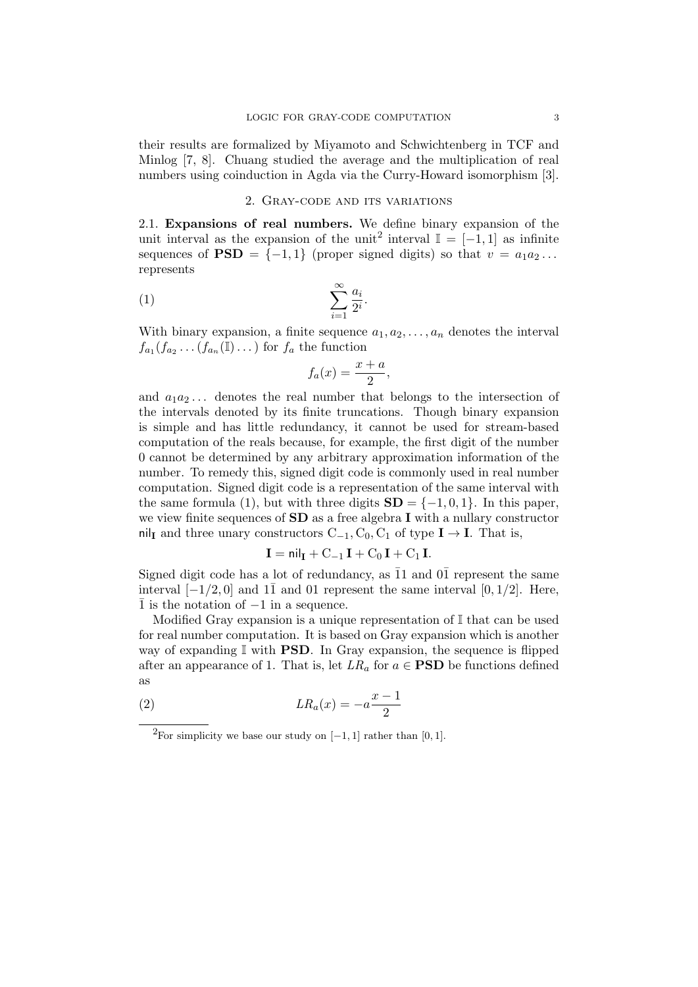their results are formalized by Miyamoto and Schwichtenberg in TCF and Minlog [7, 8]. Chuang studied the average and the multiplication of real numbers using coinduction in Agda via the Curry-Howard isomorphism [3].

# 2. Gray-code and its variations

2.1. Expansions of real numbers. We define binary expansion of the unit interval as the expansion of the unit<sup>2</sup> interval  $\mathbb{I} = [-1,1]$  as infinite sequences of  $\text{PSD} = \{-1, 1\}$  (proper signed digits) so that  $v = a_1 a_2 \dots$ represents

$$
(1) \qquad \qquad \sum_{i=1}^{\infty} \frac{a_i}{2^i}.
$$

With binary expansion, a finite sequence  $a_1, a_2, \ldots, a_n$  denotes the interval  $f_{a_1}(f_{a_2}\ldots\overline{(f_{a_n}(\mathbb{I})\ldots)})$  for  $f_a$  the function

$$
f_a(x) = \frac{x+a}{2},
$$

and  $a_1a_2...$  denotes the real number that belongs to the intersection of the intervals denoted by its finite truncations. Though binary expansion is simple and has little redundancy, it cannot be used for stream-based computation of the reals because, for example, the first digit of the number 0 cannot be determined by any arbitrary approximation information of the number. To remedy this, signed digit code is commonly used in real number computation. Signed digit code is a representation of the same interval with the same formula (1), but with three digits  $SD = \{-1, 0, 1\}$ . In this paper, we view finite sequences of **SD** as a free algebra **I** with a nullary constructor nil<sub>I</sub> and three unary constructors  $C_{-1}$ ,  $C_0$ ,  $C_1$  of type  $I \rightarrow I$ . That is,

$$
\mathbf{I} = \mathsf{nil}_{\mathbf{I}} + \mathbf{C}_{-1}\,\mathbf{I} + \mathbf{C}_0\,\mathbf{I} + \mathbf{C}_1\,\mathbf{I}.
$$

Signed digit code has a lot of redundancy, as  $\overline{1}1$  and  $0\overline{1}$  represent the same interval  $[-1/2, 0]$  and  $1\overline{1}$  and  $01$  represent the same interval  $[0, 1/2]$ . Here, ¯1 is the notation of −1 in a sequence.

Modified Gray expansion is a unique representation of  $\mathbb I$  that can be used for real number computation. It is based on Gray expansion which is another way of expanding  $\mathbb I$  with **PSD**. In Gray expansion, the sequence is flipped after an appearance of 1. That is, let  $LR_a$  for  $a \in \textbf{PSD}$  be functions defined as

$$
(2) \t\t\t LR_a(x) = -a\frac{x-1}{2}
$$

<sup>&</sup>lt;sup>2</sup>For simplicity we base our study on  $[-1, 1]$  rather than [0, 1].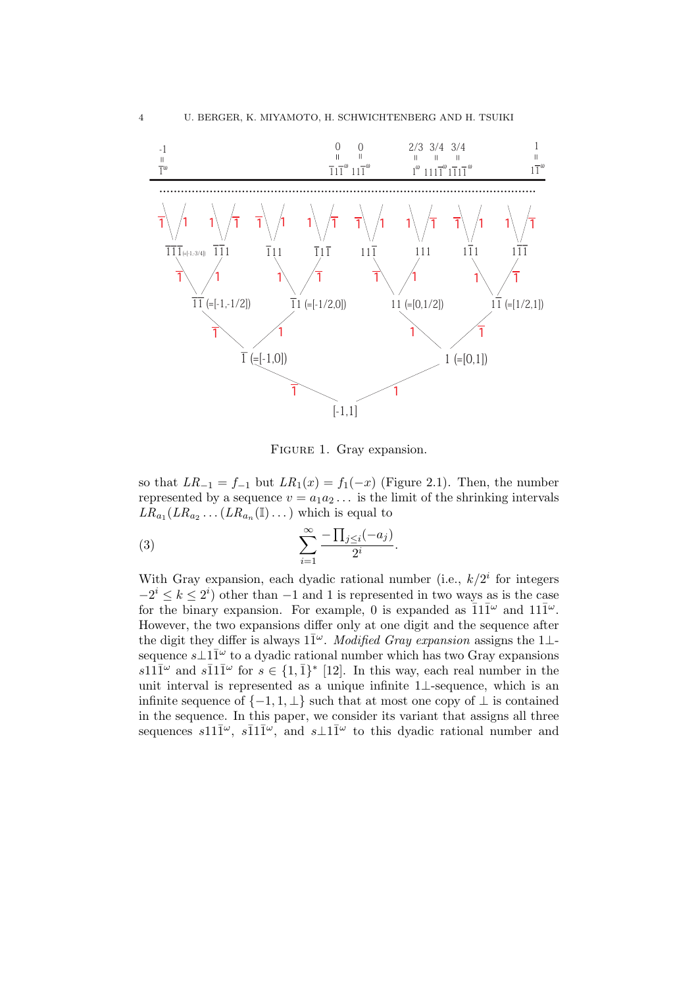

FIGURE 1. Gray expansion.

so that  $LR_{-1} = f_{-1}$  but  $LR_1(x) = f_1(-x)$  (Figure 2.1). Then, the number represented by a sequence  $v = a_1 a_2 \dots$  is the limit of the shrinking intervals  $LR_{a_1}(LR_{a_2}\ldots (LR_{a_n}(\mathbb{I})\ldots)$  which is equal to

$$
(3) \qquad \qquad \sum_{i=1}^{\infty} \frac{-\prod_{j\leq i}(-a_j)}{2^i}.
$$

With Gray expansion, each dyadic rational number (i.e.,  $k/2<sup>i</sup>$  for integers  $-2^{i} \leq k \leq 2^{i}$  other than  $-1$  and 1 is represented in two ways as is the case for the binary expansion. For example, 0 is expanded as  $\overline{1}1\overline{1}^{\omega}$  and  $11\overline{1}^{\omega}$ . However, the two expansions differ only at one digit and the sequence after the digit they differ is always  $1\bar{1}^{\omega}$ . Modified Gray expansion assigns the 1⊥sequence  $s\bot 1\bar{1}^\omega$  to a dyadic rational number which has two Gray expansions  $s11\overline{1}^{\omega}$  and  $s\overline{1}1\overline{1}^{\omega}$  for  $s \in \{1,\overline{1}\}^*$  [12]. In this way, each real number in the unit interval is represented as a unique infinite 1⊥-sequence, which is an infinite sequence of  $\{-1, 1, \perp\}$  such that at most one copy of  $\perp$  is contained in the sequence. In this paper, we consider its variant that assigns all three sequences  $s11\overline{1}^{\omega}$ ,  $s\overline{1}1\overline{1}^{\omega}$ , and  $s\bot 1\overline{1}^{\omega}$  to this dyadic rational number and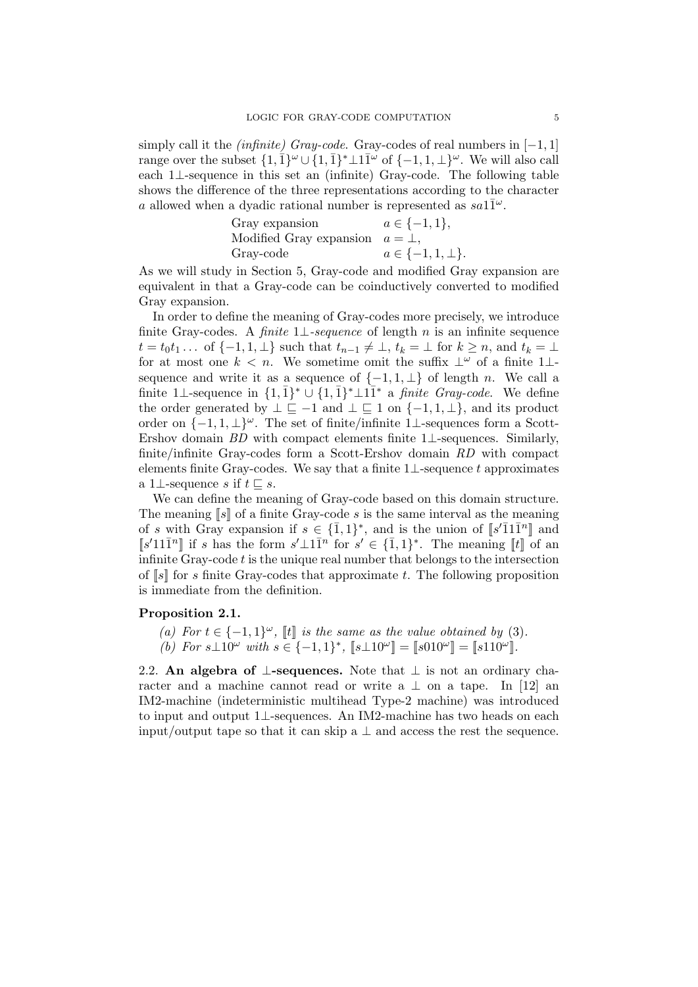simply call it the *(infinite)* Gray-code. Gray-codes of real numbers in  $[-1, 1]$ range over the subset  $\{1, 1, 1\}^{\omega} \cup \{1, 1\}^* \perp 11^{\omega}$  of  $\{-1, 1, \perp\}^{\omega}$ . We will also call each 1⊥-sequence in this set an (infinite) Gray-code. The following table shows the difference of the three representations according to the character a allowed when a dyadic rational number is represented as  $sa1\overline{1}^{\omega}$ .

| Gray expansion                        | $a \in \{-1, 1\},\$       |
|---------------------------------------|---------------------------|
| Modified Gray expansion $a = \perp$ , |                           |
| Gray-code                             | $a \in \{-1, 1, \perp\}.$ |

As we will study in Section 5, Gray-code and modified Gray expansion are equivalent in that a Gray-code can be coinductively converted to modified Gray expansion.

In order to define the meaning of Gray-codes more precisely, we introduce finite Gray-codes. A finite  $1\perp$ -sequence of length n is an infinite sequence  $t = t_0 t_1 \ldots$  of  $\{-1, 1, \perp\}$  such that  $t_{n-1} \neq \perp, t_k = \perp$  for  $k \geq n$ , and  $t_k = \perp$ for at most one  $k < n$ . We sometime omit the suffix  $\perp^{\omega}$  of a finite 1 $\perp$ sequence and write it as a sequence of  $\{-1, 1, \perp\}$  of length n. We call a finite 1⊥-sequence in  $\{1,\overline{1}\}^* \cup \{1,\overline{1}\}^* \perp 1\overline{1}^*$  a *finite Gray-code*. We define the order generated by  $\bot \sqsubseteq -1$  and  $\bot \sqsubseteq 1$  on  $\{-1, 1, \bot\}$ , and its product order on  $\{-1, 1, \perp\}^\omega$ . The set of finite/infinite 1⊥-sequences form a Scott-Ershov domain BD with compact elements finite 1⊥-sequences. Similarly, finite/infinite Gray-codes form a Scott-Ershov domain RD with compact elements finite Gray-codes. We say that a finite  $1\bot$ -sequence t approximates a 1⊥-sequence s if  $t \subset s$ .

We can define the meaning of Gray-code based on this domain structure. The meaning  $[s]$  of a finite Gray-code s is the same interval as the meaning of s with Gray expansion if  $s \in {\{\overline{1},1\}}^*$ , and is the union of  $\llbracket s'\overline{1}1\overline{1}^n\rrbracket$  and  $[s'11\overline{1}^n]$  if s has the form  $s'\perp 1\overline{1}^n$  for  $s' \in {\overline{1},1}^*$ . The meaning  $\llbracket t \rrbracket$  of an infinite Gray-code  $t$  is the unique real number that belongs to the intersection of  $\llbracket s \rrbracket$  for s finite Gray-codes that approximate t. The following proposition is immediate from the definition.

### Proposition 2.1.

- (a) For  $t \in \{-1,1\}^\omega$ ,  $\llbracket t \rrbracket$  is the same as the value obtained by (3).
- (b) For  $s\perp 10^{\omega}$  with  $s \in \{-1,1\}^*$ ,  $\llbracket s\perp 10^{\omega} \rrbracket = \llbracket s010^{\omega} \rrbracket = \llbracket s110^{\omega} \rrbracket$ .

2.2. An algebra of  $\bot$ -sequences. Note that  $\bot$  is not an ordinary character and a machine cannot read or write a  $\perp$  on a tape. In [12] an IM2-machine (indeterministic multihead Type-2 machine) was introduced to input and output 1⊥-sequences. An IM2-machine has two heads on each input/output tape so that it can skip a  $\perp$  and access the rest the sequence.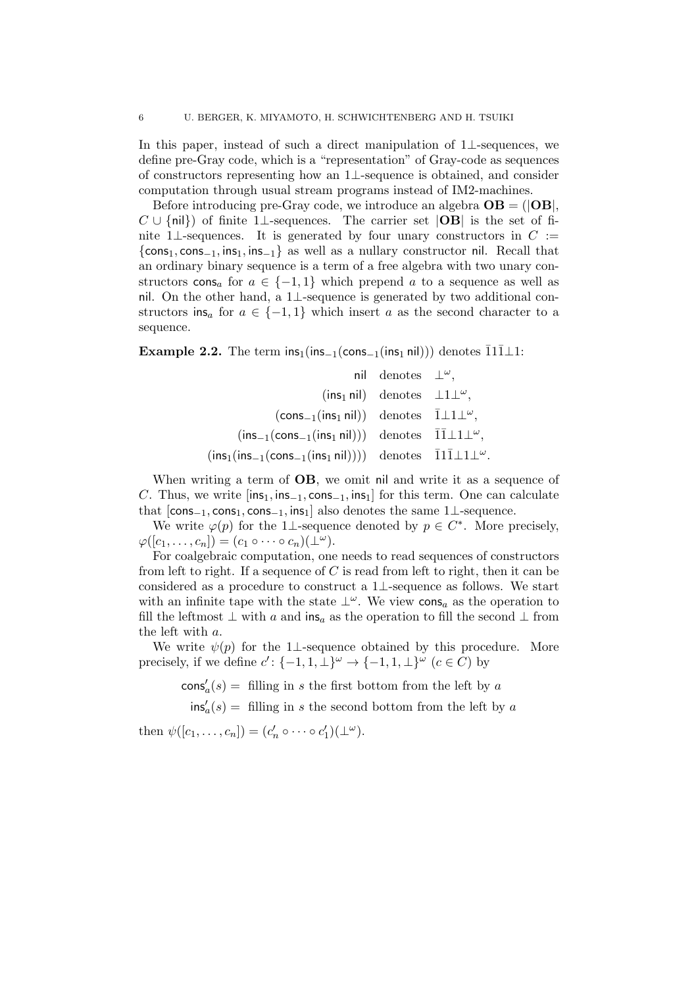In this paper, instead of such a direct manipulation of 1⊥-sequences, we define pre-Gray code, which is a "representation" of Gray-code as sequences of constructors representing how an 1⊥-sequence is obtained, and consider computation through usual stream programs instead of IM2-machines.

Before introducing pre-Gray code, we introduce an algebra  $OB = (|OB|,$  $C \cup \{\text{nil}\}\$  of finite 1⊥-sequences. The carrier set  $|OB|$  is the set of finite 1⊥-sequences. It is generated by four unary constructors in  $C :=$  $\{\cos_1, \cos_{-1}, \sin_1, \sin_1\}$  as well as a nullary constructor nil. Recall that an ordinary binary sequence is a term of a free algebra with two unary constructors cons<sub>a</sub> for  $a \in \{-1,1\}$  which prepend a to a sequence as well as nil. On the other hand, a 1⊥-sequence is generated by two additional constructors ins<sub>a</sub> for  $a \in \{-1,1\}$  which insert a as the second character to a sequence.

**Example 2.2.** The term  $ins_1-ins_{-1}(cons_{-1}(ins_1 nil)))$  denotes  $\overline{1}1\overline{1}\perp 1$ :

|                                                                                                                                     | nil denotes $\perp^{\omega}$ ,                                |  |
|-------------------------------------------------------------------------------------------------------------------------------------|---------------------------------------------------------------|--|
|                                                                                                                                     | $(\text{ins}_1 \text{ nil})$ denotes $\perp 1 \perp \omega$ , |  |
| $(\text{cons}_{-1}(\text{ins}_1 \text{ nil}))$ denotes $1 \perp 1 \perp \omega$ ,                                                   |                                                               |  |
| $(\textsf{ins}_{-1}(\textsf{cons}_{-1}(\textsf{ins}_1 \textsf{nil})))$ denotes $\overline{1}\overline{1}\bot 1\bot \omega$ ,        |                                                               |  |
| $(\textsf{ins}_1(\textsf{ins}_{-1}(\textsf{cons}_{-1}(\textsf{ins}_1 \textsf{nil}))))$ denotes $\bar{1}1\bar{1}\bot 1\bot \omega$ . |                                                               |  |

When writing a term of **OB**, we omit nil and write it as a sequence of C. Thus, we write  $[\text{ins}_1, \text{ins}_{-1}, \text{cons}_{-1}, \text{ins}_1]$  for this term. One can calculate that  $[cons_{-1}, cons_1, cons_{-1}, ins_1]$  also denotes the same 1⊥-sequence.

We write  $\varphi(p)$  for the 1⊥-sequence denoted by  $p \in C^*$ . More precisely,  $\varphi([c_1,\ldots,c_n])=(c_1\circ\cdots\circ c_n)(\perp^\omega).$ 

For coalgebraic computation, one needs to read sequences of constructors from left to right. If a sequence of  $C$  is read from left to right, then it can be considered as a procedure to construct a 1⊥-sequence as follows. We start with an infinite tape with the state  $\perp^{\omega}$ . We view cons<sub>a</sub> as the operation to fill the leftmost  $\perp$  with a and ins<sub>a</sub> as the operation to fill the second  $\perp$  from the left with a.

We write  $\psi(p)$  for the 1⊥-sequence obtained by this procedure. More precisely, if we define  $c'$ :  $\{-1, 1, \perp\}^\omega \to \{-1, 1, \perp\}^\omega$   $(c \in C)$  by

 $\cos\frac{1}{a}(s) =$  filling in s the first bottom from the left by a

 $\text{ins}'_a(s) =$  filling in s the second bottom from the left by a

then  $\psi([c_1,\ldots,c_n])=(c'_n\circ\cdots\circ c'_1)(\perp^{\omega}).$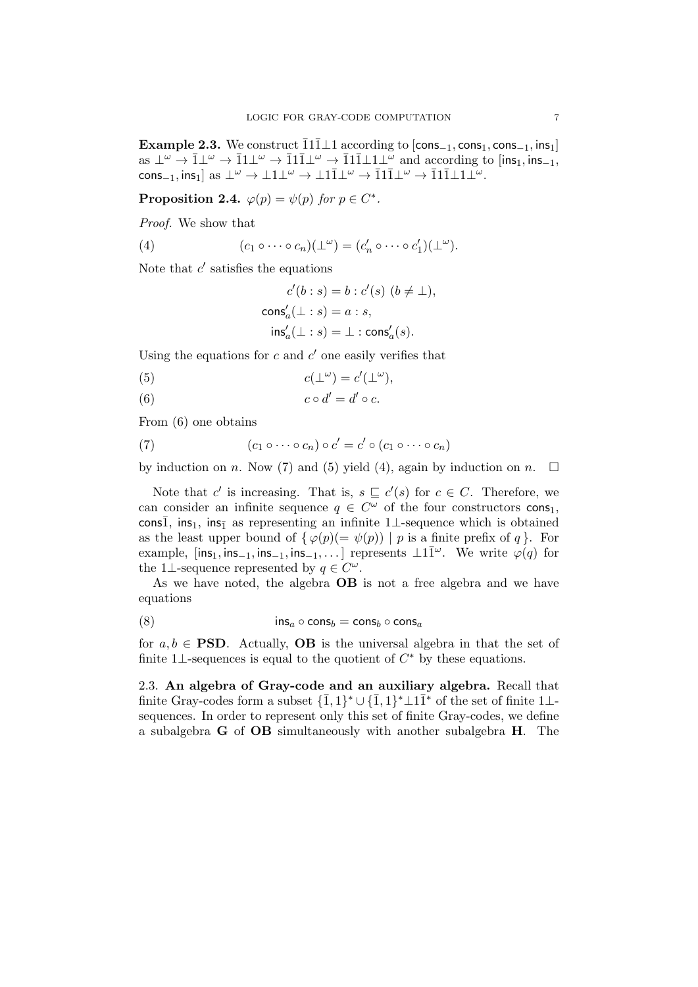Example 2.3. We construct  $\overline{1}1\overline{1}\perp 1$  according to  $[cons_{-1}, cons_1, cons_{-1}, ins_1]$ as  $\perp^{\omega} \to \bar{1}\perp^{\omega} \to \bar{1}1\perp^{\omega} \to \bar{1}1\bar{1}\perp^{\omega} \to \bar{1}1\bar{1}\perp1\perp^{\omega}$  and according to  $\left[$ ins<sub>1</sub>, ins<sub>-1</sub>,  $\text{cons}_{-1}, \text{ins}_1]$  as  $\perp^{\omega} \to \perp 1 \perp^{\omega} \to \perp 1 \overline{1} \perp^{\omega} \to \overline{1} 1 \overline{1} \perp^{\omega} \to \overline{1} 1 \overline{1} \perp 1 \perp^{\omega}$ .

Proposition 2.4.  $\varphi(p) = \psi(p)$  for  $p \in C^*$ .

Proof. We show that

(4) 
$$
(c_1 \circ \cdots \circ c_n)(\perp^{\omega}) = (c'_n \circ \cdots \circ c'_1)(\perp^{\omega}).
$$

Note that  $c'$  satisfies the equations

$$
\begin{aligned} c'(b:s)&=b:c'(s)\ (b\neq\bot),\\ \text{cons}'_a(\bot:s)&=a:s,\\ \text{ins}'_a(\bot:s)&=\bot:\text{cons}'_a(s). \end{aligned}
$$

Using the equations for  $c$  and  $c'$  one easily verifies that

(5) 
$$
c(\perp^{\omega}) = c'(\perp^{\omega}),
$$

(6)  $c \circ d' = d' \circ c$ .

From (6) one obtains

(7) 
$$
(c_1 \circ \cdots \circ c_n) \circ c' = c' \circ (c_1 \circ \cdots \circ c_n)
$$

by induction on n. Now (7) and (5) yield (4), again by induction on n.  $\square$ 

Note that c' is increasing. That is,  $s \sqsubseteq c'(s)$  for  $c \in C$ . Therefore, we can consider an infinite sequence  $q \in C^{\omega}$  of the four constructors cons<sub>1</sub>, cons $\overline{1}$ , ins<sub>1</sub>, ins<sub>1</sub> as representing an infinite 1⊥-sequence which is obtained as the least upper bound of  $\{\varphi(p)(=\psi(p)) \mid p$  is a finite prefix of q }. For example,  $[\textsf{ins}_1, \textsf{ins}_{-1}, \textsf{ins}_{-1}, \textsf{ins}_{-1}, \dots]$  represents  $\perp 1\overline{1}^\omega$ . We write  $\varphi(q)$  for the 1⊥-sequence represented by  $q \in C^{\omega}$ .

As we have noted, the algebra OB is not a free algebra and we have equations

(8) ins<sup>a</sup> ◦ cons<sup>b</sup> = cons<sup>b</sup> ◦ cons<sup>a</sup>

for  $a, b \in \text{PSD}$ . Actually, **OB** is the universal algebra in that the set of finite 1⊥-sequences is equal to the quotient of  $C^*$  by these equations.

2.3. An algebra of Gray-code and an auxiliary algebra. Recall that finite Gray-codes form a subset  $\{\overline{1},1\}^* \cup \{\overline{1},1\}^* \perp 1\overline{1}^*$  of the set of finite 1 $\perp$ sequences. In order to represent only this set of finite Gray-codes, we define a subalgebra G of OB simultaneously with another subalgebra H. The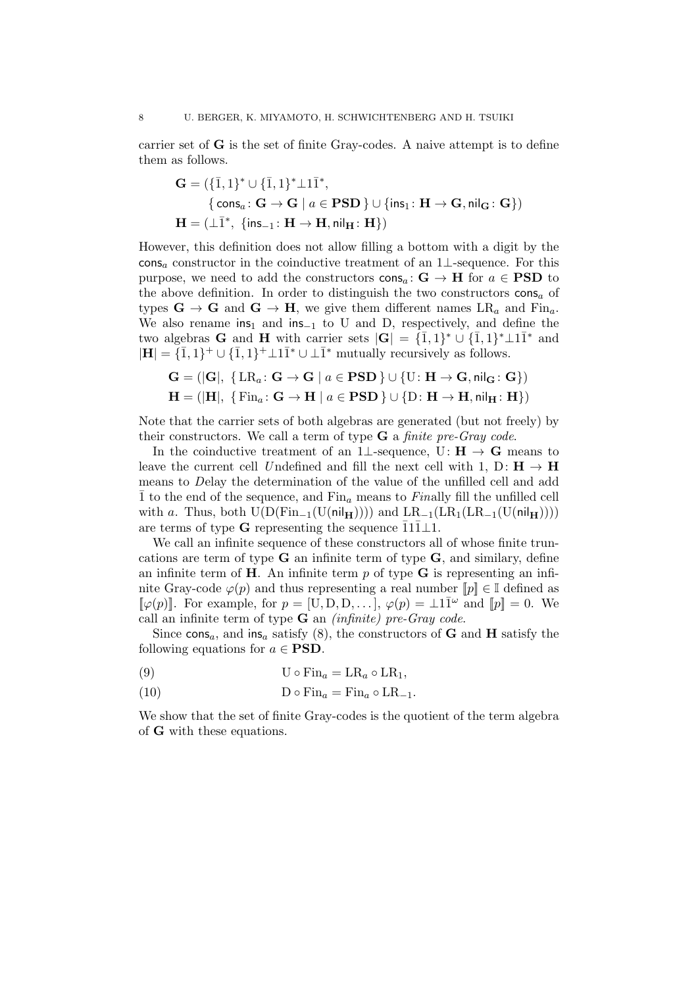carrier set of G is the set of finite Gray-codes. A naive attempt is to define them as follows.

$$
\begin{aligned} \mathbf{G} &= (\{\bar{1},1\}^* \cup \{\bar{1},1\}^* \bot \mathbf{1} \bar{1}^*, \\ &\{\mathbf{cons}_a \colon \mathbf{G} \to \mathbf{G} \mid a \in \mathbf{PSD} \} \cup \{\mathsf{ins}_1 \colon \mathbf{H} \to \mathbf{G}, \mathsf{nil}_\mathbf{G} \colon \mathbf{G}\}) \\ \mathbf{H} &= (\bot \bar{1}^*, \ \{\mathsf{ins}_{-1} \colon \mathbf{H} \to \mathbf{H}, \mathsf{nil}_\mathbf{H} \colon \mathbf{H}\}) \end{aligned}
$$

However, this definition does not allow filling a bottom with a digit by the cons<sub>a</sub> constructor in the coinductive treatment of an  $1\perp$ -sequence. For this purpose, we need to add the constructors  $\cos_a: \mathbf{G} \to \mathbf{H}$  for  $a \in \mathbf{PSD}$  to the above definition. In order to distinguish the two constructors  $\cos a$  of types  $\mathbf{G} \to \mathbf{G}$  and  $\mathbf{G} \to \mathbf{H}$ , we give them different names  $LR_a$  and  $Fin_a$ . We also rename ins<sub>1</sub> and ins<sub>-1</sub> to U and D, respectively, and define the two algebras **G** and **H** with carrier sets  $|\mathbf{G}| = {\overline{1}, 1}^* \cup {\overline{1}, 1}^* \perp 1\overline{1}^*$  and  $|\mathbf{H}| = \{ \overline{1}, 1 \}^+ \cup \{ \overline{1}, 1 \}^+ \perp 1 \overline{1}^* \cup \perp \overline{1}^*$  mutually recursively as follows.

$$
\mathbf{G} = (|\mathbf{G}|, \{ \mathrm{LR}_a \colon \mathbf{G} \to \mathbf{G} \mid a \in \mathbf{PSD} \} \cup \{ \mathrm{U} \colon \mathbf{H} \to \mathbf{G}, \mathsf{nil}_{\mathbf{G}} \colon \mathbf{G} \})
$$

$$
\mathbf{H} = (|\mathbf{H}|, \{ \mathrm{Fin}_a \colon \mathbf{G} \to \mathbf{H} \mid a \in \mathbf{PSD} \} \cup \{ \mathrm{D} \colon \mathbf{H} \to \mathbf{H}, \mathsf{nil}_{\mathbf{H}} \colon \mathbf{H} \})
$$

Note that the carrier sets of both algebras are generated (but not freely) by their constructors. We call a term of type  $\bf{G}$  a *finite pre-Gray code*.

In the coinductive treatment of an 1⊥-sequence, U:  $H \rightarrow G$  means to leave the current cell Undefined and fill the next cell with 1, D:  $\mathbf{H} \to \mathbf{H}$ means to Delay the determination of the value of the unfilled cell and add  $\bar{1}$  to the end of the sequence, and  $\text{Fin}_a$  means to Finally fill the unfilled cell with a. Thus, both  $U(D(Fin_{-1}(U(nil_{\mathbf{H}}))))$  and  $LR_{-1}(LR_{1}(LR_{-1}(U(nil_{\mathbf{H}}))))$ are terms of type G representing the sequence  $\overline{1}1\overline{1}\overline{1}1$ .

We call an infinite sequence of these constructors all of whose finite truncations are term of type  $G$  an infinite term of type  $G$ , and similary, define an infinite term of  $H$ . An infinite term  $p$  of type  $G$  is representing an infinite Gray-code  $\varphi(p)$  and thus representing a real number  $\llbracket p \rrbracket \in \mathbb{I}$  defined as  $[\![\varphi(p)]\!]$ . For example, for  $p = [U, D, D, \ldots], \varphi(p) = \perp 1 \overline{1}^{\omega}$  and  $[\![p]\!] = 0$ . We call an infinite term of type  $\bf{G}$  an *(infinite) pre-Gray code.* 

Since cons<sub>a</sub>, and ins<sub>a</sub> satisfy (8), the constructors of **G** and **H** satisfy the following equations for  $a \in \textbf{PSD}$ .

(9) 
$$
U \circ Fin_a = LR_a \circ LR_1,
$$

(10) 
$$
D \circ Fin_a = Fin_a \circ LR_{-1}.
$$

We show that the set of finite Gray-codes is the quotient of the term algebra of G with these equations.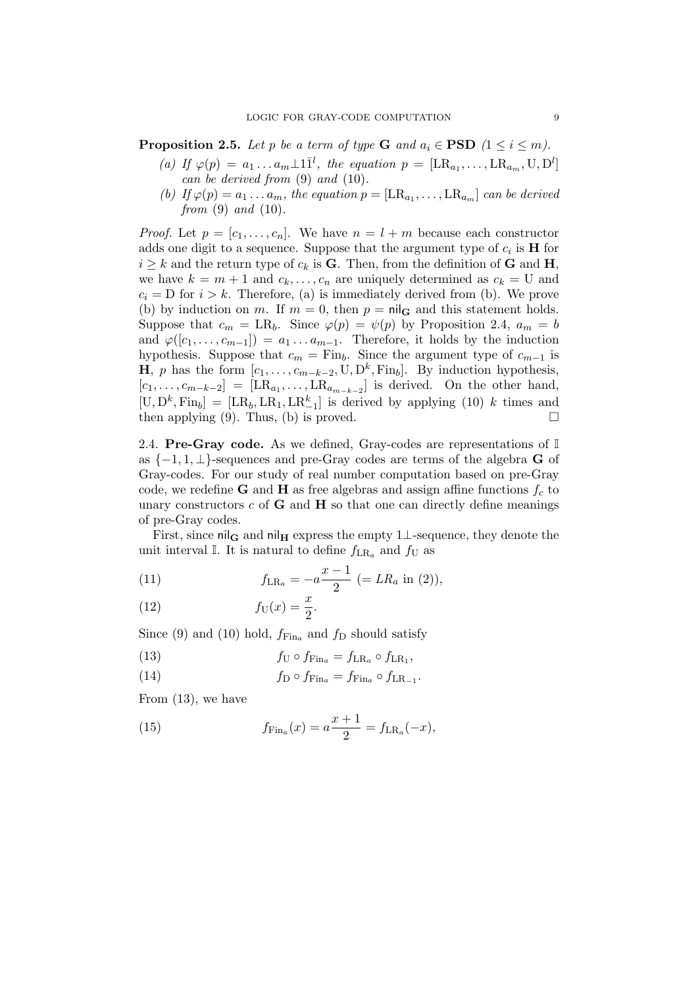**Proposition 2.5.** Let p be a term of type **G** and  $a_i \in \text{PSD } (1 \leq i \leq m)$ .

- (a) If  $\varphi(p) = a_1 \dots a_m \perp 1 \bar{1}^l$ , the equation  $p = [\text{LR}_{a_1}, \dots, \text{LR}_{a_m}, \text{U}, \text{D}^l]$ can be derived from (9) and (10).
- (b) If  $\varphi(p) = a_1 \dots a_m$ , the equation  $p = [\text{LR}_{a_1}, \dots, \text{LR}_{a_m}]$  can be derived from  $(9)$  and  $(10)$ .

*Proof.* Let  $p = [c_1, \ldots, c_n]$ . We have  $n = l + m$  because each constructor adds one digit to a sequence. Suppose that the argument type of  $c_i$  is **H** for  $i \geq k$  and the return type of  $c_k$  is **G**. Then, from the definition of **G** and **H**, we have  $k = m + 1$  and  $c_k, \ldots, c_n$  are uniquely determined as  $c_k = U$  and  $c_i = D$  for  $i > k$ . Therefore, (a) is immediately derived from (b). We prove (b) by induction on m. If  $m = 0$ , then  $p = \text{nil}_{\mathbf{G}}$  and this statement holds. Suppose that  $c_m = \text{LR}_b$ . Since  $\varphi(p) = \psi(p)$  by Proposition 2.4,  $a_m = b$ and  $\varphi([c_1,\ldots,c_{m-1}]) = a_1 \ldots a_{m-1}$ . Therefore, it holds by the induction hypothesis. Suppose that  $c_m = \text{Fin}_b$ . Since the argument type of  $c_{m-1}$  is **H**, p has the form  $[c_1, \ldots, c_{m-k-2}, \mathbf{U}, \mathbf{D}^k, \mathbf{Fin}_b]$ . By induction hypothesis,  $[c_1, \ldots, c_{m-k-2}] = [\text{LR}_{a_1}, \ldots, \text{LR}_{a_{m-k-2}}]$  is derived. On the other hand,  $[U, D^k, Fin_b] = [LR_b, LR_1, LR_{-1}^k]$  is derived by applying (10) k times and then applying (9). Thus, (b) is proved.

2.4. Pre-Gray code. As we defined, Gray-codes are representations of  $\mathbb I$ as  $\{-1, 1, \perp\}$ -sequences and pre-Gray codes are terms of the algebra **G** of Gray-codes. For our study of real number computation based on pre-Gray code, we redefine **G** and **H** as free algebras and assign affine functions  $f_c$  to unary constructors  $c$  of  $G$  and  $H$  so that one can directly define meanings of pre-Gray codes.

First, since  $\text{nil}_{\mathbf{G}}$  and  $\text{nil}_{\mathbf{H}}$  express the empty 1⊥-sequence, they denote the unit interval I. It is natural to define  $f_{LR_a}$  and  $f_U$  as

(11) 
$$
f_{LR_a} = -a \frac{x-1}{2} (=LR_a \text{ in (2)),}
$$

(12) 
$$
f_{\mathrm{U}}(x) = \frac{x}{2}.
$$

Since (9) and (10) hold,  $f_{\text{Fin}_a}$  and  $f_{\text{D}}$  should satisfy

(13) 
$$
f_{\rm U} \circ f_{\rm Fin}_{a} = f_{\rm LRa} \circ f_{\rm LR1},
$$

(14) 
$$
f_{\rm D} \circ f_{\rm Fin}_{a} = f_{\rm Fin}_{a} \circ f_{\rm LR_{-1}}.
$$

From (13), we have

(15) 
$$
f_{\text{Fin}_a}(x) = a \frac{x+1}{2} = f_{\text{LR}_a}(-x),
$$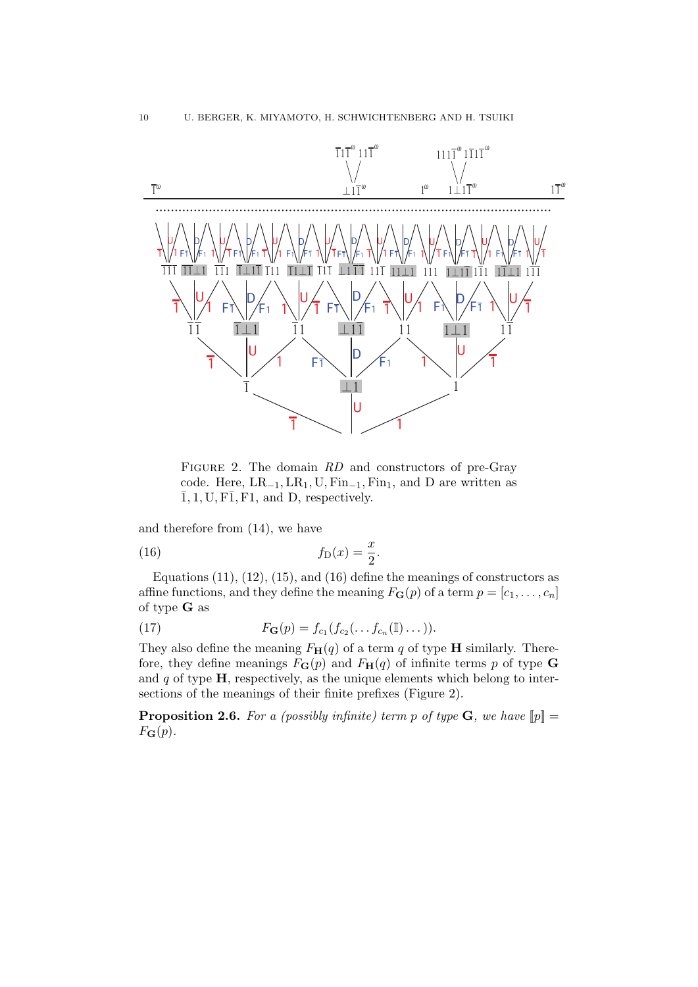

FIGURE 2. The domain RD and constructors of pre-Gray code. Here,  $LR_{-1}$ ,  $LR_1$ ,  $U$ ,  $Fin_{-1}$ ,  $Fin_1$ , and D are written as  $\overline{1}$ , 1, U, F $\overline{1}$ , F<sub>1</sub>, and D, respectively.

and therefore from (14), we have

$$
(16) \t fD(x) = \frac{x}{2}.
$$

Equations  $(11)$ ,  $(12)$ ,  $(15)$ , and  $(16)$  define the meanings of constructors as affine functions, and they define the meaning  $F_{\mathbf{G}}(p)$  of a term  $p = [c_1, \ldots, c_n]$ of type G as

(17) 
$$
F_{\mathbf{G}}(p) = f_{c_1}(f_{c_2}(\ldots f_{c_n}(\mathbb{I})\ldots)).
$$

They also define the meaning  $F_H(q)$  of a term q of type **H** similarly. Therefore, they define meanings  $F_{\mathbf{G}}(p)$  and  $F_{\mathbf{H}}(q)$  of infinite terms p of type **G** and  $q$  of type  $H$ , respectively, as the unique elements which belong to intersections of the meanings of their finite prefixes (Figure 2).

**Proposition 2.6.** For a (possibly infinite) term p of type  $\mathbf{G}$ , we have  $[\![p]\!] =$  $F_{\mathbf{G}}(p).$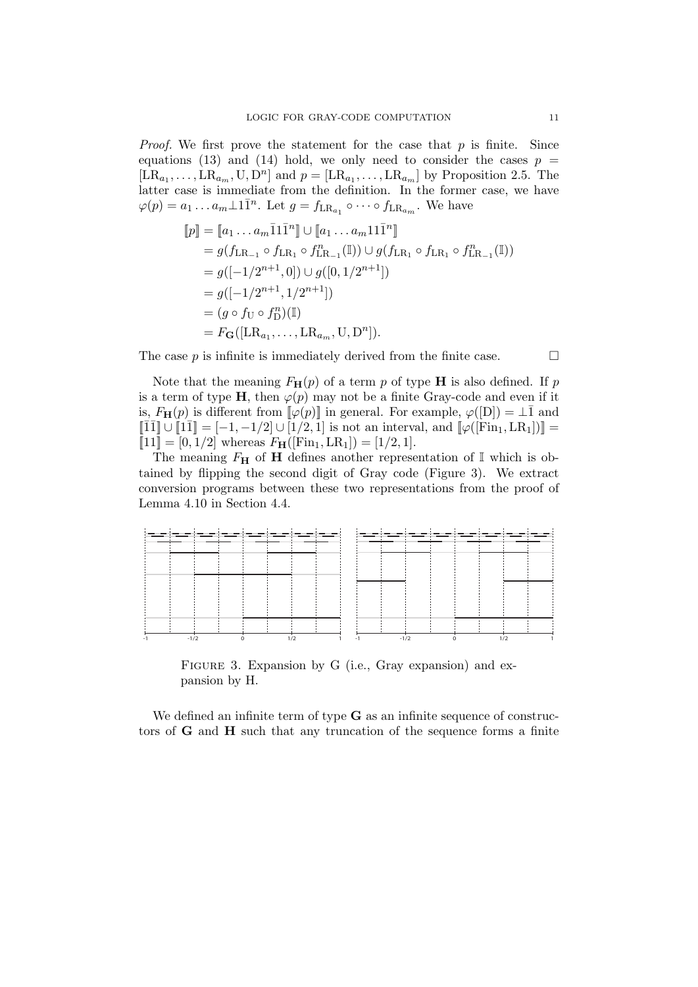*Proof.* We first prove the statement for the case that  $p$  is finite. Since equations (13) and (14) hold, we only need to consider the cases  $p =$  $[LR_{a_1}, \ldots, LR_{a_m}, U, D^n]$  and  $p = [LR_{a_1}, \ldots, LR_{a_m}]$  by Proposition 2.5. The latter case is immediate from the definition. In the former case, we have  $\varphi(p) = a_1 \dots a_m \perp 1 \overline{1}^n$ . Let  $g = f_{LR_{a_1}} \circ \cdots \circ f_{LR_{a_m}}$ . We have

$$
[p] = [a_1 ... a_m \overline{1}1\overline{1}^n] \cup [a_1 ... a_m 11\overline{1}^n]
$$
  
\n
$$
= g(f_{LR_{-1}} \circ f_{LR_1} \circ f_{LR_{-1}}^n(\mathbb{I})) \cup g(f_{LR_1} \circ f_{LR_1} \circ f_{LR_{-1}}^n(\mathbb{I}))
$$
  
\n
$$
= g([-1/2^{n+1}, 0]) \cup g([0, 1/2^{n+1}])
$$
  
\n
$$
= g([-1/2^{n+1}, 1/2^{n+1}])
$$
  
\n
$$
= (g \circ f_U \circ f_D^n)(\mathbb{I})
$$
  
\n
$$
= F_G([LR_{a_1}, ..., LR_{a_m}, U, D^n]).
$$

The case  $p$  is infinite is immediately derived from the finite case.  $\Box$ 

Note that the meaning  $F_H(p)$  of a term p of type **H** is also defined. If p is a term of type H, then  $\varphi(p)$  may not be a finite Gray-code and even if it is,  $F_{\mathbf{H}}(p)$  is different from  $\llbracket \varphi(p) \rrbracket$  in general. For example,  $\varphi([D]) = \perp \bar{1}$  and  $\llbracket \overline{1}\overline{1}\rrbracket \cup \llbracket 1\overline{1}\rrbracket = [-1, -1/2] \cup [1/2, 1]$  is not an interval, and  $\llbracket \varphi([\text{Fin}_1, \text{LR}_1])\rrbracket =$  $[11] = [0, 1/2]$  whereas  $F_{\mathbf{H}}([Fin_1, LR_1]) = [1/2, 1].$ 

The meaning  $F_{\mathbf{H}}$  of **H** defines another representation of  $\mathbb{I}$  which is obtained by flipping the second digit of Gray code (Figure 3). We extract conversion programs between these two representations from the proof of Lemma 4.10 in Section 4.4.



FIGURE 3. Expansion by G (i.e., Gray expansion) and expansion by H.

We defined an infinite term of type  $G$  as an infinite sequence of constructors of G and H such that any truncation of the sequence forms a finite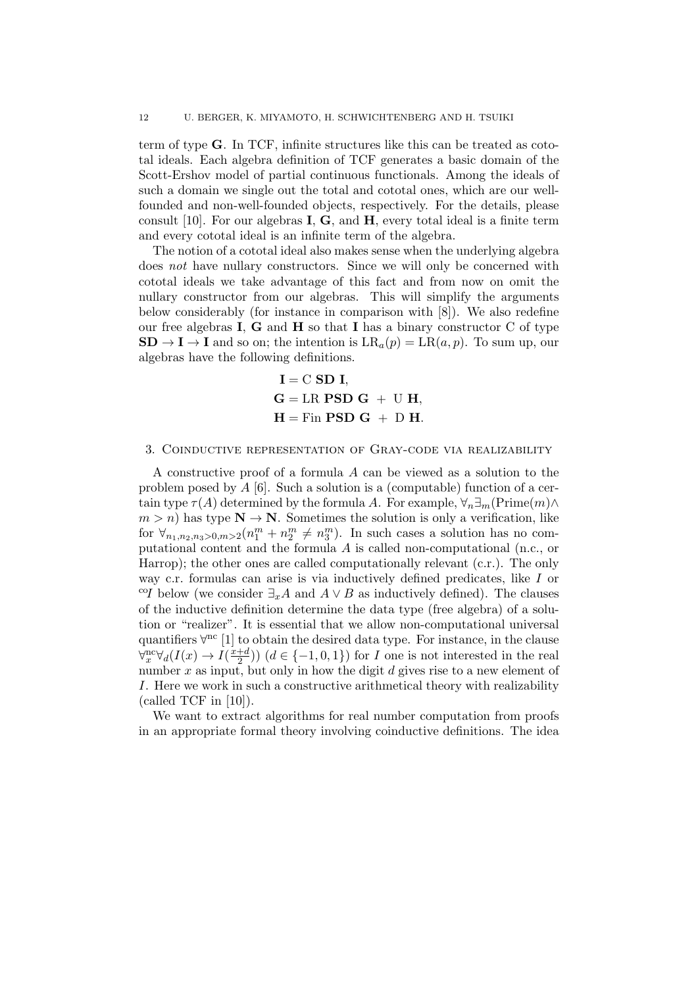term of type G. In TCF, infinite structures like this can be treated as cototal ideals. Each algebra definition of TCF generates a basic domain of the Scott-Ershov model of partial continuous functionals. Among the ideals of such a domain we single out the total and cototal ones, which are our wellfounded and non-well-founded objects, respectively. For the details, please consult  $[10]$ . For our algebras **I**, **G**, and **H**, every total ideal is a finite term and every cototal ideal is an infinite term of the algebra.

The notion of a cototal ideal also makes sense when the underlying algebra does not have nullary constructors. Since we will only be concerned with cototal ideals we take advantage of this fact and from now on omit the nullary constructor from our algebras. This will simplify the arguments below considerably (for instance in comparison with [8]). We also redefine our free algebras  $I, G$  and  $H$  so that  $I$  has a binary constructor  $C$  of type  $SD \rightarrow I \rightarrow I$  and so on; the intention is  $LR_a(p) = LR(a, p)$ . To sum up, our algebras have the following definitions.

> $I = C$  SD I,  $G = LR$  PSD  $G + U$  H,  $H = Fin$  **PSD G** + D **H**.

#### 3. Coinductive representation of Gray-code via realizability

A constructive proof of a formula A can be viewed as a solution to the problem posed by  $A$  [6]. Such a solution is a (computable) function of a certain type  $\tau(A)$  determined by the formula A. For example,  $\forall_n \exists_m(\text{Prime}(m) \land \text{$  $m > n$ ) has type  $N \to N$ . Sometimes the solution is only a verification, like for  $\forall_{n_1,n_2,n_3>0,m>2}(n_1^m+n_2^m \neq n_3^m)$ . In such cases a solution has no computational content and the formula A is called non-computational (n.c., or Harrop); the other ones are called computationally relevant (c.r.). The only way c.r. formulas can arise is via inductively defined predicates, like I or <sup>co</sup>I below (we consider  $\exists_x A$  and  $A \vee B$  as inductively defined). The clauses of the inductive definition determine the data type (free algebra) of a solution or "realizer". It is essential that we allow non-computational universal quantifiers  $\forall^{nc}$  [1] to obtain the desired data type. For instance, in the clause  $\forall x \forall d(I(x) \rightarrow I(\frac{x+d}{2})$  $\left(\frac{+d}{2}\right)$   $(d \in \{-1, 0, 1\})$  for *I* one is not interested in the real number  $x$  as input, but only in how the digit  $d$  gives rise to a new element of I. Here we work in such a constructive arithmetical theory with realizability (called TCF in  $[10]$ ).

We want to extract algorithms for real number computation from proofs in an appropriate formal theory involving coinductive definitions. The idea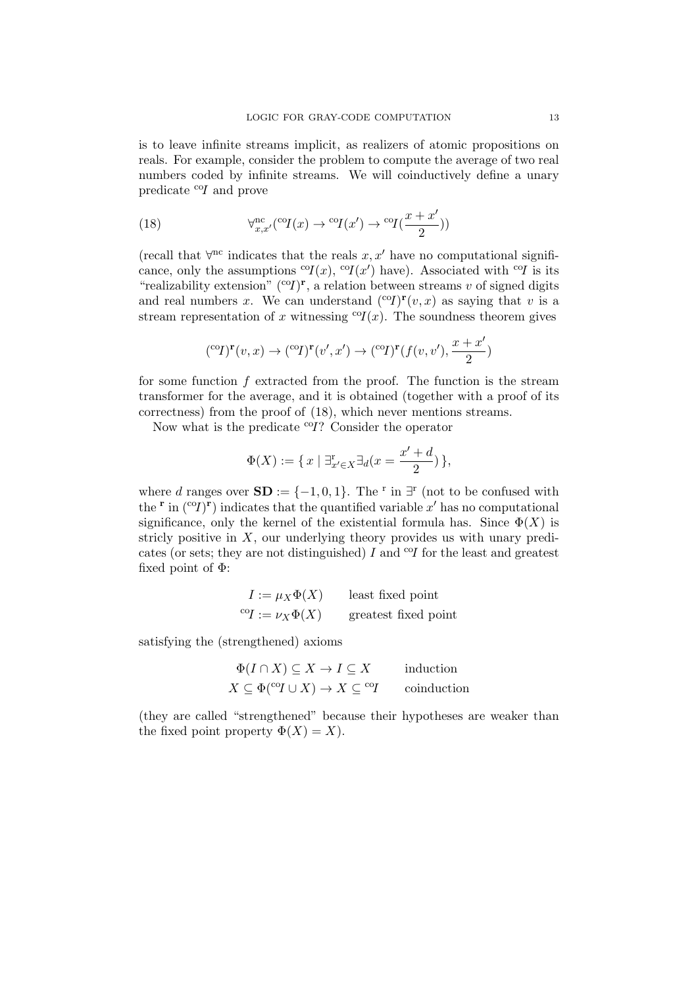is to leave infinite streams implicit, as realizers of atomic propositions on reals. For example, consider the problem to compute the average of two real numbers coded by infinite streams. We will coinductively define a unary predicate  $^{c}$ *OI* and prove

(18) 
$$
\forall_{x,x'}^{\text{nc}}(^{\text{co}}I(x) \rightarrow {^{\text{co}}I(x')} \rightarrow {^{\text{co}}I(\frac{x+x'}{2})})
$$

(recall that  $\forall^{\text{nc}}$  indicates that the reals x, x' have no computational significance, only the assumptions  ${}^{c}I(x)$ ,  ${}^{c}I(x')$  have). Associated with  ${}^{c}I$  is its "realizability extension"  $({}^{c}T)^{r}$ , a relation between streams v of signed digits and real numbers x. We can understand  $({}^{c}Y)^{r}(v, x)$  as saying that v is a stream representation of x witnessing  ${}^{c}I(x)$ . The soundness theorem gives

$$
({}^{\mathrm{co}}\! I)^{\mathbf{r}}(v,x) \to ({}^{\mathrm{co}}\! I)^{\mathbf{r}}(v',x') \to ({}^{\mathrm{co}}\! I)^{\mathbf{r}}(f(v,v'),\frac{x+x'}{2})
$$

for some function  $f$  extracted from the proof. The function is the stream transformer for the average, and it is obtained (together with a proof of its correctness) from the proof of (18), which never mentions streams.

Now what is the predicate  $^{eq}$ ? Consider the operator

$$
\Phi(X) := \{ x \mid \exists_{x' \in X}^r \exists_d (x = \frac{x' + d}{2}) \},
$$

where d ranges over  $SD := \{-1, 0, 1\}$ . The <sup>r</sup> in  $\exists^{r}$  (not to be confused with the  $\mathbf{r}$  in (co<sub>I</sub>) $\mathbf{r}$ ) indicates that the quantified variable x' has no computational significance, only the kernel of the existential formula has. Since  $\Phi(X)$  is stricly positive in  $X$ , our underlying theory provides us with unary predicates (or sets; they are not distinguished)  $I$  and  $\alpha I$  for the least and greatest fixed point of  $\Phi$ :

| $I := \mu_X \Phi(X)$                   | least fixed point    |
|----------------------------------------|----------------------|
| ${}^{\mathrm{co}}\!I := \nu_X \Phi(X)$ | greatest fixed point |

satisfying the (strengthened) axioms

$$
\Phi(I \cap X) \subseteq X \to I \subseteq X \quad \text{induction}
$$
  

$$
X \subseteq \Phi({}^{\text{co}}I \cup X) \to X \subseteq {}^{\text{co}}I \quad \text{coinduction}
$$

(they are called "strengthened" because their hypotheses are weaker than the fixed point property  $\Phi(X) = X$ ).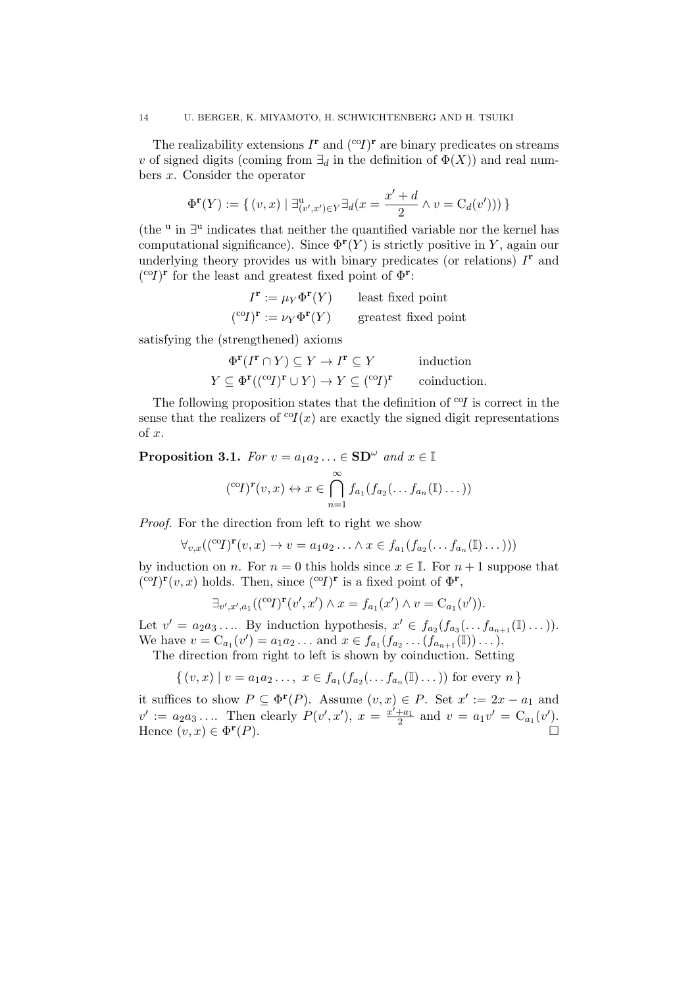The realizability extensions  $I^{\mathbf{r}}$  and  $({}^{\text{co}}I)^{\mathbf{r}}$  are binary predicates on streams v of signed digits (coming from  $\exists_d$  in the definition of  $\Phi(X)$ ) and real numbers x. Consider the operator

$$
\Phi^{\mathbf{r}}(Y) := \{ (v, x) \mid \exists_{(v', x') \in Y}^{\mathbf{u}} \exists_d (x = \frac{x' + d}{2} \land v = \mathrm{C}_d(v')) ) \}
$$

(the  $\mu$  in  $\exists$ <sup>u</sup> indicates that neither the quantified variable nor the kernel has computational significance). Since  $\Phi^{\mathbf{r}}(Y)$  is strictly positive in Y, again our underlying theory provides us with binary predicates (or relations)  $I<sup>r</sup>$  and  $({}^{\text{co}}I)^{\mathbf{r}}$  for the least and greatest fixed point of  $\Phi^{\mathbf{r}}$ :

$$
I^{\mathbf{r}} := \mu_Y \Phi^{\mathbf{r}}(Y) \qquad \text{least fixed point}
$$

$$
({}^{\text{co}}I)^{\mathbf{r}} := \nu_Y \Phi^{\mathbf{r}}(Y) \qquad \text{greatest fixed point}
$$

satisfying the (strengthened) axioms

$$
\Phi^{\mathbf{r}}(I^{\mathbf{r}} \cap Y) \subseteq Y \to I^{\mathbf{r}} \subseteq Y \quad \text{induction}
$$
  

$$
Y \subseteq \Phi^{\mathbf{r}}((^{\text{co}}I)^{\mathbf{r}} \cup Y) \to Y \subseteq (^{\text{co}}I)^{\mathbf{r}} \quad \text{coinduction.}
$$

The following proposition states that the definition of  $\mathcal{O}I$  is correct in the sense that the realizers of  ${}^{c}Q(x)$  are exactly the signed digit representations of  $x$ .

**Proposition 3.1.** For  $v = a_1 a_2 ... \in SD^{\omega}$  and  $x \in \mathbb{I}$ 

$$
({}^{\mathrm{co}}I)^{r}(v,x) \leftrightarrow x \in \bigcap_{n=1}^{\infty} f_{a_1}(f_{a_2}(\ldots f_{a_n}(\mathbb{I})\ldots))
$$

Proof. For the direction from left to right we show

$$
\forall_{v,x}((\mathrm{^{co}}T)^{\mathbf{r}}(v,x)\rightarrow v=a_1a_2\ldots\land x\in f_{a_1}(f_{a_2}(\ldots f_{a_n}(\mathbb{I})\ldots)))
$$

by induction on n. For  $n = 0$  this holds since  $x \in \mathbb{I}$ . For  $n + 1$  suppose that  $({}^{co}I)^{\mathbf{r}}(v,x)$  holds. Then, since  $({}^{co}I)^{\mathbf{r}}$  is a fixed point of  $\Phi^{\mathbf{r}}$ ,

$$
\exists_{v',x',a_1}((^{\text{co}}I)^{\mathbf{r}}(v',x') \land x = f_{a_1}(x') \land v = C_{a_1}(v')).
$$

Let  $v' = a_2 a_3 \dots$  By induction hypothesis,  $x' \in f_{a_2}(f_{a_3}(\dots f_{a_{n+1}}(\mathbb{I})\dots)).$ We have  $v = C_{a_1}(v') = a_1 a_2 ...$  and  $x \in f_{a_1}(f_{a_2} ... (f_{a_{n+1}}(I)) ...).$ 

The direction from right to left is shown by coinduction. Setting

$$
\{ (v, x) \mid v = a_1 a_2 \dots, x \in f_{a_1}(f_{a_2}(\dots f_{a_n}(\mathbb{I}) \dots)) \text{ for every } n \}
$$

it suffices to show  $P \subseteq \Phi^{\mathbf{r}}(P)$ . Assume  $(v, x) \in P$ . Set  $x' := 2x - a_1$  and  $v' := a_2 a_3 \dots$  Then clearly  $P(v', x')$ ,  $x = \frac{x'+a_1}{2}$  and  $v = a_1 v' = C_{a_1}(v')$ . Hence  $(v, x) \in \Phi^{\mathbf{r}}$  $(P).$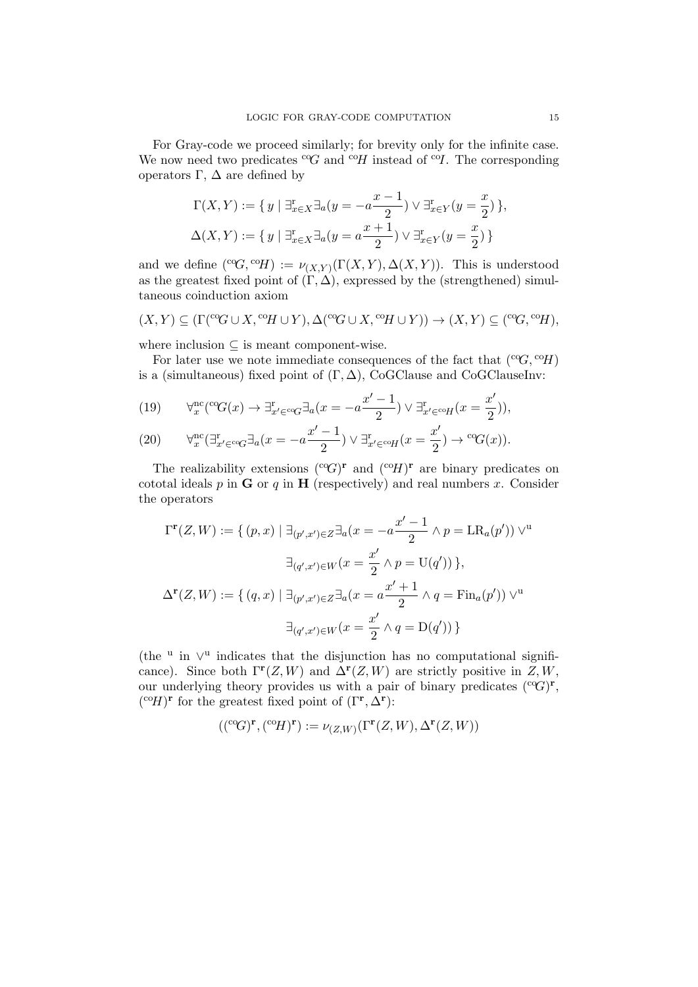For Gray-code we proceed similarly; for brevity only for the infinite case. We now need two predicates  $\mathcal{C}G$  and  $\mathcal{C}H$  instead of  $\mathcal{C}I$ . The corresponding operators Γ, ∆ are defined by

$$
\Gamma(X, Y) := \{ y \mid \exists_{x \in X}^r \exists_a (y = -a \frac{x-1}{2}) \vee \exists_{x \in Y}^r (y = \frac{x}{2}) \},
$$
  

$$
\Delta(X, Y) := \{ y \mid \exists_{x \in X}^r \exists_a (y = a \frac{x+1}{2}) \vee \exists_{x \in Y}^r (y = \frac{x}{2}) \}
$$

and we define  $({}^{co}G, {}^{co}H) := \nu_{(X,Y)}(\Gamma(X,Y), \Delta(X,Y)).$  This is understood as the greatest fixed point of  $(\Gamma, \Delta)$ , expressed by the (strengthened) simultaneous coinduction axiom

$$
(X,Y) \subseteq (\Gamma({}^{co}G \cup X, {}^{co}H \cup Y), \Delta({}^{co}G \cup X, {}^{co}H \cup Y)) \to (X,Y) \subseteq ({}^{co}G, {}^{co}H),
$$

where inclusion  $\subseteq$  is meant component-wise.

For later use we note immediate consequences of the fact that  $({}^{c}\mathcal{G}, {}^{c}\mathcal{H})$ is a (simultaneous) fixed point of  $(\Gamma, \Delta)$ , CoGClause and CoGClauseInv:

(19) 
$$
\forall_x^{\text{nc}}(\text{°G}(x) \to \exists_{x' \in \text{°G}}^{\text{r}} \exists_a (x = -a \frac{x'-1}{2}) \lor \exists_{x' \in \text{°G}}^{\text{r}} f(x = \frac{x'}{2})),
$$

(20) 
$$
\forall_x^{\text{nc}}(\exists_{x' \in {}^{\text{co}}G}^{\text{r}} \exists_a (x = -a \frac{x'-1}{2}) \lor \exists_{x' \in {}^{\text{co}}H}^{\text{r}}(x = \frac{x'}{2}) \to {}^{\text{co}}G(x)).
$$

The realizability extensions  $({}^{c\circ}G)^{r}$  and  $({}^{c\circ}H)^{r}$  are binary predicates on cototal ideals  $p$  in  $G$  or  $q$  in  $H$  (respectively) and real numbers  $x$ . Consider the operators

$$
\Gamma^{\mathbf{r}}(Z, W) := \{ (p, x) \mid \exists_{(p', x') \in Z} \exists_a (x = -a \frac{x' - 1}{2} \land p = \text{LR}_a(p')) \lor^{\mathbf{u}}
$$

$$
\exists_{(q', x') \in W} (x = \frac{x'}{2} \land p = \text{U}(q')) \},
$$

$$
\Delta^{\mathbf{r}}(Z, W) := \{ (q, x) \mid \exists_{(p', x') \in Z} \exists_a (x = a \frac{x' + 1}{2} \land q = \text{Fin}_a(p')) \lor^{\mathbf{u}}
$$

$$
\exists_{(q', x') \in W} (x = \frac{x'}{2} \land q = \text{D}(q')) \}
$$

(the <sup>u</sup> in  $\vee$ <sup>u</sup> indicates that the disjunction has no computational significance). Since both  $\Gamma^{\mathbf{r}}(Z, W)$  and  $\Delta^{\mathbf{r}}(Z, W)$  are strictly positive in  $Z, W$ , our underlying theory provides us with a pair of binary predicates  $({}^{c\circ}G)^{r}$ ,  $({}^{\mathrm{co}}H)$ <sup>r</sup> for the greatest fixed point of  $(\Gamma^{\mathbf{r}}, \Delta^{\mathbf{r}})$ :

$$
(({}^{co}G)^{\mathbf{r}},({}^{co}H)^{\mathbf{r}}) := \nu_{(Z,W)}(\Gamma^{\mathbf{r}}(Z,W),\Delta^{\mathbf{r}}(Z,W))
$$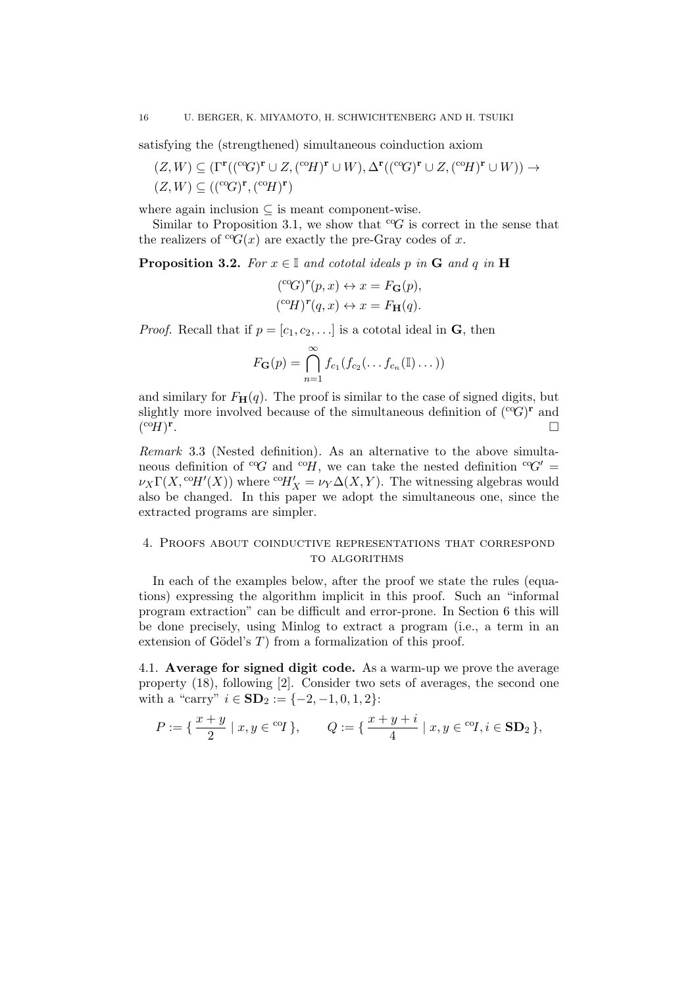satisfying the (strengthened) simultaneous coinduction axiom

 $(Z, W) \subseteq (\Gamma^{\mathbf{r}}((^{\mathrm{co}}G)^{\mathbf{r}} \cup Z, (^{\mathrm{co}}H)^{\mathbf{r}} \cup W), \Delta^{\mathbf{r}}((^{\mathrm{co}}G)^{\mathbf{r}} \cup Z, (^{\mathrm{co}}H)^{\mathbf{r}} \cup W)) \rightarrow$  $(Z, W) \subseteq (({}^{c o}G)^{r}, ({}^{c o}H)^{r})$ 

where again inclusion  $\subseteq$  is meant component-wise.

Similar to Proposition 3.1, we show that  ${}^{\text{c}}\text{G}$  is correct in the sense that the realizers of  ${}^{c}\mathcal{G}(x)$  are exactly the pre-Gray codes of x.

**Proposition 3.2.** For  $x \in \mathbb{I}$  and cototal ideals p in G and q in H

$$
({}^{\mathrm{co}}\!G)^r(p,x) \leftrightarrow x = F_{\mathbf{G}}(p),
$$

$$
({}^{\mathrm{co}}\!H)^r(q,x) \leftrightarrow x = F_{\mathbf{H}}(q).
$$

*Proof.* Recall that if  $p = [c_1, c_2, \ldots]$  is a cototal ideal in **G**, then

$$
F_{\mathbf{G}}(p) = \bigcap_{n=1}^{\infty} f_{c_1}(f_{c_2}(\ldots f_{c_n}(\mathbb{I})\ldots))
$$

and similary for  $F_{\mathbf{H}}(q)$ . The proof is similar to the case of signed digits, but slightly more involved because of the simultaneous definition of  $({}^{c\circ}G)^{\mathbf{r}}$  and  $({}^{\mathrm{co}}H)$ <sup>r</sup> .

Remark 3.3 (Nested definition). As an alternative to the above simultaneous definition of  ${}^{c}\mathcal{G}$  and  ${}^{c}\mathcal{H}$ , we can take the nested definition  ${}^{c}\mathcal{G}'$  $\nu_X \Gamma(X, \text{°}H'(X))$  where  $\text{°}H'_X = \nu_Y \Delta(X, Y)$ . The witnessing algebras would also be changed. In this paper we adopt the simultaneous one, since the extracted programs are simpler.

# 4. Proofs about coinductive representations that correspond TO ALGORITHMS

In each of the examples below, after the proof we state the rules (equations) expressing the algorithm implicit in this proof. Such an "informal program extraction" can be difficult and error-prone. In Section 6 this will be done precisely, using Minlog to extract a program (i.e., a term in an extension of Gödel's  $T$ ) from a formalization of this proof.

4.1. Average for signed digit code. As a warm-up we prove the average property (18), following [2]. Consider two sets of averages, the second one with a "carry"  $i \in SD_2 := \{-2, -1, 0, 1, 2\}$ :

$$
P := \{ \frac{x+y}{2} \mid x, y \in {}^{co}I \}, \qquad Q := \{ \frac{x+y+i}{4} \mid x, y \in {}^{co}I, i \in \mathbf{SD}_2 \},
$$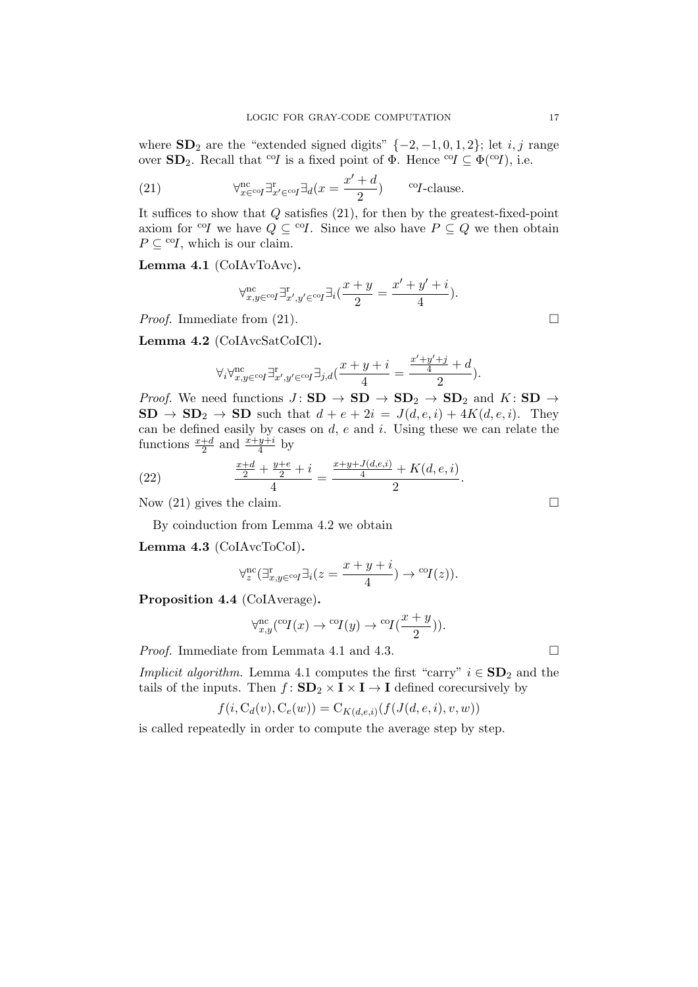where  $SD_2$  are the "extended signed digits"  $\{-2, -1, 0, 1, 2\}$ ; let *i, j* range over  $SD_2$ . Recall that <sup>co</sup>I is a fixed point of  $\Phi$ . Hence <sup>co</sup>I  $\subseteq \Phi$ <sup>(co</sup>I), i.e.

(21) 
$$
\forall_{x \in \text{co}I}^{\text{nc}} \exists_{x' \in \text{co}I}^{\text{r}} \exists_d (x = \frac{x' + d}{2}) \qquad \text{co}I\text{-clause.}
$$

It suffices to show that Q satisfies (21), for then by the greatest-fixed-point axiom for <sup>co</sup>I we have  $Q \subseteq {}^{co}\mathcal{I}$ . Since we also have  $P \subseteq Q$  we then obtain  $P \subseteq {}^{co}I$ , which is our claim.

Lemma 4.1 (CoIAvToAvc).

$$
\forall_{x,y\in\mathsf{co}I}^{\mathrm{nc}}\exists_{x',y'\in\mathsf{co}I}\exists_i(\frac{x+y}{2}=\frac{x'+y'+i}{4}).
$$

*Proof.* Immediate from  $(21)$ .

Lemma 4.2 (CoIAvcSatCoICl).

$$
\forall_i \forall_{x,y \in \mathsf{co}I}^{\text{nc}} \exists_{x',y' \in \mathsf{co}I}^{\text{nc}} \exists_{j,d} (\frac{x+y+i}{4} = \frac{\frac{x'+y'+j}{4}+d}{2}).
$$

*Proof.* We need functions  $J: SD \to SD \to SD_2 \to SD_2$  and  $K: SD \to CD_2$  $SD \rightarrow SD_2 \rightarrow SD$  such that  $d + e + 2i = J(d, e, i) + 4K(d, e, i)$ . They can be defined easily by cases on  $d$ ,  $e$  and  $i$ . Using these we can relate the functions  $\frac{x+d}{2}$  and  $\frac{x+y+i}{4}$  by

(22) 
$$
\frac{\frac{x+d}{2} + \frac{y+e}{2} + i}{4} = \frac{\frac{x+y+J(d,e,i)}{4} + K(d,e,i)}{2}.
$$

Now  $(21)$  gives the claim.

By coinduction from Lemma 4.2 we obtain

Lemma 4.3 (CoIAvcToCoI).

$$
\forall_{z}^{\text{nc}}(\exists_{x,y\in^{\text{co}}}\exists_i(z=\frac{x+y+i}{4})\rightarrow{^{\text{co}}I(z)).}
$$

Proposition 4.4 (CoIAverage).

$$
\forall_{x,y}^{\text{nc}}(\text{°}1(x) \to \text{°}1(y) \to \text{°}1(\frac{x+y}{2})).
$$

*Proof.* Immediate from Lemmata 4.1 and 4.3.  $\Box$ 

*Implicit algorithm.* Lemma 4.1 computes the first "carry"  $i \in SD_2$  and the tails of the inputs. Then  $f: SD_2 \times I \times I \rightarrow I$  defined corecursively by

$$
f(i, C_d(v), C_e(w)) = C_{K(d,e,i)}(f(J(d,e,i), v, w))
$$

is called repeatedly in order to compute the average step by step.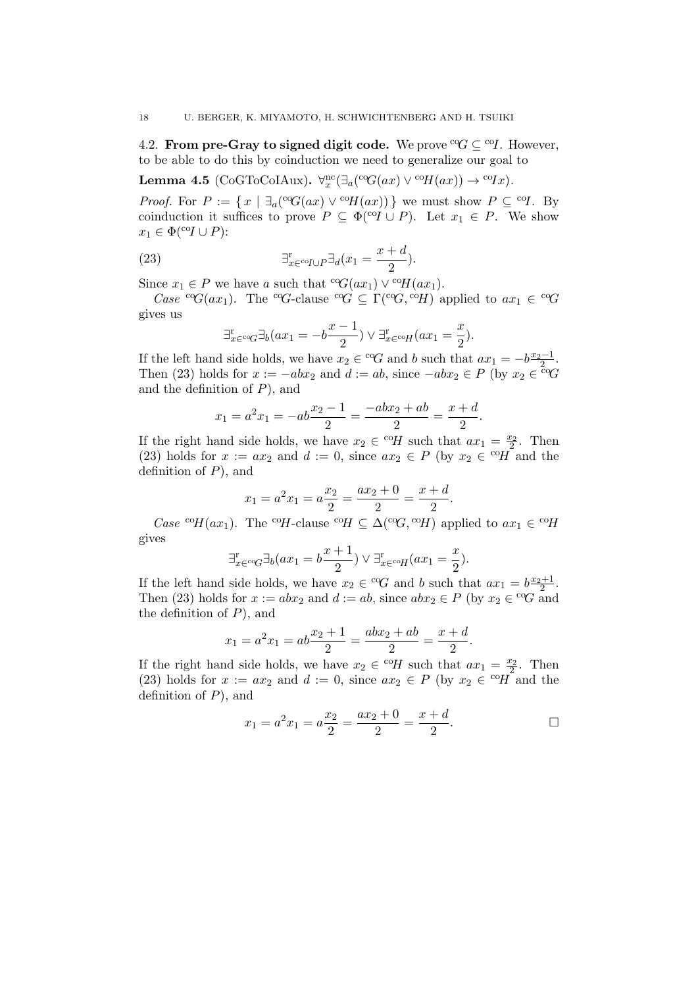4.2. From pre-Gray to signed digit code. We prove  ${}^{\text{c}}\mathcal{G} \subseteq {}^{\text{c}}\mathcal{I}$ . However, to be able to do this by coinduction we need to generalize our goal to

Lemma 4.5 (CoGToCoIAux).  $\forall_x^{\text{nc}}(\exists_a(^{\text{co}}G(ax) \vee ^{\text{co}}H(ax)) \rightarrow ^{\text{co}}Ix)$ .

*Proof.* For  $P := \{ x \mid \exists_a (^\text{co}G(ax) \vee ^\text{co}H(ax)) \}$  we must show  $P \subseteq {}^\text{co}I$ . By coinduction it suffices to prove  $P \subseteq \Phi(\text{co}I \cup P)$ . Let  $x_1 \in P$ . We show  $x_1 \in \Phi({}^{\mathrm{co}}I \cup P)$ :

(23) 
$$
\exists_{x \in {}^{co}I \cup P}^{\mathbf{T}} \exists_d (x_1 = \frac{x+d}{2}).
$$

Since  $x_1 \in P$  we have a such that  ${}^{c\circ}G(ax_1) \vee {}^{c\circ}H(ax_1)$ .

Case <sup>co</sup>G(ax<sub>1</sub>). The <sup>co</sup>G-clause <sup>co</sup>G  $\subseteq \Gamma$ (<sup>co</sup>G, <sup>co</sup>H) applied to ax<sub>1</sub>  $\in$  <sup>co</sup>G gives us

$$
\exists_{x \in {}^{c \circ}G}^{r} \exists_b (ax_1 = -b\frac{x-1}{2}) \vee \exists_{x \in {}^{c \circ}H}^{r} (ax_1 = \frac{x}{2}).
$$

If the left hand side holds, we have  $x_2 \in {^{co}G}$  and b such that  $ax_1 = -b\frac{x_2-1}{2}$ . Then (23) holds for  $x := -abx_2$  and  $d := ab$ , since  $-abx_2 \in P$  (by  $x_2 \in \operatorname{co}_G$ and the definition of  $P$ ), and

$$
x_1 = a^2 x_1 = -ab \frac{x_2 - 1}{2} = \frac{-abx_2 + ab}{2} = \frac{x + d}{2}.
$$

If the right hand side holds, we have  $x_2 \in {}^{co}H$  such that  $ax_1 = \frac{x_2}{2}$ . Then (23) holds for  $x := ax_2$  and  $d := 0$ , since  $ax_2 \in P$  (by  $x_2 \in {}^{co}\tilde{H}$  and the definition of  $P$ ), and

$$
x_1 = a^2 x_1 = a \frac{x_2}{2} = \frac{ax_2 + 0}{2} = \frac{x + d}{2}.
$$

*Case* <sup>co</sup>H(ax<sub>1</sub>). The <sup>co</sup>H-clause <sup>co</sup>H  $\subseteq \Delta$ (<sup>co</sup>G, <sup>co</sup>H) applied to ax<sub>1</sub>  $\in$  <sup>co</sup>H gives

$$
\exists_{x \in {}^{c\circ}G}^{\mathrm{r}} \exists_b (ax_1 = b\frac{x+1}{2}) \vee \exists_{x \in {}^{c\circ}H}^{\mathrm{r}} (ax_1 = \frac{x}{2}).
$$

If the left hand side holds, we have  $x_2 \in {^{co}G}$  and b such that  $ax_1 = b\frac{x_2+1}{2}$ . Then (23) holds for  $x := abx_2$  and  $d := ab$ , since  $abx_2 \in P$  (by  $x_2 \in {^{\text{co}}G}$  and the definition of  $P$ ), and

$$
x_1 = a^2 x_1 = ab \frac{x_2 + 1}{2} = \frac{abx_2 + ab}{2} = \frac{x + d}{2}.
$$

If the right hand side holds, we have  $x_2 \in {}^{co}H$  such that  $ax_1 = \frac{x_2}{2}$ . Then (23) holds for  $x := ax_2$  and  $d := 0$ , since  $ax_2 \in P$  (by  $x_2 \in {}^{co}\tilde{H}$  and the definition of  $P$ ), and

$$
x_1 = a^2 x_1 = a \frac{x_2}{2} = \frac{ax_2 + 0}{2} = \frac{x + d}{2}.
$$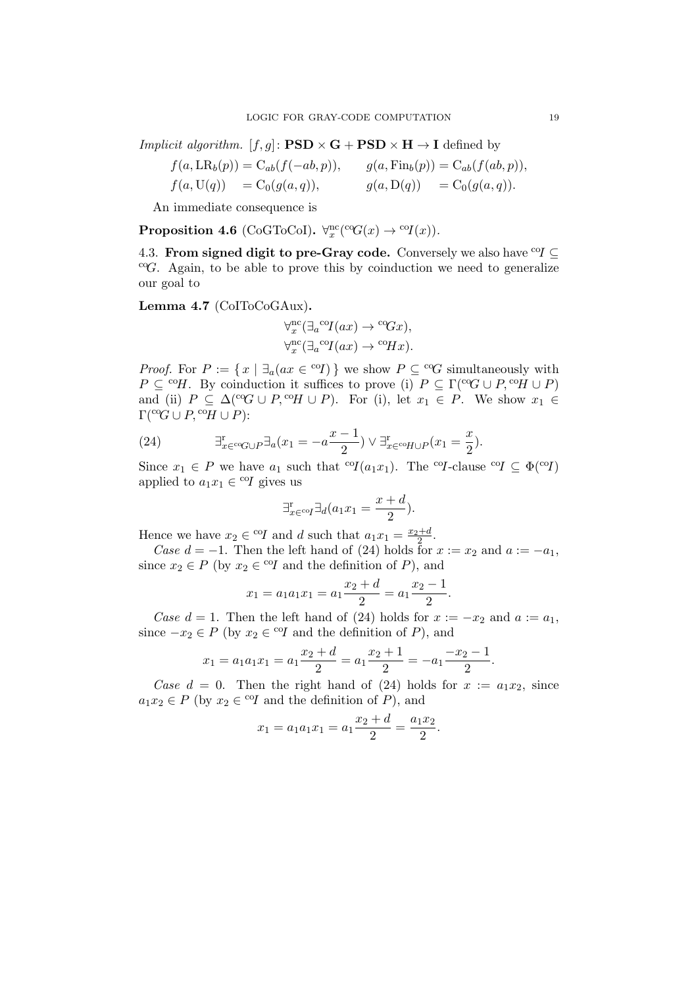*Implicit algorithm.*  $[f, g] \colon \textbf{PSD} \times \textbf{G} + \textbf{PSD} \times \textbf{H} \to \textbf{I}$  defined by

$$
f(a, \text{LR}_b(p)) = C_{ab}(f(-ab, p)), \qquad g(a, \text{Fin}_b(p)) = C_{ab}(f(ab, p)),
$$
  

$$
f(a, \text{U}(q)) = C_0(g(a, q)), \qquad g(a, \text{D}(q)) = C_0(g(a, q)).
$$

An immediate consequence is

Proposition 4.6 (CoGToCoI).  $\forall_x^{\text{nc}}(\text{°G}(x) \rightarrow \text{°O}(x)).$ 

4.3. From signed digit to pre-Gray code. Conversely we also have <sup>co</sup> $I \subseteq$  $C^cG$ . Again, to be able to prove this by coinduction we need to generalize our goal to

Lemma 4.7 (CoIToCoGAux).

$$
\begin{aligned} \forall_x^{\text{nc}}(\exists_a^{\text{ co}}I(ax)\rightarrow {^{\text{ co}}}\!Gx),\\ \forall_x^{\text{nc}}(\exists_a^{\text{ co}}I(ax)\rightarrow {^{\text{ co}}}\!Hx). \end{aligned}
$$

*Proof.* For  $P := \{x \mid \exists_a (ax \in {}^{co}I)\}\$  we show  $P \subseteq {}^{co}G$  simultaneously with  $P \subset {}^{co}H$ . By coinduction it suffices to prove (i)  $P \subset \Gamma({}^{co}G \cup P, {}^{co}H \cup P)$ and (ii)  $P \subseteq \Delta({}^{\text{cc}}G \cup P, {}^{\text{co}}H \cup P)$ . For (i), let  $x_1 \in P$ . We show  $x_1 \in$  $\Gamma({}^{c\circ}G \cup P, {}^{c\circ}H \cup P)$ :

(24) 
$$
\exists_{x \in {^{co}G} \cup P}^{r} \exists_{a} (x_{1} = -a \frac{x-1}{2}) \vee \exists_{x \in {^{co}H} \cup P}^{r} (x_{1} = \frac{x}{2}).
$$

Since  $x_1 \in P$  we have  $a_1$  such that <sup>co</sup>I( $a_1x_1$ ). The <sup>co</sup>I-clause <sup>co</sup>I  $\subseteq \Phi$ (<sup>co</sup>I) applied to  $a_1x_1 \in {}^{co}I$  gives us

$$
\exists_{x \in {}^{co}I}^{\mathbf{r}} \exists_d (a_1 x_1 = \frac{x+d}{2}).
$$

Hence we have  $x_2 \in {}^{co}I$  and d such that  $a_1x_1 = \frac{x_2+d}{2}$ .

Case  $d = -1$ . Then the left hand of (24) holds for  $x := x_2$  and  $a := -a_1$ , since  $x_2 \in P$  (by  $x_2 \in \text{°}G$  and the definition of P), and

$$
x_1 = a_1 a_1 x_1 = a_1 \frac{x_2 + d}{2} = a_1 \frac{x_2 - 1}{2}.
$$

Case  $d = 1$ . Then the left hand of (24) holds for  $x := -x_2$  and  $a := a_1$ , since  $-x_2 \in P$  (by  $x_2 \in {}^{co}I$  and the definition of P), and

$$
x_1 = a_1 a_1 x_1 = a_1 \frac{x_2 + d}{2} = a_1 \frac{x_2 + 1}{2} = -a_1 \frac{-x_2 - 1}{2}.
$$

Case  $d = 0$ . Then the right hand of (24) holds for  $x := a_1x_2$ , since  $a_1x_2 \in P$  (by  $x_2 \in {}^{co}I$  and the definition of P), and

$$
x_1 = a_1 a_1 x_1 = a_1 \frac{x_2 + d}{2} = \frac{a_1 x_2}{2}.
$$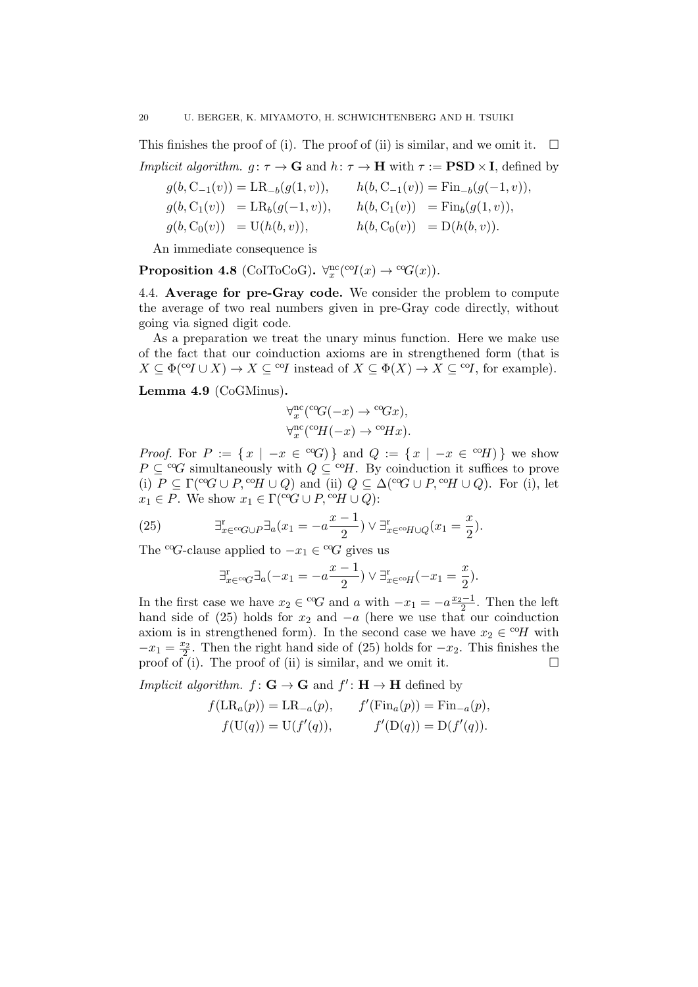This finishes the proof of (i). The proof of (ii) is similar, and we omit it.  $\square$ *Implicit algorithm.*  $g: \tau \to \mathbf{G}$  and  $h: \tau \to \mathbf{H}$  with  $\tau := \mathbf{PSD} \times \mathbf{I}$ , defined by

$$
g(b, C_{-1}(v)) = LR_{-b}(g(1, v)), \t h(b, C_{-1}(v)) = Fin_{-b}(g(-1, v)),
$$
  
\n
$$
g(b, C_{1}(v)) = LR_{b}(g(-1, v)), \t h(b, C_{1}(v)) = Fin_{b}(g(1, v)),
$$
  
\n
$$
g(b, C_{0}(v)) = U(h(b, v)), \t h(b, C_{0}(v)) = D(h(b, v)).
$$

An immediate consequence is

**Proposition 4.8** (CoIToCoG).  $\forall x^{\text{nc}}(\text{coI}(x) \rightarrow \text{coG}(x))$ .

4.4. Average for pre-Gray code. We consider the problem to compute the average of two real numbers given in pre-Gray code directly, without going via signed digit code.

As a preparation we treat the unary minus function. Here we make use of the fact that our coinduction axioms are in strengthened form (that is  $X \subseteq \Phi({\rm ^{co}}I \cup X) \to X \subseteq {\rm ^{co}}I$  instead of  $X \subseteq \Phi(X) \to X \subseteq {\rm ^{co}}I$ , for example).

Lemma 4.9 (CoGMinus).

$$
\forall_x^{\text{nc}}(^{\text{co}}G(-x) \to {^{\text{co}}Gx}), \\ \forall_x^{\text{nc}}(^{\text{co}}H(-x) \to {^{\text{co}}Hx}).
$$

*Proof.* For  $P := \{x \mid -x \in {}^{c}G\}$  and  $Q := \{x \mid -x \in {}^{c}G\}$  we show  $P \subseteq {}^{c}G$  simultaneously with  $Q \subseteq {}^{c}H$ . By coinduction it suffices to prove (i)  $P \subseteq \Gamma({}^{\text{co}}G \cup P, {}^{\text{co}}H \cup Q)$  and (ii)  $Q \subseteq \Delta({}^{\text{co}}G \cup P, {}^{\text{co}}H \cup Q)$ . For (i), let  $x_1 \in P$ . We show  $x_1 \in \Gamma({}^{\text{cc}}G \cup P, {}^{\text{cc}}H \cup Q)$ :

(25) 
$$
\exists_{x \in {^{co}G} \cup P}^{\text{r}} \exists_a (x_1 = -a \frac{x-1}{2}) \lor \exists_{x \in {^{co}H} \cup Q}^{\text{r}} (x_1 = \frac{x}{2}).
$$

The <sup>co</sup>G-clause applied to  $-x_1 \in {}^{c_0}G$  gives us

$$
\exists_{x \in {}^{c\circ}G}^{\mathrm{r}} \exists_a (-x_1 = -a \frac{x-1}{2}) \vee \exists_{x \in {}^{c\circ}H}^{\mathrm{r}} (-x_1 = \frac{x}{2}).
$$

In the first case we have  $x_2 \in {}^{c}G$  and a with  $-x_1 = -a \frac{x_2-1}{2}$ . Then the left hand side of (25) holds for  $x_2$  and  $-a$  (here we use that our coinduction axiom is in strengthened form). In the second case we have  $x_2 \in {}^{co}H$  with  $-x_1 = \frac{x_2}{2}$ . Then the right hand side of (25) holds for  $-x_2$ . This finishes the proof of (i). The proof of (ii) is similar, and we omit it.  $\Box$ 

*Implicit algorithm.*  $f: \mathbf{G} \to \mathbf{G}$  and  $f': \mathbf{H} \to \mathbf{H}$  defined by

$$
f(LR_a(p)) = LR_{-a}(p),
$$
  $f'(Fin_a(p)) = Fin_{-a}(p),$   
\n $f(U(q)) = U(f'(q)),$   $f'(D(q)) = D(f'(q)).$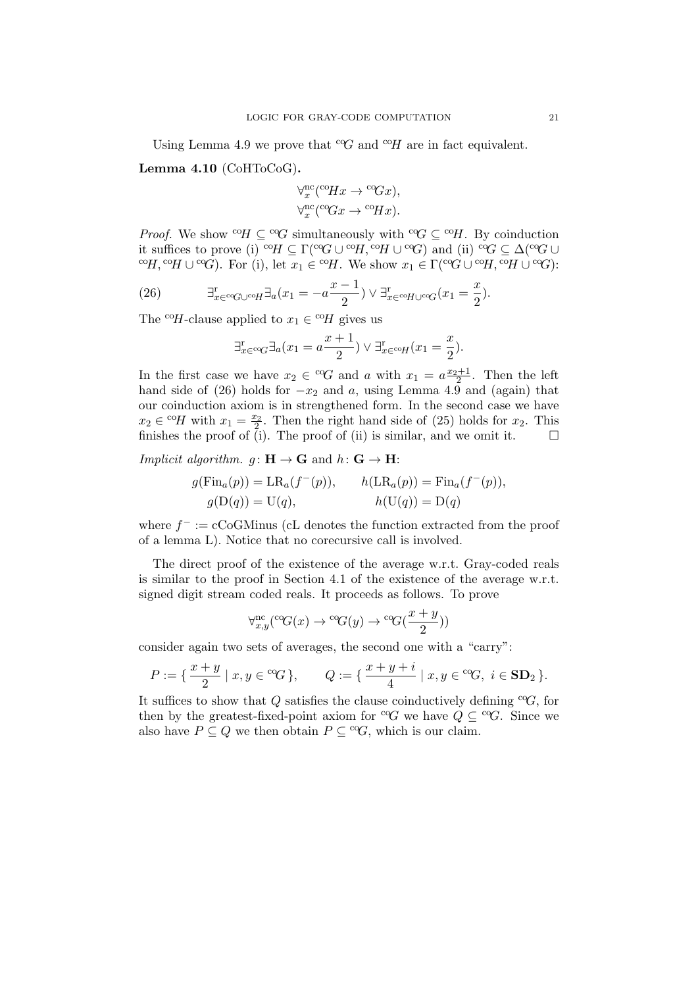Using Lemma 4.9 we prove that  ${}^cG$  and  ${}^cH$  are in fact equivalent.

Lemma 4.10 (CoHToCoG).

$$
\forall_x^{\text{nc}}(^{\text{co}}Hx \to {^{\text{co}}Gx}), \\ \forall_x^{\text{nc}}(^{\text{co}}Gx \to {^{\text{co}}Hx}).
$$

*Proof.* We show <sup>co</sup>H  $\subseteq$  <sup>co</sup>G simultaneously with <sup>co</sup>G  $\subseteq$  <sup>co</sup>H. By coinduction it suffices to prove (i) <sup>co</sup> $H \subseteq \Gamma$ <sup>(co</sup> $G \cup {}^{co}H$ , <sup>co</sup> $H \cup {}^{co}G$ ) and (ii) <sup>co</sup> $G \subseteq \Delta$ (<sup>co</sup> $G \cup$ <sup>co</sup>H,<sup>co</sup>H ∪<sup>co</sup>G). For (i), let  $x_1 \in {}^{co}\!H$ . We show  $x_1 \in \Gamma({}^{co}\!G \cup {}^{co}\!H, {}^{co}\!H \cup {}^{co}\!G)$ :

(26) 
$$
\exists_{x \in {^{co}G} \cup {^{co}H}}^{\mathrm{r}} \exists_a (x_1 = -a \frac{x-1}{2}) \vee \exists_{x \in {^{co}H} \cup {^{co}G}}^{\mathrm{r}} (x_1 = \frac{x}{2}).
$$

The <sup>co</sup>H-clause applied to  $x_1 \in {}^{co}H$  gives us

$$
\exists_{x \in {}^{c\circ}G}^{\mathrm{r}} \exists_a (x_1 = a \frac{x+1}{2}) \lor \exists_{x \in {}^{c\circ}H}^{\mathrm{r}} (x_1 = \frac{x}{2}).
$$

In the first case we have  $x_2 \in {}^{c_0}G$  and a with  $x_1 = a \frac{x_2+1}{2}$ . Then the left hand side of (26) holds for  $-x_2$  and a, using Lemma 4.9 and (again) that our coinduction axiom is in strengthened form. In the second case we have  $x_2 \in {}^{co}\!H$  with  $x_1 = \frac{x_2}{2}$ . Then the right hand side of (25) holds for  $x_2$ . This finishes the proof of (i). The proof of (ii) is similar, and we omit it.  $\square$ 

*Implicit algorithm.*  $q: \mathbf{H} \to \mathbf{G}$  and  $h: \mathbf{G} \to \mathbf{H}$ :

$$
g(\text{Fin}_a(p)) = \text{LR}_a(f^-(p)), \qquad h(\text{LR}_a(p)) = \text{Fin}_a(f^-(p)),
$$
  

$$
g(\text{D}(q)) = \text{U}(q), \qquad h(\text{U}(q)) = \text{D}(q)
$$

where  $f^- := c \text{CoGMinus}$  (cL denotes the function extracted from the proof of a lemma L). Notice that no corecursive call is involved.

The direct proof of the existence of the average w.r.t. Gray-coded reals is similar to the proof in Section 4.1 of the existence of the average w.r.t. signed digit stream coded reals. It proceeds as follows. To prove

$$
\forall_{x,y}^{\text{nc}}(^{\text{co}}G(x) \rightarrow {^{\text{co}}G(y)} \rightarrow {^{\text{co}}G(\frac{x+y}{2})})
$$

consider again two sets of averages, the second one with a "carry":

$$
P:=\{\,\frac{x+y}{2}\mid x,y\in {}^{co}\!G\,\}, \qquad Q:=\{\,\frac{x+y+i}{4}\mid x,y\in {}^{co}\!G,\,\, i\in {\bf SD}_2\,\}.
$$

It suffices to show that Q satisfies the clause coinductively defining  $C$ G, for then by the greatest-fixed-point axiom for <sup>co</sup>G we have  $Q \subseteq C^{\infty}G$ . Since we also have  $P \subseteq Q$  we then obtain  $P \subseteq {}^{c}G$ , which is our claim.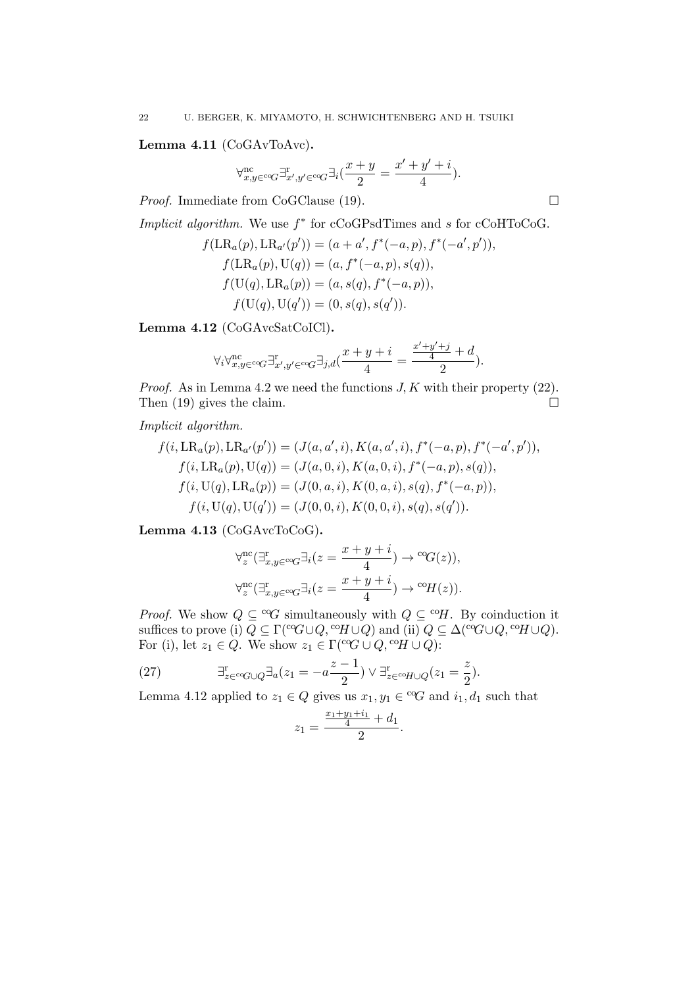Lemma 4.11 (CoGAvToAvc).

$$
\forall_{x,y\in {^{c\mathrm{o}}G}}^{\mathrm{nc}}\exists_{x',y'\in {^{c\mathrm{o}}G}}^{\mathrm{r}}\exists_i(\frac{x+y}{2}=\frac{x'+y'+i}{4}).
$$

*Proof.* Immediate from CoGClause (19).  $\Box$ 

Implicit algorithm. We use  $f^*$  for cCoGPsdTimes and s for cCoHToCoG.

$$
f(\text{LR}_a(p), \text{LR}_{a'}(p')) = (a + a', f^*(-a, p), f^*(-a', p')),f(\text{LR}_a(p), \text{U}(q)) = (a, f^*(-a, p), s(q)),f(\text{U}(q), \text{LR}_a(p)) = (a, s(q), f^*(-a, p)),f(\text{U}(q), \text{U}(q')) = (0, s(q), s(q')).
$$

Lemma 4.12 (CoGAvcSatCoICl).

$$
\forall_i \forall_{x,y \in \text{co}G}^{\text{nc}} \exists_{x',y' \in \text{co}G}^x \exists_{j,d} (\frac{x+y+i}{4}=\frac{\frac{x'+y'+j}{4}+d}{2}).
$$

*Proof.* As in Lemma 4.2 we need the functions  $J, K$  with their property (22). Then  $(19)$  gives the claim.

Implicit algorithm.

$$
f(i, \text{LR}_a(p), \text{LR}_{a'}(p')) = (J(a, a', i), K(a, a', i), f^*(-a, p), f^*(-a', p')),f(i, \text{LR}_a(p), \text{U}(q)) = (J(a, 0, i), K(a, 0, i), f^*(-a, p), s(q)),f(i, \text{U}(q), \text{LR}_a(p)) = (J(0, a, i), K(0, a, i), s(q), f^*(-a, p)),f(i, \text{U}(q), \text{U}(q')) = (J(0, 0, i), K(0, 0, i), s(q), s(q')).
$$

Lemma 4.13 (CoGAvcToCoG).

$$
\begin{aligned} &\forall^{\text{nc}}_z(\exists^{\text{r}}_{x,y\in\text{co}G}\exists_i(z=\frac{x+y+i}{4})\rightarrow{^\text{co}\!G(z))},\\ &\forall^{\text{nc}}_z(\exists^{\text{r}}_{x,y\in\text{co}G}\exists_i(z=\frac{x+y+i}{4})\rightarrow{^\text{co}\!H(z))}. \end{aligned}
$$

*Proof.* We show  $Q \subseteq {}^{c_0}G$  simultaneously with  $Q \subseteq {}^{c_0}H$ . By coinduction it suffices to prove (i)  $Q \subseteq \Gamma({}^{\mathrm{cc}}G \cup Q, {}^{\mathrm{co}}H \cup Q)$  and (ii)  $Q \subseteq \Delta({}^{\mathrm{cc}}G \cup Q, {}^{\mathrm{co}}H \cup Q)$ . For (i), let  $z_1 \in Q$ . We show  $z_1 \in \Gamma({}^{\text{co}}\!G \cup Q, {}^{\text{co}}\!H \cup Q)$ :

(27) 
$$
\exists_{z \in {}^{co}G \cup Q}^{r} \exists_{a}(z_1 = -a \frac{z-1}{2}) \vee \exists_{z \in {}^{co}H \cup Q}^{r}(z_1 = \frac{z}{2}).
$$

Lemma 4.12 applied to  $z_1 \in Q$  gives us  $x_1, y_1 \in {}^{\text{c}}\mathcal{G}$  and  $i_1, d_1$  such that

$$
z_1 = \frac{\frac{x_1 + y_1 + i_1}{4} + d_1}{2}.
$$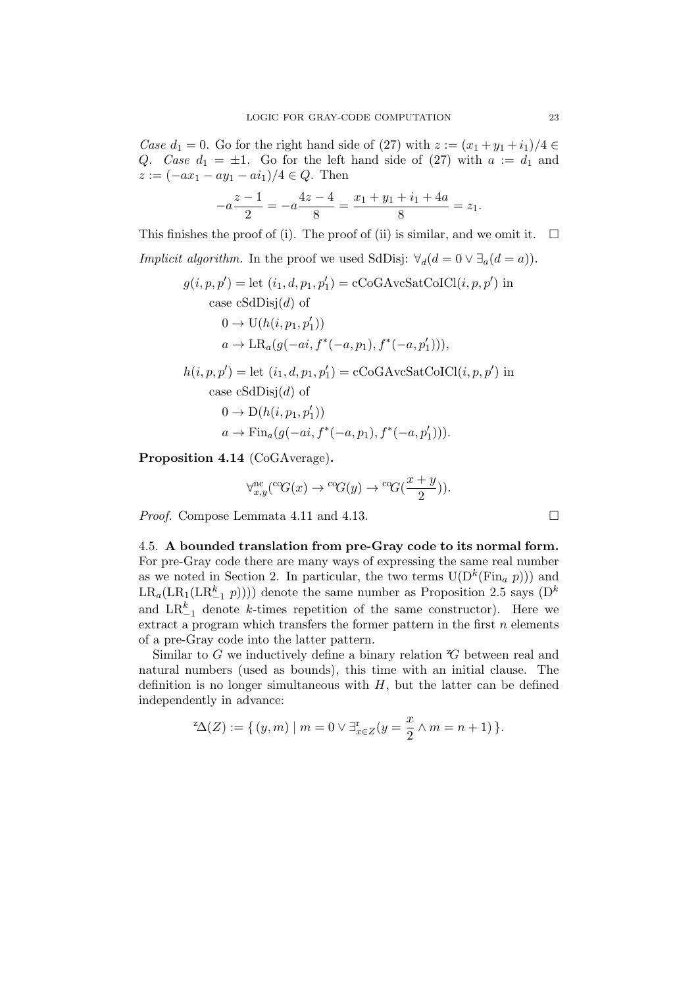Case  $d_1 = 0$ . Go for the right hand side of (27) with  $z := (x_1 + y_1 + i_1)/4 \in$ Q. Case  $d_1 = \pm 1$ . Go for the left hand side of (27) with  $a := d_1$  and  $z := (-ax_1 - ay_1 - ai_1)/4 \in Q$ . Then

$$
-a\frac{z-1}{2} = -a\frac{4z-4}{8} = \frac{x_1 + y_1 + i_1 + 4a}{8} = z_1.
$$

This finishes the proof of (i). The proof of (ii) is similar, and we omit it.  $\Box$ 

*Implicit algorithm*. In the proof we used SdDisj:  $\forall_d(d=0 \vee \exists_a(d=a)).$ 

$$
g(i, p, p') = \text{let } (i_1, d, p_1, p'_1) = \text{cCoGArcSatCoICl}(i, p, p') \text{ in}
$$
  
case cSdDisj(d) of  

$$
0 \to \text{U}(h(i, p_1, p'_1))
$$

$$
a \to \text{LR}_a(g(-ai, f^*(-a, p_1), f^*(-a, p'_1))),
$$

 $h(i, p, p') = \text{let } (i_1, d, p_1, p'_1) = \text{cCoGAccSatCoICl}(i, p, p') \text{ in}$ case  $cSdDisj(d)$  of

$$
0 \to D(h(i, p_1, p'_1))
$$
  

$$
a \to \text{Fin}_a(g(-ai, f^*(-a, p_1), f^*(-a, p'_1))).
$$

Proposition 4.14 (CoGAverage).

$$
\forall_{x,y}^{\text{nc}}(^{\text{co}}G(x) \rightarrow {^{\text{co}}G(y)} \rightarrow {^{\text{co}}G(\frac{x+y}{2})}).
$$

*Proof.* Compose Lemmata 4.11 and 4.13. □

4.5. A bounded translation from pre-Gray code to its normal form. For pre-Gray code there are many ways of expressing the same real number as we noted in Section 2. In particular, the two terms  $U(D^k(Fin_a p)))$  and  $LR_a(LR_1(LR_{-1}^k p))))$  denote the same number as Proposition 2.5 says  $(D^k)$ and  $LR_{-1}^k$  denote k-times repetition of the same constructor). Here we extract a program which transfers the former pattern in the first  $n$  elements of a pre-Gray code into the latter pattern.

Similar to  $G$  we inductively define a binary relation  $G$  between real and natural numbers (used as bounds), this time with an initial clause. The definition is no longer simultaneous with  $H$ , but the latter can be defined independently in advance:

$$
{}^{\mathbf{z}}\Delta(Z) := \{ (y,m) \mid m = 0 \vee \exists_{x \in Z}^{\mathbf{r}} (y = \frac{x}{2} \wedge m = n+1) \}.
$$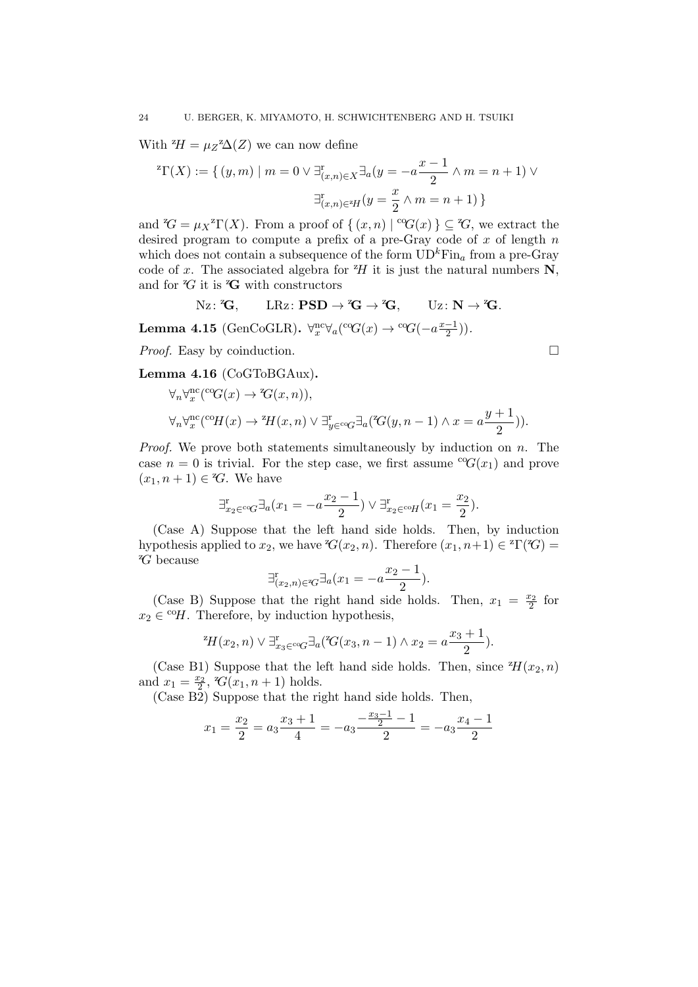With  ${}^{z}H = \mu_Z Z \Delta(Z)$  we can now define

$$
{}^{z}\Gamma(X) := \{ (y, m) \mid m = 0 \lor \exists_{(x, n) \in X}^{r} \exists_{a} (y = -a \frac{x-1}{2} \land m = n+1) \lor \exists_{(x, n) \in {}^{z}\!H}^{r} (y = \frac{x}{2} \land m = n+1) \}
$$

and  ${}^{\alpha}G = \mu_X {}^{\alpha} \Gamma(X)$ . From a proof of  $\{(x, n) | {}^{\alpha}G(x)\} \subseteq {}^{\alpha}G$ , we extract the desired program to compute a prefix of a pre-Gray code of  $x$  of length  $n$ which does not contain a subsequence of the form  $\text{UD}^k\text{Fin}_a$  from a pre-Gray code of x. The associated algebra for  $^zH$  it is just the natural numbers N, and for  ${}^z\!G$  it is  ${}^z\!G$  with constructors

$$
\text{Nz}\colon {^z}\!G,\qquad \text{LRz}\colon\mathbf{PSD}\to {^z}\!G\to {^z}\!G,\qquad \text{Uz}\colon\mathbf{N}\to {^z}\!G.
$$

Lemma 4.15 (GenCoGLR).  $\forall x \forall a (^c G(x) \rightarrow {^c G}(-a\frac{x-1}{2})$  $\frac{-1}{2})$ ).

*Proof.* Easy by coinduction. □

Lemma 4.16 (CoGToBGAux).

$$
\forall n \forall x^{\text{nc}}(^{\text{co}}G(x) \rightarrow {^x\!G(x,n)}),
$$
  

$$
\forall n \forall x^{\text{nc}}(^{\text{co}}H(x) \rightarrow {^x\!H(x,n)} \lor \exists_{y \in {^{\text{co}}}\!G}^{\exists} \exists_a(^{\text{Z}}G(y,n-1) \land x = a\frac{y+1}{2})).
$$

*Proof.* We prove both statements simultaneously by induction on  $n$ . The case  $n = 0$  is trivial. For the step case, we first assume  ${}^{c}G(x_1)$  and prove  $(x_1, n+1) \in {}^z\!G$ . We have

$$
\exists_{x_2 \in {}^c \circ G}^{\mathbf{r}} \exists_a (x_1 = -a \frac{x_2 - 1}{2}) \lor \exists_{x_2 \in {}^c \circ H}^{\mathbf{r}} (x_1 = \frac{x_2}{2}).
$$

(Case A) Suppose that the left hand side holds. Then, by induction hypothesis applied to  $x_2$ , we have  $\mathcal{C}(x_2, n)$ . Therefore  $(x_1, n+1) \in \mathcal{C}(X)$  ${}^z\!G$  because

$$
\exists_{(x_2,n)\in\mathscr{C}}^{\mathrm{r}}\exists_a(x_1=-a\frac{x_2-1}{2}).
$$

(Case B) Suppose that the right hand side holds. Then,  $x_1 = \frac{x_2}{2}$  for  $x_2 \in {}^{co}\!H$ . Therefore, by induction hypothesis,

$$
{}^{z}H(x_2,n) \vee \exists_{x_3 \in {^{c}Q}}^{\mathrm{r}} \exists_a ({}^{z}G(x_3,n-1) \wedge x_2 = a\frac{x_3+1}{2}).
$$

(Case B1) Suppose that the left hand side holds. Then, since  $^2H(x_2, n)$ and  $x_1 = \frac{x_2}{2}$ ,  $\mathcal{C}(x_1, n+1)$  holds.

(Case B2) Suppose that the right hand side holds. Then,

$$
x_1 = \frac{x_2}{2} = a_3 \frac{x_3 + 1}{4} = -a_3 \frac{-\frac{x_3 - 1}{2} - 1}{2} = -a_3 \frac{x_4 - 1}{2}
$$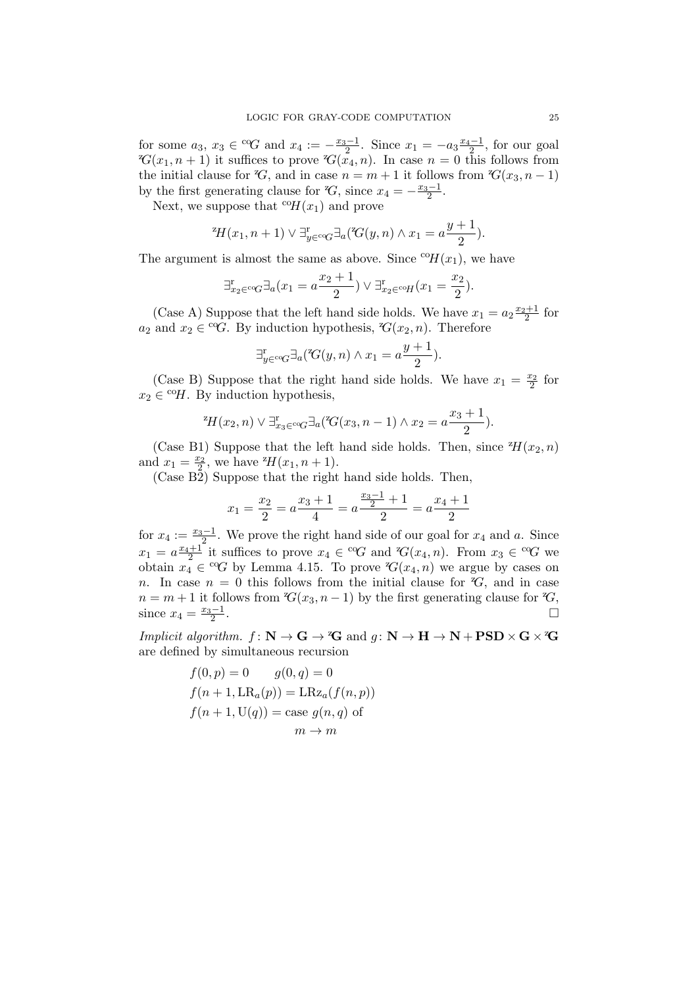for some  $a_3, x_3 \in {}^{c_0}G$  and  $x_4 := -\frac{x_3-1}{2}$ . Since  $x_1 = -a_3 \frac{x_4-1}{2}$ , for our goal  $\mathcal{C}(x_1, n+1)$  it suffices to prove  $\mathcal{C}(x_4, n)$ . In case  $n = 0$  this follows from the initial clause for  $\mathcal{C}_1$ , and in case  $n = m + 1$  it follows from  $\mathcal{C}_2(x_3, n - 1)$ by the first generating clause for  $\mathcal{C}_1$ , since  $x_4 = -\frac{x_3-1}{2}$ .

Next, we suppose that  ${}^{c}H(x_1)$  and prove

$$
{}^{z}\!H(x_1, n+1) \vee \exists_{y \in {}^{c}{}^{c}{}\mathcal{G}}^{\exists}{}_{a}({}^{z}\!G(y, n) \wedge x_1 = a\frac{y+1}{2}).
$$

The argument is almost the same as above. Since  ${}^{c}\text{o}H(x_1)$ , we have

$$
\exists_{x_2 \in {}^{c} \circ G}^{\mathbf{r}} \exists_a (x_1 = a \frac{x_2 + 1}{2}) \lor \exists_{x_2 \in {}^{c} \circ H}^{\mathbf{r}} (x_1 = \frac{x_2}{2}).
$$

(Case A) Suppose that the left hand side holds. We have  $x_1 = a_2 \frac{x_2+1}{2}$  for  $a_2$  and  $x_2 \in {}^{c}G$ . By induction hypothesis,  ${}^{z}G(x_2, n)$ . Therefore

$$
\exists_{y \in {}^{c} \circ G}^{r} \exists_{a}({}^{z}G(y,n) \land x_{1} = a\frac{y+1}{2}).
$$

(Case B) Suppose that the right hand side holds. We have  $x_1 = \frac{x_2}{2}$  for  $x_2 \in {}^{\mathrm{co}}\!H$ . By induction hypothesis,

<sup>z</sup>
$$
H(x_2, n) \vee \exists_{x_3 \in {^{c}c}G}^{\mathbb{P}} \exists_a({^{z}G(x_3, n-1) \wedge x_2} = a\frac{x_3+1}{2}).
$$

(Case B1) Suppose that the left hand side holds. Then, since  $^2H(x_2, n)$ and  $x_1 = \frac{x_2}{2}$ , we have  $^2H(x_1, n+1)$ .

(Case B2) Suppose that the right hand side holds. Then,

$$
x_1 = \frac{x_2}{2} = a\frac{x_3+1}{4} = a\frac{\frac{x_3-1}{2}+1}{2} = a\frac{x_4+1}{2}
$$

for  $x_4 := \frac{x_3-1}{2}$ . We prove the right hand side of our goal for  $x_4$  and a. Since  $x_1 = a \frac{x_4+1}{2}$  it suffices to prove  $x_4 \in {}^{c}G$  and  ${}^{z}G(x_4, n)$ . From  $x_3 \in {}^{c}G$  we obtain  $x_4 \in {}^{c}G$  by Lemma 4.15. To prove  $G(x_4, n)$  we argue by cases on n. In case  $n = 0$  this follows from the initial clause for  $\mathcal{C}_1$ , and in case  $n = m + 1$  it follows from  $\mathcal{C}(x_3, n-1)$  by the first generating clause for  $\mathcal{C}(x_3, n-1)$ since  $x_4 = \frac{x_3 - 1}{2}$ .

*Implicit algorithm.*  $f: \mathbb{N} \to \mathbb{G} \to \mathbb{Z}$  and  $g: \mathbb{N} \to \mathbb{H} \to \mathbb{N} + \text{PSD} \times \mathbb{G} \times \mathbb{Z}$ are defined by simultaneous recursion

$$
f(0, p) = 0 \t g(0, q) = 0
$$
  

$$
f(n + 1, LR_a(p)) = LRz_a(f(n, p))
$$
  

$$
f(n + 1, U(q)) = \text{case } g(n, q) \text{ of}
$$
  

$$
m \to m
$$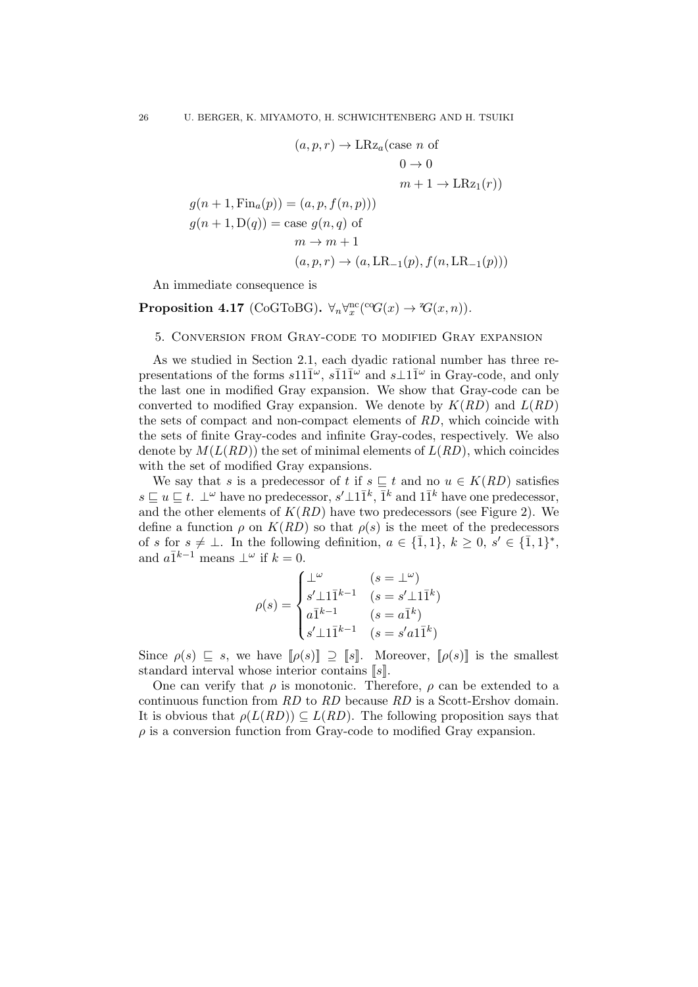$$
(a, p, r) \rightarrow \text{LRz}_a(\text{case } n \text{ of } 0 \rightarrow 0
$$
  

$$
0 \rightarrow 0
$$
  

$$
m + 1 \rightarrow \text{LRz}_1(r))
$$
  

$$
g(n + 1, \text{Fin}_a(p)) = (a, p, f(n, p)))
$$
  

$$
g(n + 1, \text{D}(q)) = \text{case } g(n, q) \text{ of }
$$
  

$$
m \rightarrow m + 1
$$
  

$$
(a, p, r) \rightarrow (a, \text{LR}_{-1}(p), f(n, \text{LR}_{-1}(p)))
$$

An immediate consequence is

# Proposition 4.17 (CoGToBG).  $\forall_n \forall_x^{\text{nc}}(\text{°G}(x) \rightarrow \text{°G}(x,n)).$

# 5. Conversion from Gray-code to modified Gray expansion

As we studied in Section 2.1, each dyadic rational number has three representations of the forms  $s11\overline{1}^{\omega}$ ,  $s\overline{1}1\overline{1}^{\omega}$  and  $s\bot 1\overline{1}^{\omega}$  in Gray-code, and only the last one in modified Gray expansion. We show that Gray-code can be converted to modified Gray expansion. We denote by  $K(RD)$  and  $L(RD)$ the sets of compact and non-compact elements of RD, which coincide with the sets of finite Gray-codes and infinite Gray-codes, respectively. We also denote by  $M(L(RD))$  the set of minimal elements of  $L(RD)$ , which coincides with the set of modified Gray expansions.

We say that s is a predecessor of t if  $s \subseteq t$  and no  $u \in K(RD)$  satisfies  $s \sqsubseteq u \sqsubseteq t$ . ⊥<sup>ω</sup> have no predecessor,  $s' \perp 1 \bar{1}^k$ ,  $\bar{1}^k$  and  $1 \bar{1}^k$  have one predecessor, and the other elements of  $K(RD)$  have two predecessors (see Figure 2). We define a function  $\rho$  on  $K(RD)$  so that  $\rho(s)$  is the meet of the predecessors of s for  $s \neq \bot$ . In the following definition,  $a \in \{1,1\}$ ,  $k \geq 0$ ,  $s' \in \{1,1\}^*$ , and  $a\overline{1}^{k-1}$  means  $\perp^{\omega}$  if  $k=0$ .

$$
\rho(s) = \begin{cases} \bot^{\omega} & (s = \bot^{\omega}) \\ s'\bot 1\bar{1}^{k-1} & (s = s'\bot 1\bar{1}^{k}) \\ a\bar{1}^{k-1} & (s = a\bar{1}^{k}) \\ s'\bot 1\bar{1}^{k-1} & (s = s'a1\bar{1}^{k}) \end{cases}
$$

Since  $\rho(s) \subseteq s$ , we have  $[\rho(s)] \supseteq [\![s]\!]$ . Moreover,  $[\![\rho(s)]\!]$  is the smallest standard interval whose interior contains  $[s]$ .

One can verify that  $\rho$  is monotonic. Therefore,  $\rho$  can be extended to a continuous function from RD to RD because RD is a Scott-Ershov domain. It is obvious that  $\rho(L(RD)) \subseteq L(RD)$ . The following proposition says that  $\rho$  is a conversion function from Gray-code to modified Gray expansion.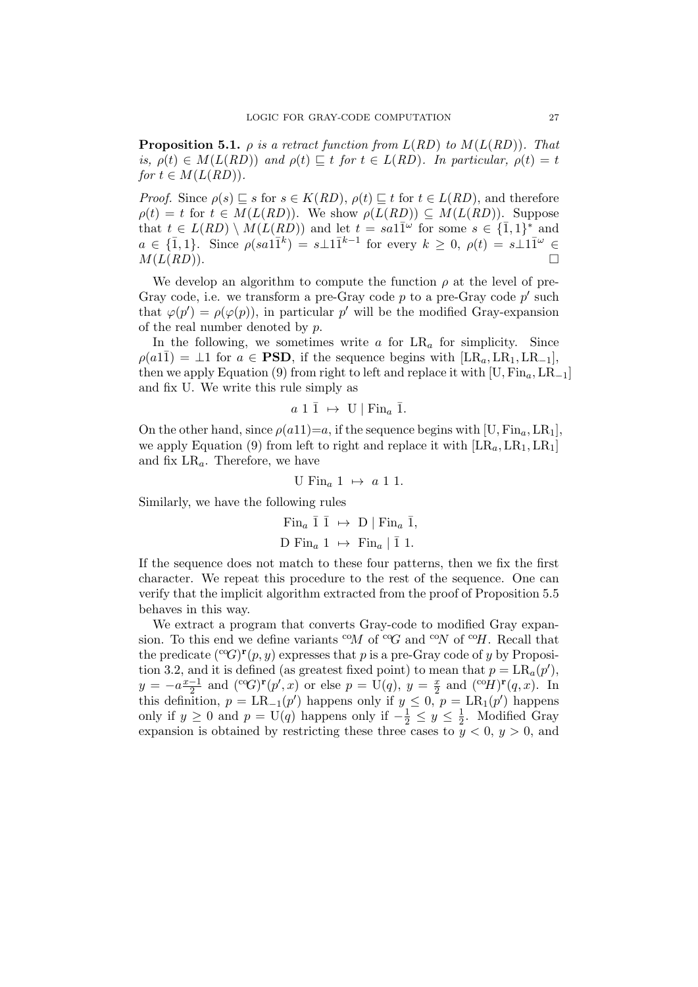**Proposition 5.1.**  $\rho$  is a retract function from  $L(RD)$  to  $M(L(RD))$ . That is,  $\rho(t) \in M(L(RD))$  and  $\rho(t) \sqsubseteq t$  for  $t \in L(RD)$ . In particular,  $\rho(t) = t$ for  $t \in M(L(RD))$ .

*Proof.* Since  $\rho(s) \sqsubseteq s$  for  $s \in K(RD)$ ,  $\rho(t) \sqsubseteq t$  for  $t \in L(RD)$ , and therefore  $\rho(t) = t$  for  $t \in M(L(RD))$ . We show  $\rho(L(RD)) \subseteq M(L(RD))$ . Suppose that  $t \in L(RD) \setminus M(L(RD))$  and let  $t = sa1\overline{1}^{\omega}$  for some  $s \in {\overline{1,1}}^*$  and  $a \in \{\bar{1},1\}$ . Since  $\rho(sa1\bar{1}^k) = s \perp 1\bar{1}^{k-1}$  for every  $k \geq 0$ ,  $\rho(t) = s \perp 1\bar{1}^{\omega} \in$  $M(L(RD)).$ 

We develop an algorithm to compute the function  $\rho$  at the level of pre-Gray code, i.e. we transform a pre-Gray code  $p$  to a pre-Gray code  $p'$  such that  $\varphi(p') = \rho(\varphi(p))$ , in particular p' will be the modified Gray-expansion of the real number denoted by  $p$ .

In the following, we sometimes write  $a$  for  $LR_a$  for simplicity. Since  $\rho(a11) = \perp 1$  for  $a \in \textbf{PSD}$ , if the sequence begins with  $\text{LR}_a, \text{LR}_1, \text{LR}_{-1}$ , then we apply Equation (9) from right to left and replace it with [U, Fin<sub>a</sub>, LR<sub>−1</sub>] and fix U. We write this rule simply as

$$
a\ 1\ \bar{1}\ \mapsto\ U\ |\ \mathrm{Fin}_{a}\ \bar{1}.
$$

On the other hand, since  $\rho(a11)=a$ , if the sequence begins with [U, Fin<sub>a</sub>, LR<sub>1</sub>], we apply Equation (9) from left to right and replace it with  $[LR<sub>a</sub>, LR<sub>1</sub>, LR<sub>1</sub>]$ and fix  $LR_a$ . Therefore, we have

$$
U \t\text{Fin}_a 1 \mapsto a 1 1.
$$

Similarly, we have the following rules

$$
\text{Fin}_a \, \bar{1} \, \bar{1} \ \mapsto \ D \mid \text{Fin}_a \, \bar{1},
$$
\n
$$
\text{D Fin}_a \, 1 \ \mapsto \ \text{Fin}_a \mid \bar{1} \, 1.
$$

If the sequence does not match to these four patterns, then we fix the first character. We repeat this procedure to the rest of the sequence. One can verify that the implicit algorithm extracted from the proof of Proposition 5.5 behaves in this way.

We extract a program that converts Gray-code to modified Gray expansion. To this end we define variants  ${}^{c_0}M$  of  ${}^{c_0}G$  and  ${}^{c_0}N$  of  ${}^{c_0}H$ . Recall that the predicate  $({}^{\rm co}G)^{\rm r}(p, y)$  expresses that p is a pre-Gray code of y by Proposition 3.2, and it is defined (as greatest fixed point) to mean that  $p = LR_a(p')$ ,  $y = -a \frac{x-1}{2}$  $\frac{-1}{2}$  and  $({}^{co}G)^{r}(p',x)$  or else  $p = U(q), y = \frac{x}{2}$  $rac{x}{2}$  and  $({}^{\mathrm{co}}H)^{\mathbf{r}}(q,x)$ . In this definition,  $p = LR_{-1}(p')$  happens only if  $y \le 0, p = LR_1(p')$  happens only if  $y \ge 0$  and  $p = U(q)$  happens only if  $-\frac{1}{2} \le y \le \frac{1}{2}$  $\frac{1}{2}$ . Modified Gray expansion is obtained by restricting these three cases to  $y < 0$ ,  $y > 0$ , and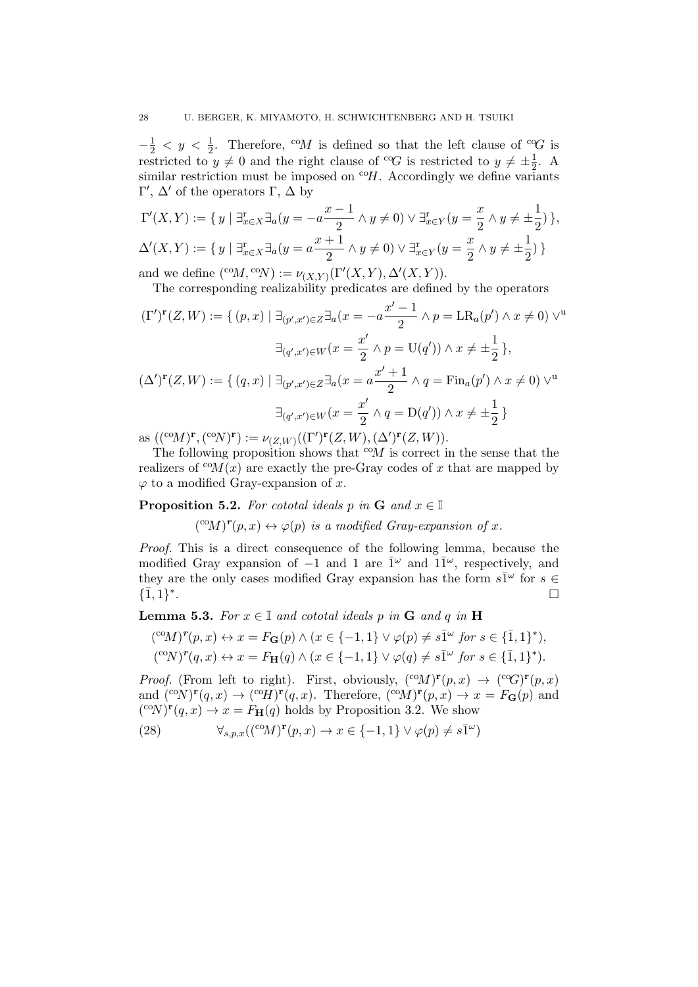$-\frac{1}{2} < y < \frac{1}{2}$ . Therefore, <sup>co</sup>M is defined so that the left clause of <sup>co</sup>G is restricted to  $y \neq 0$  and the right clause of <sup>co</sup>G is restricted to  $y \neq \pm \frac{1}{2}$  $\frac{1}{2}$ . A similar restriction must be imposed on  ${}^{c}\theta H$ . Accordingly we define variants Γ',  $\Delta'$  of the operators Γ,  $\Delta$  by

$$
\Gamma'(X,Y) := \{ y \mid \exists_{x \in X}^r \exists_a (y = -a \frac{x-1}{2} \land y \neq 0) \lor \exists_{x \in Y}^r (y = \frac{x}{2} \land y \neq \pm \frac{1}{2}) \},
$$
  

$$
\Delta'(X,Y) := \{ y \mid \exists_{x \in X}^r \exists_a (y = a \frac{x+1}{2} \land y \neq 0) \lor \exists_{x \in Y}^r (y = \frac{x}{2} \land y \neq \pm \frac{1}{2}) \}
$$

and we define  $({}^{\mathrm{co}}M,{}^{\mathrm{co}}N) := \nu_{(X,Y)}(\Gamma'(X,Y), \Delta'(X,Y)).$ 

The corresponding realizability predicates are defined by the operators

$$
(\Gamma')^{\mathbf{r}}(Z, W) := \{ (p, x) \mid \exists_{(p', x') \in Z} \exists_a (x = -a \frac{x' - 1}{2} \land p = \text{LR}_a(p') \land x \neq 0) \lor^{u}
$$

$$
\exists_{(q', x') \in W} (x = \frac{x'}{2} \land p = \text{U}(q')) \land x \neq \pm \frac{1}{2} \},
$$

$$
(\Delta')^{\mathbf{r}}(Z, W) := \{ (q, x) \mid \exists_{(p', x') \in Z} \exists_a (x = a \frac{x' + 1}{2} \land q = \text{Fin}_a(p') \land x \neq 0) \lor^{u}
$$

$$
\exists_{(q', x') \in W} (x = \frac{x'}{2} \land q = \text{D}(q')) \land x \neq \pm \frac{1}{2} \}
$$

as  $((\mathcal{C}\circ M)^{\mathbf{r}}, (\mathcal{C}\circ N)^{\mathbf{r}}) := \nu_{(Z,W)}((\Gamma')^{\mathbf{r}}(Z,W), (\Delta')^{\mathbf{r}}(Z,W)).$ 

The following proposition shows that  $\alpha M$  is correct in the sense that the realizers of  ${}^{co}M(x)$  are exactly the pre-Gray codes of x that are mapped by  $\varphi$  to a modified Gray-expansion of x.

**Proposition 5.2.** For cototal ideals p in **G** and  $x \in \mathbb{I}$ 

 $({}^{\text{co}}M)^{r}(p, x) \leftrightarrow \varphi(p)$  is a modified Gray-expansion of x.

Proof. This is a direct consequence of the following lemma, because the modified Gray expansion of  $-1$  and 1 are  $\bar{1}^{\omega}$  and  $1\bar{1}^{\omega}$ , respectively, and they are the only cases modified Gray expansion has the form  $s\bar{1}^{\omega}$  for  $s \in$  $\{\bar{1},1\}^*$ .

**Lemma 5.3.** For  $x \in \mathbb{I}$  and cototal ideals p in **G** and q in **H** 

$$
({}^{\mathrm{co}}M)^{r}(p,x) \leftrightarrow x = F_{\mathbf{G}}(p) \land (x \in \{-1,1\} \lor \varphi(p) \neq s\overline{1}^{\omega} \text{ for } s \in \{\overline{1},1\}^*),
$$
  

$$
({}^{\mathrm{co}}N)^{r}(q,x) \leftrightarrow x = F_{\mathbf{H}}(q) \land (x \in \{-1,1\} \lor \varphi(q) \neq s\overline{1}^{\omega} \text{ for } s \in \{\overline{1},1\}^*).
$$

*Proof.* (From left to right). First, obviously,  $({}^{\text{co}}M)^{\mathbf{r}}(p,x) \rightarrow ({}^{\text{co}}G)^{\mathbf{r}}(p,x)$ and  $({}^{\text{co}}N)^{\mathbf{r}}(q,x) \to ({}^{\text{co}}H)^{\mathbf{r}}(q,x)$ . Therefore,  $({}^{\text{co}}M)^{\mathbf{r}}(p,x) \to x = F_{\mathbf{G}}(p)$  and  $({}^{\text{co}}N)^{\mathbf{r}}(q,x) \to x = F_{\mathbf{H}}(q)$  holds by Proposition 3.2. We show

(28) 
$$
\forall_{s,p,x} (({}^{\text{co}}M)^{\text{r}}(p,x) \to x \in \{-1,1\} \lor \varphi(p) \neq s\overline{1}^{\omega})
$$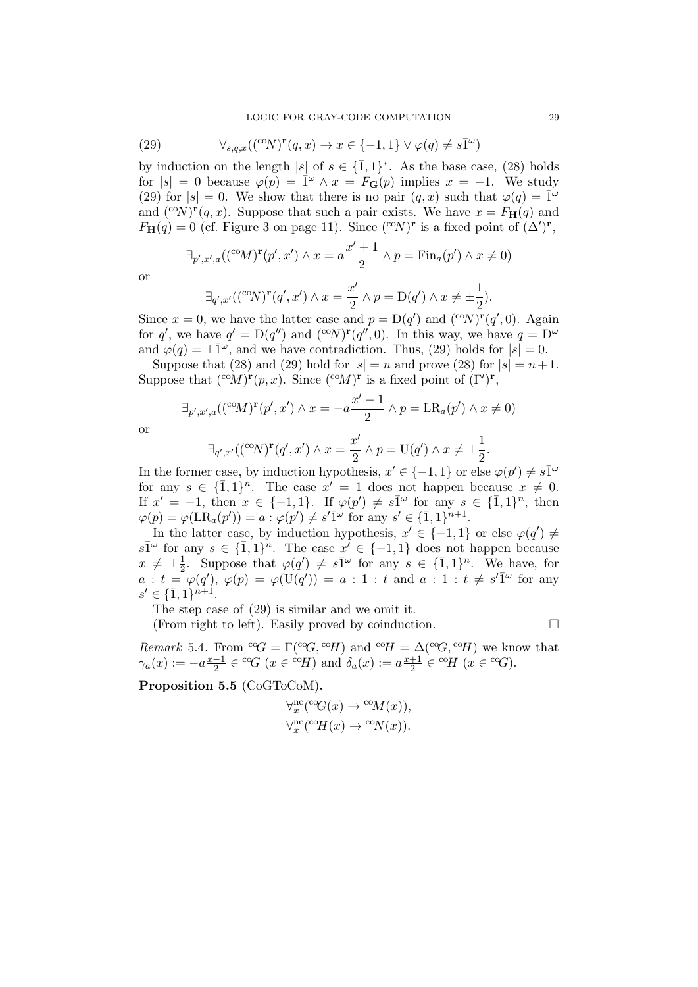(29) 
$$
\forall_{s,q,x} ((^{c_0}N)^r(q,x) \to x \in \{-1,1\} \vee \varphi(q) \neq s\overline{1}^{\omega})
$$

by induction on the length |s| of  $s \in {\overline{1}, 1}^*$ . As the base case, (28) holds for  $|s| = 0$  because  $\varphi(p) = \mathbb{I}^{\omega} \wedge x = F_{\mathbf{G}}(p)$  implies  $x = -1$ . We study (29) for  $|s| = 0$ . We show that there is no pair  $(q, x)$  such that  $\varphi(q) = \overline{1}^{\omega}$ and  $({}^{\text{co}}N)^{\mathbf{r}}(q,x)$ . Suppose that such a pair exists. We have  $x = F_{\mathbf{H}}(q)$  and  $F_{\mathbf{H}}(q) = 0$  (cf. Figure 3 on page 11). Since  $({}^{\text{co}}N)^{\mathbf{r}}$  is a fixed point of  $(\Delta')^{\mathbf{r}}$ ,

$$
\exists_{p',x',a}((^{co}M)^{\mathbf{r}}(p',x') \land x = a\frac{x'+1}{2} \land p = \text{Fin}_{a}(p') \land x \neq 0)
$$

$$
\quad \text{or} \quad
$$

$$
\exists_{q',x'} (({}^{\mathrm{co}}N)^{\mathbf{r}}(q',x') \wedge x = \frac{x'}{2} \wedge p = \mathrm{D}(q') \wedge x \neq \pm \frac{1}{2}).
$$

Since  $x = 0$ , we have the latter case and  $p = D(q')$  and  $({}^{\text{co}}N)^{\mathbf{r}}(q', 0)$ . Again for q', we have  $q' = D(q'')$  and  $({}^{\text{co}}N)^{r}(q'', 0)$ . In this way, we have  $q = D^{\omega}$ and  $\varphi(q) = \perp \bar{1}^{\omega}$ , and we have contradiction. Thus, (29) holds for  $|s| = 0$ .

Suppose that (28) and (29) hold for  $|s| = n$  and prove (28) for  $|s| = n+1$ . Suppose that  $({}^{\text{co}}M)^{\mathbf{r}}(p,x)$ . Since  $({}^{\text{co}}M)^{\mathbf{r}}$  is a fixed point of  $(\Gamma')^{\mathbf{r}}$ ,

$$
\exists_{p',x',a} ((^{co}M)^{\mathbf{r}}(p',x') \wedge x = -a \frac{x'-1}{2} \wedge p = \text{LR}_{a}(p') \wedge x \neq 0)
$$

or

$$
\exists_{q',x'} ((^{\text{co}}N)^{\mathbf{r}}(q',x') \land x = \frac{x'}{2} \land p = \mathcal{U}(q') \land x \neq \pm \frac{1}{2}.
$$

In the former case, by induction hypothesis,  $x' \in \{-1, 1\}$  or else  $\varphi(p') \neq s\overline{1}^{\omega}$ for any  $s \in {\overline{1}, 1}^n$ . The case  $x' = 1$  does not happen because  $x \neq 0$ . If  $x' = -1$ , then  $x \in \{-1,1\}$ . If  $\varphi(p') \neq s\overline{1}^{\omega}$  for any  $s \in \{\overline{1},1\}^n$ , then  $\varphi(p) = \varphi(\text{LR}_a(p')) = a : \varphi(p') \neq s'\overline{1}^{\omega} \text{ for any } s' \in {\overline{1,1}}^{n+1}.$ 

In the latter case, by induction hypothesis,  $x' \in \{-1,1\}$  or else  $\varphi(q') \neq$  $s\overline{1}^{\omega}$  for any  $s \in {\overline{1,1}}^n$ . The case  $x' \in {\{-1,1\}}$  does not happen because  $x \neq \pm \frac{1}{2}$  $\frac{1}{2}$ . Suppose that  $\varphi(q') \neq s\bar{1}^{\omega}$  for any  $s \in {\bar{1}, 1}^n$ . We have, for  $a : t = \varphi(q'), \varphi(p) = \varphi(\mathrm{U}(q')) = a : 1 : t \text{ and } a : 1 : t \neq s'\overline{1}^\omega \text{ for any }$  $s' \in {\bar{1}, 1}^{n+1}.$ 

The step case of (29) is similar and we omit it.

(From right to left). Easily proved by coinduction.

$$
\mathcal{L}_{\mathcal{A}}
$$

Remark 5.4. From  ${}^cG = \Gamma({}^cG, {}^cH)$  and  ${}^cH = \Delta({}^cG, {}^cH)$  we know that  $\gamma_a(x) := -a\frac{x-1}{2}$  $\frac{-1}{2} \in {^c}G \ (x \in {^c}H)$  and  $\delta_a(x) := a\frac{x+1}{2}$  $\frac{+1}{2} \in {}^{co}H \ (x \in {}^{co}G).$ 

Proposition 5.5 (CoGToCoM).

$$
\forall_x^{\text{nc}}(\text{°G}(x) \to \text{°O}(x)),
$$
  

$$
\forall_x^{\text{nc}}(\text{°G}(x) \to \text{°O}(x)).
$$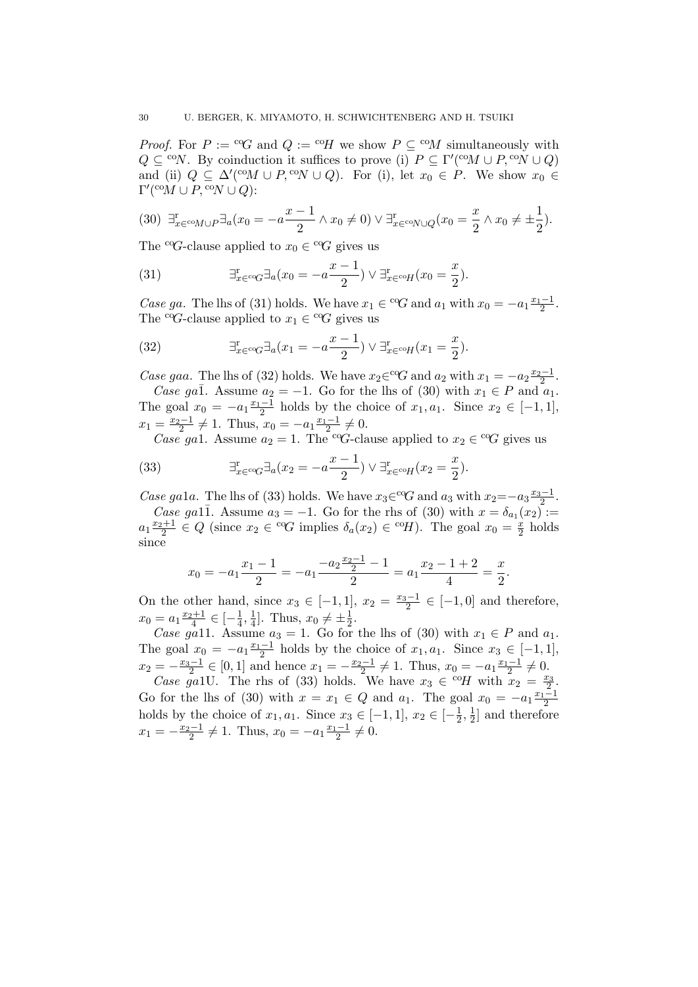*Proof.* For  $P := {}^{c_0}G$  and  $Q := {}^{c_0}H$  we show  $P \subseteq {}^{c_0}M$  simultaneously with  $Q \subseteq {}^{co}N$ . By coinduction it suffices to prove (i)  $P \subseteq \Gamma'({}^{co}M \cup P, {}^{co}N \cup Q)$ and (ii)  $Q \subseteq \Delta'({}^{\text{co}} M \cup P, {}^{\text{co}} N \cup Q)$ . For (i), let  $x_0 \in P$ . We show  $x_0 \in$  $\Gamma'({}^{\mathrm{co}}\hspace{-0.04cm}M\cup P,{}^{\mathrm{co}}\hspace{-0.04cm}N\cup Q)$ :

$$
(30) \ \exists_{x \in {}^{\text{co}} M \cup P}^{\text{T}} \exists_a (x_0 = -a \frac{x-1}{2} \land x_0 \neq 0) \lor \exists_{x \in {}^{\text{co}} N \cup Q}^{\text{r}} (x_0 = \frac{x}{2} \land x_0 \neq \pm \frac{1}{2}).
$$

The <sup>co</sup>G-clause applied to  $x_0 \in {}^{c}G$  gives us

(31) 
$$
\exists_{x \in {}^{c}G}^{\mathrm{r}} \exists_a (x_0 = -a \frac{x-1}{2}) \vee \exists_{x \in {}^{c}H}^{\mathrm{r}} (x_0 = \frac{x}{2}).
$$

Case ga. The lhs of (31) holds. We have  $x_1 \in {}^{c}G$  and  $a_1$  with  $x_0 = -a_1 \frac{x_1-1}{2}$ . The <sup>co</sup>G-clause applied to  $x_1 \in {}^{c}G$  gives us

(32) 
$$
\exists_{x \in {}^{c}G}^{\mathrm{r}} \exists_a (x_1 = -a \frac{x-1}{2}) \vee \exists_{x \in {}^{c}H}^{\mathrm{r}} (x_1 = \frac{x}{2}).
$$

Case gaa. The lhs of (32) holds. We have  $x_2 \in {}^{\text{cog}} G$  and  $a_2$  with  $x_1 = -a_2 \frac{x_2-1}{2}$ . Case ga $\overline{1}$ . Assume  $a_2 = -1$ . Go for the lhs of (30) with  $x_1 \in P$  and  $a_1$ . The goal  $x_0 = -a_1 \frac{x_1-1}{2}$  holds by the choice of  $x_1, a_1$ . Since  $x_2 \in [-1, 1]$ ,  $x_1 = \frac{x_2 - 1}{2} \neq 1$ . Thus,  $x_0 = -a_1 \frac{x_1 - 1}{2} \neq 0$ .

*Case ga1.* Assume  $a_2 = 1$ . The <sup>co</sup>G-clause applied to  $x_2 \in {}^{\text{cog}} G$  gives us

(33) 
$$
\exists_{x \in {}^{c}G}^{\mathrm{T}} \exists_{a} (x_2 = -a \frac{x-1}{2}) \vee \exists_{x \in {}^{c}H}^{\mathrm{T}} (x_2 = \frac{x}{2}).
$$

Case ga1a. The lhs of (33) holds. We have  $x_3 \in {}^{\text{co}}G$  and  $a_3$  with  $x_2 = -a_3 \frac{x_3-1}{2}$ .

Case ga11. Assume  $a_3 = -1$ . Go for the rhs of (30) with  $x = \delta_{a_1}(x_2)$ :  $a_1 \frac{x_2+1}{2} \in Q$  (since  $x_2 \in {}^{c}G$  implies  $\delta_a(x_2) \in {}^{c}H$ ). The goal  $x_0 = \frac{x_2}{2}$  $\frac{x}{2}$  holds since

$$
x_0 = -a_1 \frac{x_1 - 1}{2} = -a_1 \frac{-a_2 \frac{x_2 - 1}{2} - 1}{2} = a_1 \frac{x_2 - 1 + 2}{4} = \frac{x}{2}.
$$

On the other hand, since  $x_3 \in [-1,1]$ ,  $x_2 = \frac{x_3-1}{2} \in [-1,0]$  and therefore,  $x_0 = a_1 \frac{x_2+1}{4} \in \left[-\frac{1}{4}\right]$  $\frac{1}{4}, \frac{1}{4}$  $\frac{1}{4}$ . Thus,  $x_0 \neq \pm \frac{1}{2}$  $rac{1}{2}$ .

Case ga11. Assume  $a_3 = 1$ . Go for the lhs of (30) with  $x_1 \in P$  and  $a_1$ . The goal  $x_0 = -a_1 \frac{x_1-1}{2}$  holds by the choice of  $x_1, a_1$ . Since  $x_3 \in [-1,1]$ , 2  $x_2 = -\frac{x_3-1}{2} \in [0,1]$  and hence  $x_1 = -\frac{x_2-1}{2} \neq 1$ . Thus,  $x_0 = -a_1 \frac{x_1-1}{2} \neq 0$ .

Case ga1U. The rhs of (33) holds. We have  $x_3 \in {}^{co}\!H$  with  $x_2 = \frac{x_3}{2}$ . Go for the lhs of (30) with  $x = x_1 \in Q$  and  $a_1$ . The goal  $x_0 = -a_1 \frac{x_1-1}{2}$ holds by the choice of  $x_1, a_1$ . Since  $x_3 \in [-1, 1], x_2 \in [-\frac{1}{2}]$  $\frac{1}{2}, \frac{1}{2}$  $\frac{1}{2}$  and therefore  $x_1 = -\frac{x_2 - 1}{2} \neq 1$ . Thus,  $x_0 = -a_1 \frac{x_1 - 1}{2} \neq 0$ .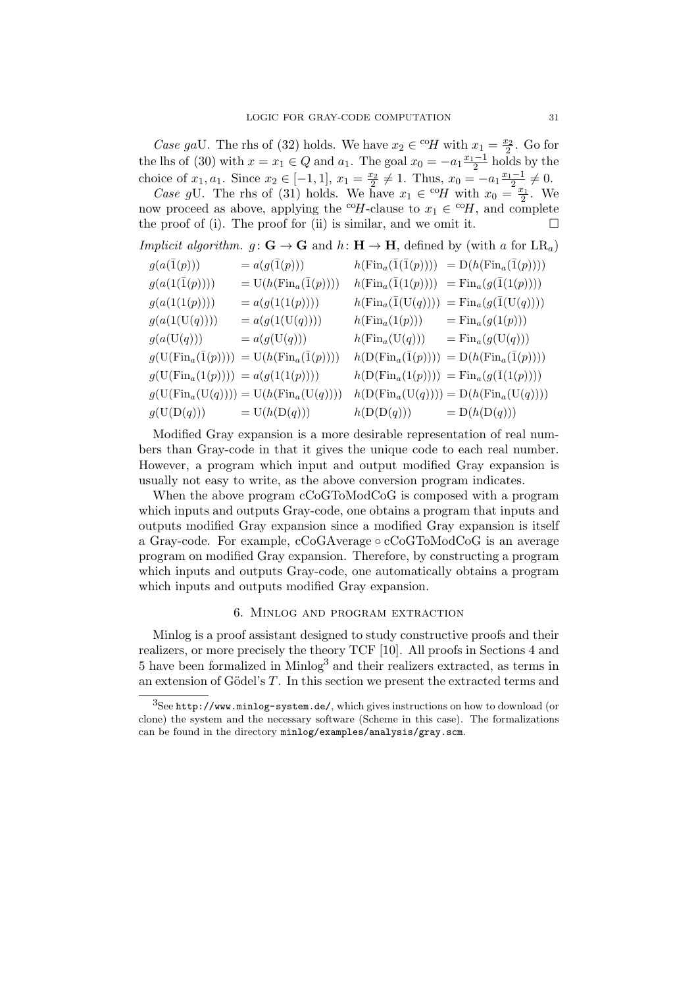Case gaU. The rhs of (32) holds. We have  $x_2 \in {}^{co}\!H$  with  $x_1 = \frac{x_2}{2}$ . Go for the lhs of (30) with  $x = x_1 \in Q$  and  $a_1$ . The goal  $x_0 = -a_1 \frac{x_1-1}{2}$  holds by the choice of  $x_1, a_1$ . Since  $x_2 \in [-1, 1], x_1 = \frac{x_2}{2} \neq 1$ . Thus,  $x_0 = -a_1 \frac{x_1-1}{2} \neq 0$ .

Case gU. The rhs of (31) holds. We have  $x_1 \in {}^{co}H$  with  $x_0 = \frac{x_1}{2}$ . We now proceed as above, applying the <sup>co</sup>H-clause to  $x_1 \in {}^{co}H$ , and complete the proof of (i). The proof for (ii) is similar, and we omit it.  $\Box$ 

|  | Implicit algorithm. $g: G \to G$ and $h: H \to H$ , defined by (with a for LR <sub>a</sub> ) |  |  |  |  |  |  |  |  |  |  |  |
|--|----------------------------------------------------------------------------------------------|--|--|--|--|--|--|--|--|--|--|--|
|--|----------------------------------------------------------------------------------------------|--|--|--|--|--|--|--|--|--|--|--|

| $g(a(\overline{1}(p)))$                      | $= a(g(\overline{1}(p)))$                                 |                                               | $h(\text{Fin}_{a}(\overline{1}(\overline{1}(p)))) = D(h(\text{Fin}_{a}(\overline{1}(p))))$ |
|----------------------------------------------|-----------------------------------------------------------|-----------------------------------------------|--------------------------------------------------------------------------------------------|
| $g(a(1(\bar{1}(p))))$                        | $= U(h(\text{Fin}_{a}(\overline{1}(p))))$                 | $h(\text{Fin}_{a}(\overline{1}(1(p))))$       | $= \text{Fin}_{a}(g(\bar{1}(1(p))))$                                                       |
| g(a(1(1(p))))                                | $= a(g(1(1(p))))$                                         | $h(\text{Fin}_{a}(\overline{1}(\text{U}(q)))$ | $= \mathrm{Fin}_a(g(\overline{1}(\mathrm{U}(q))))$                                         |
| g(a(1(U(q))))                                | $= a(g(1(U(q))))$                                         | $h(\text{Fin}_{a}(1(p)))$                     | $= \mathrm{Fin}_a(g(1(p)))$                                                                |
| g(a(U(q)))                                   | $= a(g(U(q)))$                                            | $h(\mathrm{Fin}_a(\mathrm{U}(q)))$            | $= \mathrm{Fin}_a(g(\mathrm{U}(q)))$                                                       |
| $g(U(\mathrm{Fin}_a(\overline{1}(p))))$      | $= U(h(\text{Fin}_{a}(\overline{1}(p))))$                 | $h(D(\text{Fin}_{a}(\overline{1}(p))))$       | $= D(h(\text{Fin}_{a}(\overline{1}(p))))$                                                  |
| $g(U(\text{Fin}_{a}(1(p)))) = a(g(1(1(p))))$ |                                                           |                                               | $h(D(\text{Fin}_{a}(1(p)))) = \text{Fin}_{a}(g(\overline{1}(1(p))))$                       |
|                                              | $g(U(\text{Fin}_{a}(U(q)))) = U(h(\text{Fin}_{a}(U(q))))$ |                                               | $h(D(\text{Fin}_{a}(\text{U}(q)))) = D(h(\text{Fin}_{a}(\text{U}(q))))$                    |
| g(U(D(q)))                                   | $= U(h(D(q)))$                                            | h(D(D(q)))                                    | $= D(h(D(q)))$                                                                             |

Modified Gray expansion is a more desirable representation of real numbers than Gray-code in that it gives the unique code to each real number. However, a program which input and output modified Gray expansion is usually not easy to write, as the above conversion program indicates.

When the above program cCoGToModCoG is composed with a program which inputs and outputs Gray-code, one obtains a program that inputs and outputs modified Gray expansion since a modified Gray expansion is itself a Gray-code. For example, cCoGAverage ◦ cCoGToModCoG is an average program on modified Gray expansion. Therefore, by constructing a program which inputs and outputs Gray-code, one automatically obtains a program which inputs and outputs modified Gray expansion.

# 6. Minlog and program extraction

Minlog is a proof assistant designed to study constructive proofs and their realizers, or more precisely the theory TCF [10]. All proofs in Sections 4 and 5 have been formalized in Minlog<sup>3</sup> and their realizers extracted, as terms in an extension of Gödel's  $T$ . In this section we present the extracted terms and

 ${}^{3}$ See **http://www.minlog-system.de/**, which gives instructions on how to download (or clone) the system and the necessary software (Scheme in this case). The formalizations can be found in the directory minlog/examples/analysis/gray.scm.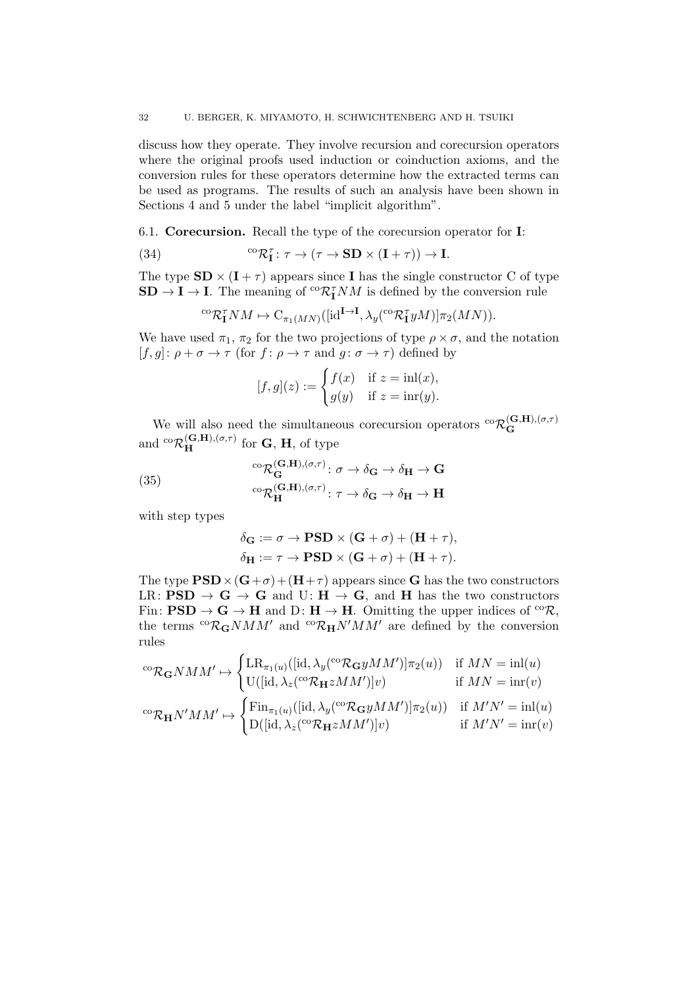discuss how they operate. They involve recursion and corecursion operators where the original proofs used induction or coinduction axioms, and the conversion rules for these operators determine how the extracted terms can be used as programs. The results of such an analysis have been shown in Sections 4 and 5 under the label "implicit algorithm".

6.1. Corecursion. Recall the type of the corecursion operator for I:

(34) 
$$
{}^{co}\mathcal{R}_{\mathbf{I}}^{\tau} : \tau \to (\tau \to \mathbf{SD} \times (\mathbf{I} + \tau)) \to \mathbf{I}.
$$

The type  $SD \times (I + \tau)$  appears since I has the single constructor C of type  $SD \rightarrow I \rightarrow I$ . The meaning of <sup>co</sup> $\mathcal{R}_{I}^{\tau}NM$  is defined by the conversion rule

$$
{}^{\mathrm{co}}\mathcal{R}_\mathbf{I}^{\tau}NM \mapsto \mathrm{C}_{\pi_1(MN)}([\mathrm{id}^{\mathbf{I}\to\mathbf{I}}, \lambda_y({}^{\mathrm{co}}\mathcal{R}_\mathbf{I}^{\tau}yM)]\pi_2(MN)).
$$

We have used  $\pi_1$ ,  $\pi_2$  for the two projections of type  $\rho \times \sigma$ , and the notation  $[f, g]: \rho + \sigma \to \tau \text{ (for } f: \rho \to \tau \text{ and } g: \sigma \to \tau \text{) defined by }$ 

$$
[f,g](z) := \begin{cases} f(x) & \text{if } z = \text{inl}(x), \\ g(y) & \text{if } z = \text{inr}(y). \end{cases}
$$

We will also need the simultaneous corecursion operators  ${}^{c\alpha}R_{\bf G}^{({\bf G},{\bf H}),(\sigma,\tau)}$ G and  ${}^{\text{co}}\mathcal{R}^{(\mathbf{G},\mathbf{H}),(\sigma,\tau)}_{\mathbf{H}}$  for  $\mathbf{G}, \mathbf{H}$ , of type

(35) 
$$
\begin{aligned}\n&\phantom{0}^{\text{co}}\mathcal{R}_{\mathbf{G}}^{(\mathbf{G},\mathbf{H}),(\sigma,\tau)}:\sigma\to\delta_{\mathbf{G}}\to\delta_{\mathbf{H}}\to\mathbf{G} \\
&\phantom{0}^{\text{co}}\mathcal{R}_{\mathbf{H}}^{(\mathbf{G},\mathbf{H}),(\sigma,\tau)}:\tau\to\delta_{\mathbf{G}}\to\delta_{\mathbf{H}}\to\mathbf{H}\n\end{aligned}
$$

with step types

$$
\delta_{\mathbf{G}} := \sigma \to \mathbf{PSD} \times (\mathbf{G} + \sigma) + (\mathbf{H} + \tau),
$$
  

$$
\delta_{\mathbf{H}} := \tau \to \mathbf{PSD} \times (\mathbf{G} + \sigma) + (\mathbf{H} + \tau).
$$

The type  $PSD \times (G+\sigma)+(H+\tau)$  appears since G has the two constructors LR:  $PSD \rightarrow G \rightarrow G$  and U:  $H \rightarrow G$ , and H has the two constructors Fin:  $PSD \to G \to H$  and  $D: H \to H$ . Omitting the upper indices of <sup>co</sup> $\mathcal{R}$ , the terms  ${}^{co}\mathcal{R}_{\mathbf{G}}NMM'$  and  ${}^{co}\mathcal{R}_{\mathbf{H}}N'MM'$  are defined by the conversion rules

$$
{}^{co}\mathcal{R}_{\mathbf{G}}NMM' \mapsto \begin{cases} \operatorname{LR}_{\pi_1(u)}([\operatorname{id}, \lambda_y({}^{co}\mathcal{R}_{\mathbf{G}}yMM')] \pi_2(u) ) & \text{if } MN = \operatorname{inl}(u) \\ \operatorname{U}([\operatorname{id}, \lambda_z({}^{co}\mathcal{R}_{\mathbf{H}}zMM'])]v) & \text{if } MN = \operatorname{inr}(v) \\ \operatorname{Fin}_{\pi_1(u)}([\operatorname{id}, \lambda_y({}^{co}\mathcal{R}_{\mathbf{G}}yMM')] \pi_2(u) ) & \text{if } M'N' = \operatorname{inl}(u) \\ \operatorname{D}([\operatorname{id}, \lambda_z({}^{co}\mathcal{R}_{\mathbf{H}}zMM')]v) & \text{if } M'N' = \operatorname{inr}(v) \end{cases}
$$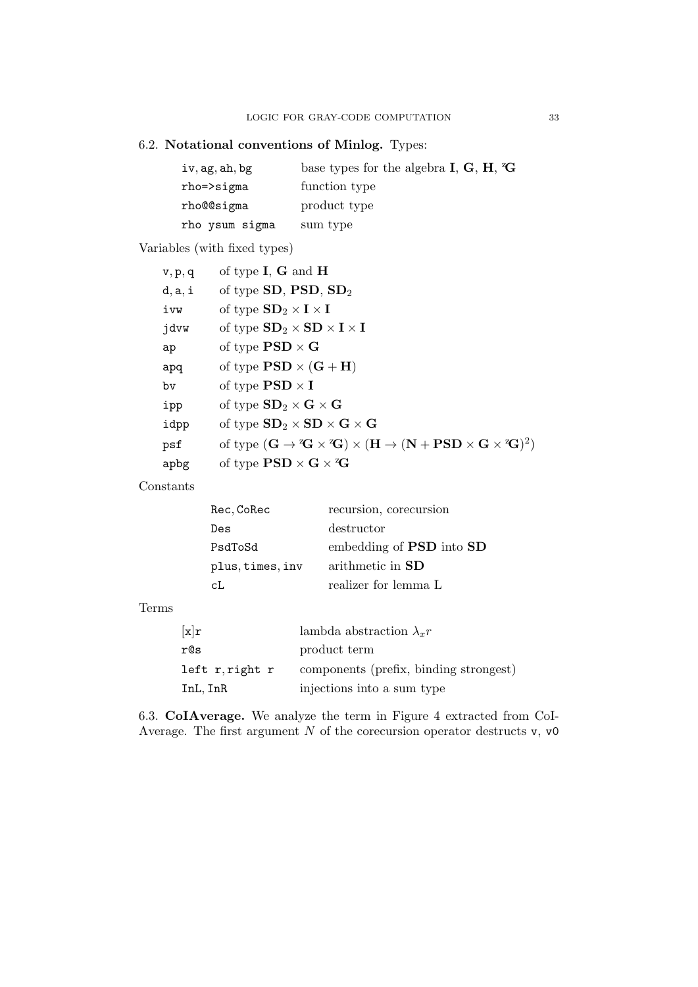# 6.2. Notational conventions of Minlog. Types:

| iv, ag, ah, bg | base types for the algebra $I, G, H, G$ |
|----------------|-----------------------------------------|
| $rho$ =>sigma  | function type                           |
| rho@@sigma     | product type                            |
| rho ysum sigma | sum type                                |

Variables (with fixed types)

| v, p, q | of type $I, G$ and $H$                                                                                                                                                                         |
|---------|------------------------------------------------------------------------------------------------------------------------------------------------------------------------------------------------|
| d, a, i | of type $SD$ , $PSD$ , $SD2$                                                                                                                                                                   |
| ivw     | of type $SD_2 \times I \times I$                                                                                                                                                               |
| jdvw    | of type $SD_2 \times SD \times I \times I$                                                                                                                                                     |
| ap      | of type $PSD \times G$                                                                                                                                                                         |
| apq     | of type $PSD \times (G + H)$                                                                                                                                                                   |
| bv      | of type $PSD \times I$                                                                                                                                                                         |
| ipp     | of type $SD_2 \times G \times G$                                                                                                                                                               |
| idpp    | of type $SD_2 \times SD \times G \times G$                                                                                                                                                     |
| psf     | of type $(\mathbf{G} \to {}^{\mathbf{z}}\mathbf{G} \times {}^{\mathbf{z}}\mathbf{G}) \times (\mathbf{H} \to (\mathbf{N} + \mathbf{PSD} \times \mathbf{G} \times {}^{\mathbf{z}}\mathbf{G})^2)$ |
| apbg    | of type $PSD \times G \times G$                                                                                                                                                                |

Constants

| Rec, CoRec       | recursion, corecursion                 |
|------------------|----------------------------------------|
| Des              | destructor                             |
| PsdToSd          | embedding of <b>PSD</b> into <b>SD</b> |
| plus, times, inv | arithmetic in <b>SD</b>                |
| cI.              | realizer for lemma L                   |

# Terms

| $\lceil \texttt{x} \rceil \texttt{r}$ | lambda abstraction $\lambda_r r$       |
|---------------------------------------|----------------------------------------|
| r@s                                   | product term                           |
| left r,right r                        | components (prefix, binding strongest) |
| InL, InR                              | injections into a sum type             |

6.3. CoIAverage. We analyze the term in Figure 4 extracted from CoI-Average. The first argument  $N$  of the corecursion operator destructs  $v$ ,  $v0$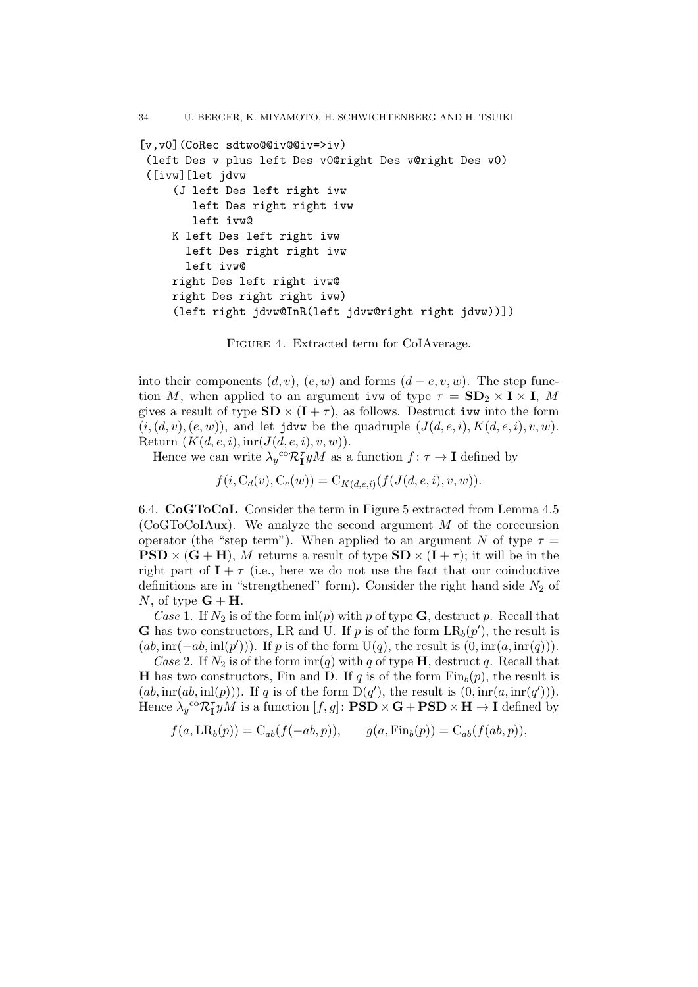```
[v,v0](CoRec sdtwo@@iv@@iv=>iv)
 (left Des v plus left Des v0@right Des v@right Des v0)
 ([ivw][let jdvw
     (J left Des left right ivw
       left Des right right ivw
       left ivw@
    K left Des left right ivw
      left Des right right ivw
      left ivw@
     right Des left right ivw@
     right Des right right ivw)
     (left right jdvw@InR(left jdvw@right right jdvw))])
```
Figure 4. Extracted term for CoIAverage.

into their components  $(d, v)$ ,  $(e, w)$  and forms  $(d + e, v, w)$ . The step function M, when applied to an argument ivw of type  $\tau = SD_2 \times I \times I$ , M gives a result of type  $SD \times (I + \tau)$ , as follows. Destruct ivw into the form  $(i, (d, v), (e, w))$ , and let jdvw be the quadruple  $(J(d, e, i), K(d, e, i), v, w)$ . Return  $(K(d, e, i), \text{inr}(J(d, e, i), v, w)).$ 

Hence we can write  $\lambda_y^{\text{co}} \mathcal{R}_{\mathbf{I}}^{\tau} yM$  as a function  $f: \tau \to \mathbf{I}$  defined by

 $f(i, C_d(v), C_e(w)) = C_{K(d,e,i)}(f(J(d,e,i), v, w)).$ 

6.4. CoGToCoI. Consider the term in Figure 5 extracted from Lemma 4.5 (CoGToCoIAux). We analyze the second argument  $M$  of the corecursion operator (the "step term"). When applied to an argument N of type  $\tau =$  $PSD \times (G + H)$ , M returns a result of type  $SD \times (I + \tau)$ ; it will be in the right part of  $I + \tau$  (i.e., here we do not use the fact that our coinductive definitions are in "strengthened" form). Consider the right hand side  $N_2$  of N, of type  $G + H$ .

Case 1. If  $N_2$  is of the form inl(p) with p of type **G**, destruct p. Recall that **G** has two constructors, LR and U. If p is of the form  $LR_b(p')$ , the result is  $(ab, \text{im}(-ab, \text{inl}(p')))$ . If p is of the form  $U(q)$ , the result is  $(0, \text{im}(a, \text{im}(q)))$ .

Case 2. If  $N_2$  is of the form  $\text{im}(q)$  with q of type **H**, destruct q. Recall that **H** has two constructors, Fin and D. If q is of the form  $\text{Fin}_{b}(p)$ , the result is  $(ab, \text{im}(ab, \text{inl}(p)))$ . If q is of the form  $D(q')$ , the result is  $(0, \text{im}(a, \text{im}(q')))$ . Hence  $\lambda_y^{\text{co}} \mathcal{R}_1^{\tau} y M$  is a function  $[f, g] \colon \textbf{PSD} \times \textbf{G} + \textbf{PSD} \times \textbf{H} \to \textbf{I}$  defined by

$$
f(a, \operatorname{LR}_b(p)) = \operatorname{C}_{ab}(f(-ab, p)), \qquad g(a, \operatorname{Fin}_b(p)) = \operatorname{C}_{ab}(f(ab, p)),
$$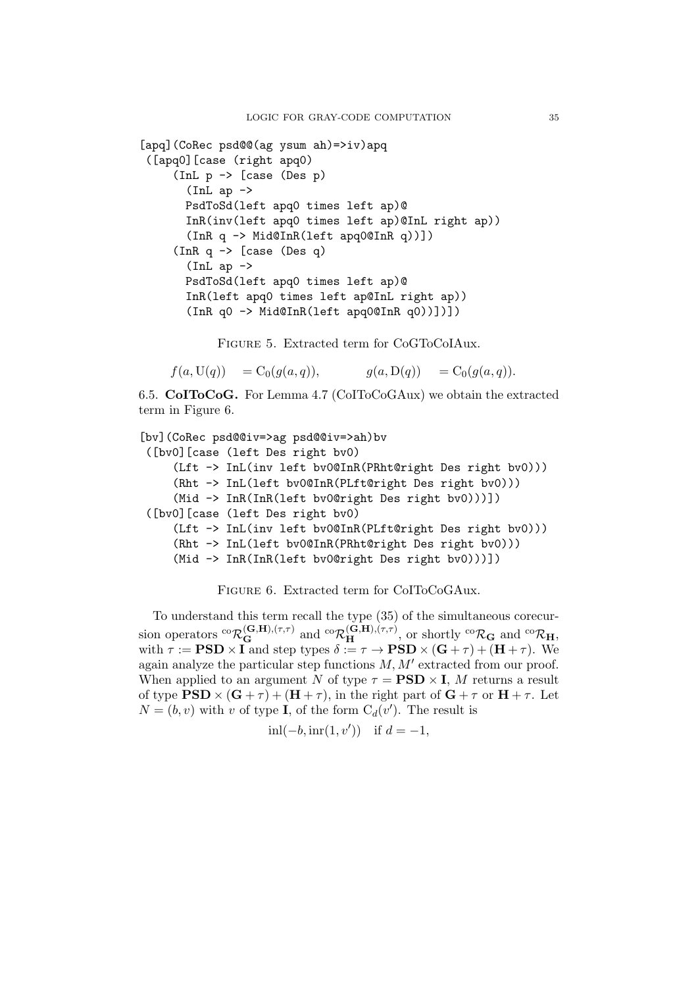```
[apq](CoRec psd@@(ag ysum ah)=>iv)apq
 ([apq0][case (right apq0)
     (InL p -> [case (Des p)
       (Int ap \rightarrowPsdToSd(left apq0 times left ap)@
       InR(inv(left apq0 times left ap)@InL right ap))
       (InR q -> Mid@InR(left apq0@InR q))])
     (InR q \rightarrow [case (Des q)
       (Int ap \rightarrowPsdToSd(left apq0 times left ap)@
       InR(left apq0 times left ap@InL right ap))
       (InR q0 -> Mid@InR(left apq0@InR q0))])])
```
Figure 5. Extracted term for CoGToCoIAux.

 $f(a, U(q)) = C_0(g(a, q)), \qquad g(a, D(q)) = C_0(g(a, q)).$ 

6.5. CoIToCoG. For Lemma 4.7 (CoIToCoGAux) we obtain the extracted term in Figure 6.

```
[bv](CoRec psd@@iv=>ag psd@@iv=>ah)bv
 ([bv0][case (left Des right bv0)
     (Lft -> InL(inv left bv0@InR(PRht@right Des right bv0)))
     (Rht -> InL(left bv0@InR(PLft@right Des right bv0)))
     (Mid -> InR(InR(left bv0@right Des right bv0)))])
 ([bv0][case (left Des right bv0)
    (Lft -> InL(inv left bv0@InR(PLft@right Des right bv0)))
    (Rht -> InL(left bv0@InR(PRht@right Des right bv0)))
     (Mid -> InR(InR(left bv0@right Des right bv0)))])
```
Figure 6. Extracted term for CoIToCoGAux.

To understand this term recall the type (35) of the simultaneous corecursion operators  ${}^{co}\mathcal{R}^{(\mathbf{G},\mathbf{H}),(\tau,\tau)}_{\mathbf{G}}$  and  ${}^{co}\mathcal{R}^{(\mathbf{G},\mathbf{H}),(\tau,\tau)}_{\mathbf{H}}$ , or shortly  ${}^{co}\mathcal{R}_{\mathbf{G}}$  and  ${}^{co}\mathcal{R}_{\mathbf{H}}$ , with  $\tau := \text{PSD} \times I$  and step types  $\delta := \tau \to \text{PSD} \times (\text{G} + \tau) + (\text{H} + \tau)$ . We again analyze the particular step functions  $M, M'$  extracted from our proof. When applied to an argument N of type  $\tau = \text{PSD} \times I$ , M returns a result of type  $PSD \times (G + \tau) + (H + \tau)$ , in the right part of  $G + \tau$  or  $H + \tau$ . Let  $N = (b, v)$  with v of type **I**, of the form  $C_d(v')$ . The result is

$$
inl(-b, \text{inr}(1, v'))
$$
 if  $d = -1$ ,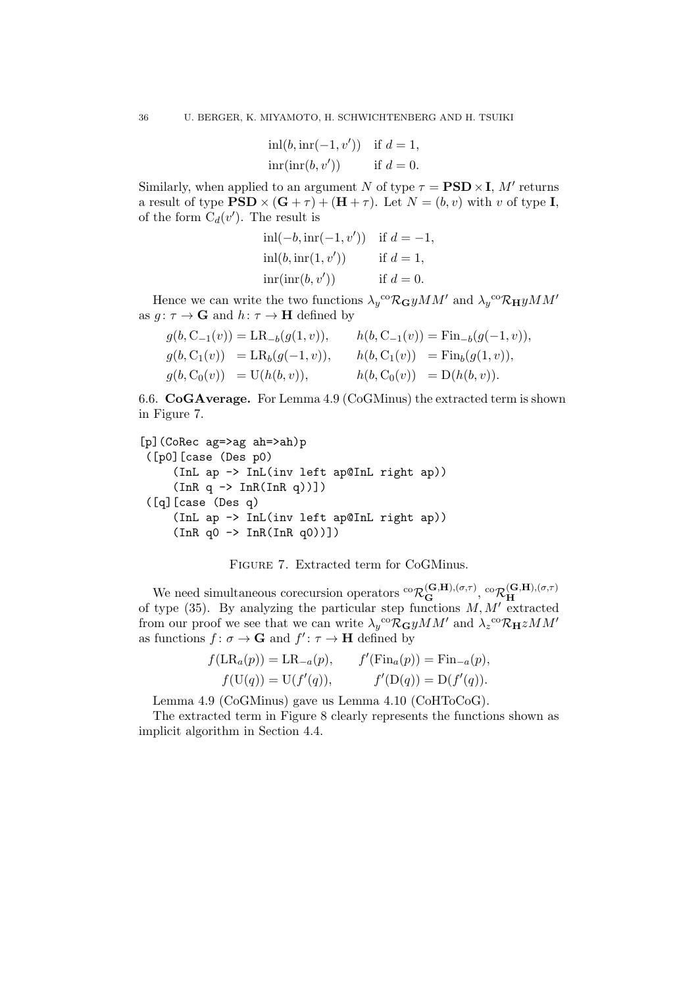$$
inl(b, \operatorname{inr}(-1, v')) \quad \text{if } d = 1,
$$
  

$$
\operatorname{inr}(\operatorname{inr}(b, v')) \qquad \text{if } d = 0.
$$

Similarly, when applied to an argument N of type  $\tau = \text{PSD} \times I$ , M' returns a result of type  $\text{PSD} \times (\textbf{G} + \tau) + (\textbf{H} + \tau)$ . Let  $N = (b, v)$  with v of type I, of the form  $C_d(v')$ . The result is

inl(
$$
-b
$$
, inr( $-1$ , v')) if  $d = -1$ ,  
inl( $b$ , inr( $1$ , v')) if  $d = 1$ ,  
inr(inr( $b$ , v')) if  $d = 0$ .

Hence we can write the two functions  $\lambda_y^{\text{co}} \mathcal{R}_{\mathbf{G}} yMM'$  and  $\lambda_y^{\text{co}} \mathcal{R}_{\mathbf{H}} yMM'$ as  $g: \tau \to \mathbf{G}$  and  $h: \tau \to \mathbf{H}$  defined by

$$
g(b, C_{-1}(v)) = LR_{-b}(g(1, v)), \t h(b, C_{-1}(v)) = Fin_{-b}(g(-1, v)),
$$
  
\n
$$
g(b, C_{1}(v)) = LR_{b}(g(-1, v)), \t h(b, C_{1}(v)) = Fin_{b}(g(1, v)),
$$
  
\n
$$
g(b, C_{0}(v)) = U(h(b, v)), \t h(b, C_{0}(v)) = D(h(b, v)).
$$

6.6. CoGAverage. For Lemma 4.9 (CoGMinus) the extracted term is shown in Figure 7.

```
[p](CoRec ag=>ag ah=>ah)p
([p0][case (Des p0)
     (InL ap -> InL(inv left ap@InL right ap))
     (InR q \rightarrow InR(InR q))])([q][case (Des q)
     (InL ap -> InL(inv left ap@InL right ap))
     (InR q0 \rightarrow InR(InR q0))]
```


We need simultaneous corecursion operators  ${}^{co}\mathcal{R}_G^{(G,H),(\sigma,\tau)}$ ,  ${}^{co}\mathcal{R}_H^{(G,H),(\sigma,\tau)}$ H of type  $(35)$ . By analyzing the particular step functions M, M' extracted from our proof we see that we can write  $\lambda_y{}^{co}\mathcal{R}_{\mathbf{G}} yMM'$  and  $\lambda_z{}^{co}\mathcal{R}_{\mathbf{H}} zMM'$ as functions  $f: \sigma \to \mathbf{G}$  and  $f': \tau \to \mathbf{H}$  defined by

$$
f(LR_a(p)) = LR_{-a}(p),
$$
  $f'(Fin_a(p)) = Fin_{-a}(p),$   
\n $f(U(q)) = U(f'(q)),$   $f'(D(q)) = D(f'(q)).$ 

Lemma 4.9 (CoGMinus) gave us Lemma 4.10 (CoHToCoG).

The extracted term in Figure 8 clearly represents the functions shown as implicit algorithm in Section 4.4.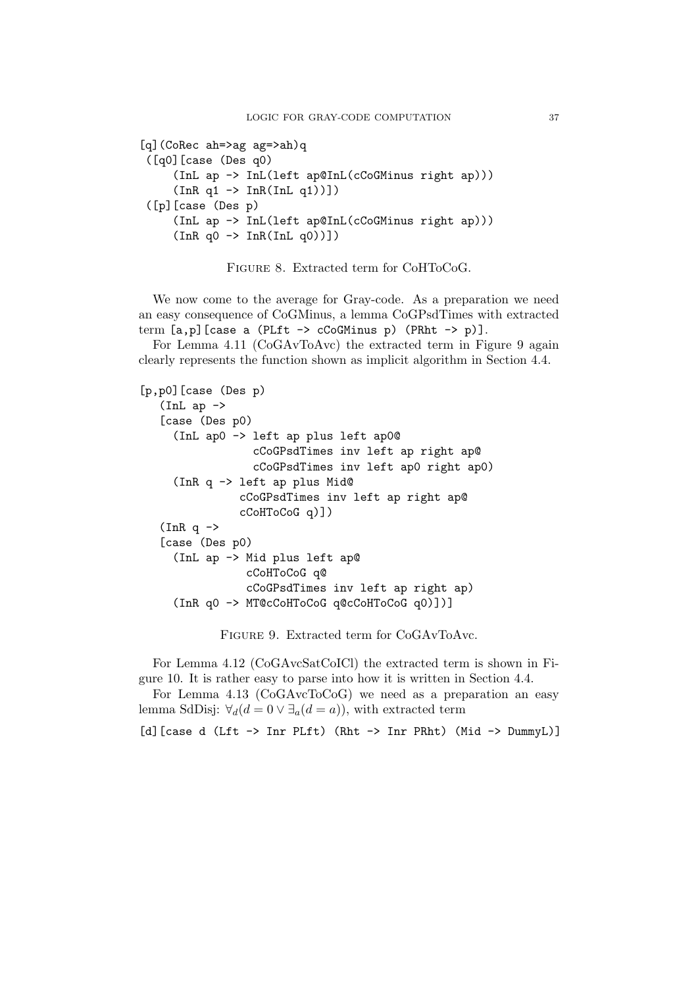```
[q](CoRec ah=>ag ag=>ah)q
 ([q0][case (Des q0)
     (InL ap -> InL(left ap@InL(cCoGMinus right ap)))
     (InR q1 \rightarrow InR(InL q1))]([p][case (Des p)
     (InL ap -> InL(left ap@InL(cCoGMinus right ap)))
     (InR q0 \rightarrow InR(InL q0))]
```
Figure 8. Extracted term for CoHToCoG.

We now come to the average for Gray-code. As a preparation we need an easy consequence of CoGMinus, a lemma CoGPsdTimes with extracted term  $[a, p]$  [case a (PLft  $\rightarrow$  cCoGMinus p) (PRht  $\rightarrow$  p)].

For Lemma 4.11 (CoGAvToAvc) the extracted term in Figure 9 again clearly represents the function shown as implicit algorithm in Section 4.4.

```
[p,p0][case (Des p)
  (Inta)[case (Des p0)
     (InL ap0 -> left ap plus left ap0@
                 cCoGPsdTimes inv left ap right ap@
                 cCoGPsdTimes inv left ap0 right ap0)
     (InR q -> left ap plus Mid@
               cCoGPsdTimes inv left ap right ap@
               cCoHToCoG q)])
   (InR q \rightarrow[case (Des p0)
     (InL ap -> Mid plus left ap@
                cCoHToCoG q@
                cCoGPsdTimes inv left ap right ap)
     (InR q0 -> MT@cCoHToCoG q@cCoHToCoG q0)])]
```
Figure 9. Extracted term for CoGAvToAvc.

For Lemma 4.12 (CoGAvcSatCoICl) the extracted term is shown in Figure 10. It is rather easy to parse into how it is written in Section 4.4.

For Lemma 4.13 (CoGAvcToCoG) we need as a preparation an easy lemma SdDisj:  $\forall_d(d=0 \vee \exists_a(d=a))$ , with extracted term

```
[d][case d (Lft -> Inr PLft) (Rht -> Inr PRht) (Mid -> DummyL)]
```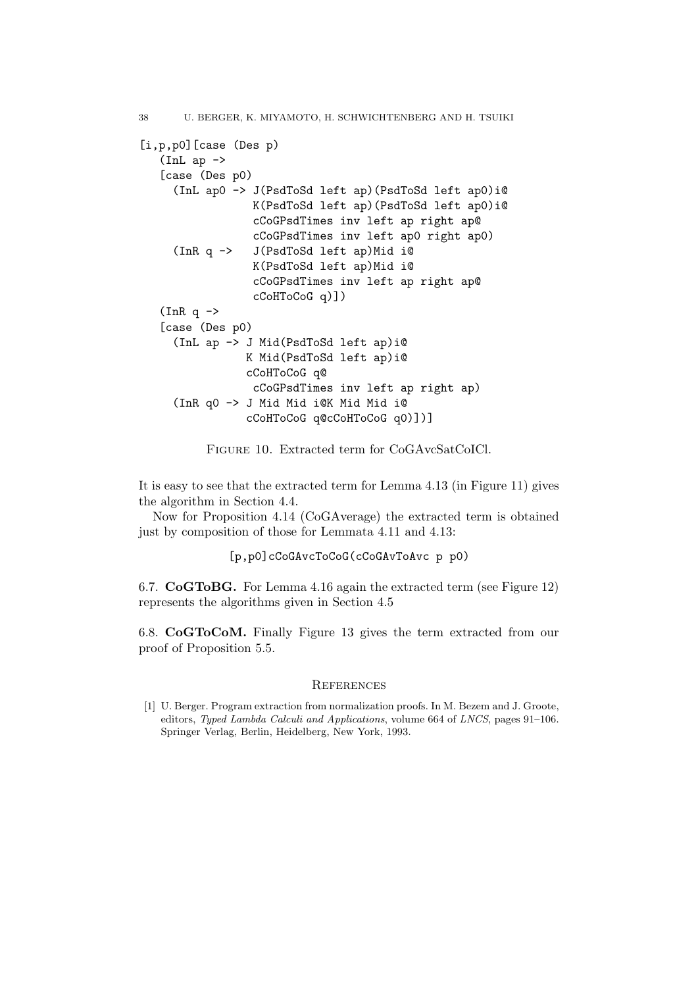```
38 U. BERGER, K. MIYAMOTO, H. SCHWICHTENBERG AND H. TSUIKI
[i,p,p0][case (Des p)
   (Inta)[case (Des p0)
     (InL ap0 -> J(PsdToSd left ap)(PsdToSd left ap0)i@
                 K(PsdToSd left ap)(PsdToSd left ap0)i@
                 cCoGPsdTimes inv left ap right ap@
                 cCoGPsdTimes inv left ap0 right ap0)
     (InR q -> J(PsdToSd left ap)Mid i@
                 K(PsdToSd left ap)Mid i@
                 cCoGPsdTimes inv left ap right ap@
                 cCoHToCoG q)])
   (InR q \rightarrow[case (Des p0)
     (InL ap -> J Mid(PsdToSd left ap)i@
                K Mid(PsdToSd left ap)i@
                cCoHToCoG q@
                 cCoGPsdTimes inv left ap right ap)
     (InR q0 -> J Mid Mid i@K Mid Mid i@
                cCoHToCoG q@cCoHToCoG q0)])]
```
Figure 10. Extracted term for CoGAvcSatCoICl.

It is easy to see that the extracted term for Lemma 4.13 (in Figure 11) gives the algorithm in Section 4.4.

Now for Proposition 4.14 (CoGAverage) the extracted term is obtained just by composition of those for Lemmata 4.11 and 4.13:

```
[p,p0]cCoGAvcToCoG(cCoGAvToAvc p p0)
```
6.7. CoGToBG. For Lemma 4.16 again the extracted term (see Figure 12) represents the algorithms given in Section 4.5

6.8. CoGToCoM. Finally Figure 13 gives the term extracted from our proof of Proposition 5.5.

### **REFERENCES**

[1] U. Berger. Program extraction from normalization proofs. In M. Bezem and J. Groote, editors, Typed Lambda Calculi and Applications, volume 664 of LNCS, pages 91–106. Springer Verlag, Berlin, Heidelberg, New York, 1993.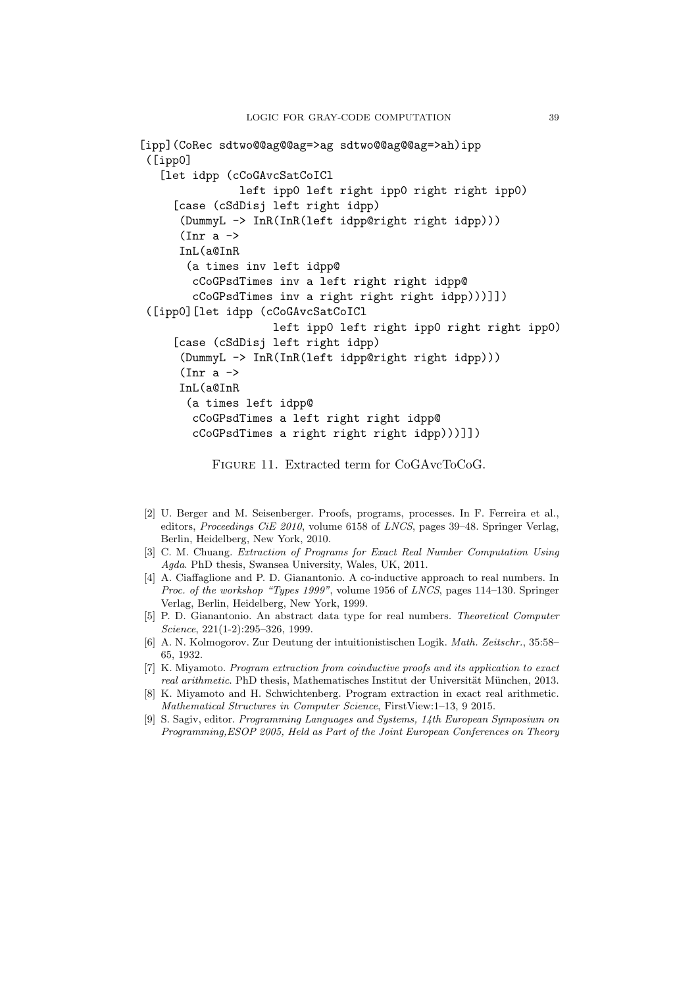```
[ipp](CoRec sdtwo@@ag@@ag=>ag sdtwo@@ag@@ag=>ah)ipp
 ([ipp0]
   [let idpp (cCoGAvcSatCoICl
               left ipp0 left right ipp0 right right ipp0)
     [case (cSdDisj left right idpp)
      (DummyL -> InR(InR(left idpp@right right idpp)))
      (Inr a \rightarrowInL(a@InR
       (a times inv left idpp@
        cCoGPsdTimes inv a left right right idpp@
        cCoGPsdTimes inv a right right right idpp)))]])
 ([ipp0][let idpp (cCoGAvcSatCoICl
                    left ipp0 left right ipp0 right right ipp0)
     [case (cSdDisj left right idpp)
      (DummyL -> InR(InR(left idpp@right right idpp)))
      (Inr a \rightarrowInL(a@InR
       (a times left idpp@
        cCoGPsdTimes a left right right idpp@
        cCoGPsdTimes a right right right idpp)))]])
```
Figure 11. Extracted term for CoGAvcToCoG.

- [2] U. Berger and M. Seisenberger. Proofs, programs, processes. In F. Ferreira et al., editors, Proceedings CiE 2010, volume 6158 of LNCS, pages 39–48. Springer Verlag, Berlin, Heidelberg, New York, 2010.
- [3] C. M. Chuang. Extraction of Programs for Exact Real Number Computation Using Agda. PhD thesis, Swansea University, Wales, UK, 2011.
- [4] A. Ciaffaglione and P. D. Gianantonio. A co-inductive approach to real numbers. In Proc. of the workshop "Types 1999", volume 1956 of LNCS, pages 114–130. Springer Verlag, Berlin, Heidelberg, New York, 1999.
- [5] P. D. Gianantonio. An abstract data type for real numbers. Theoretical Computer Science, 221(1-2):295–326, 1999.
- [6] A. N. Kolmogorov. Zur Deutung der intuitionistischen Logik. Math. Zeitschr., 35:58– 65, 1932.
- [7] K. Miyamoto. Program extraction from coinductive proofs and its application to exact real arithmetic. PhD thesis, Mathematisches Institut der Universität München, 2013.
- [8] K. Miyamoto and H. Schwichtenberg. Program extraction in exact real arithmetic. Mathematical Structures in Computer Science, FirstView:1–13, 9 2015.
- [9] S. Sagiv, editor. Programming Languages and Systems, 14th European Symposium on Programming,ESOP 2005, Held as Part of the Joint European Conferences on Theory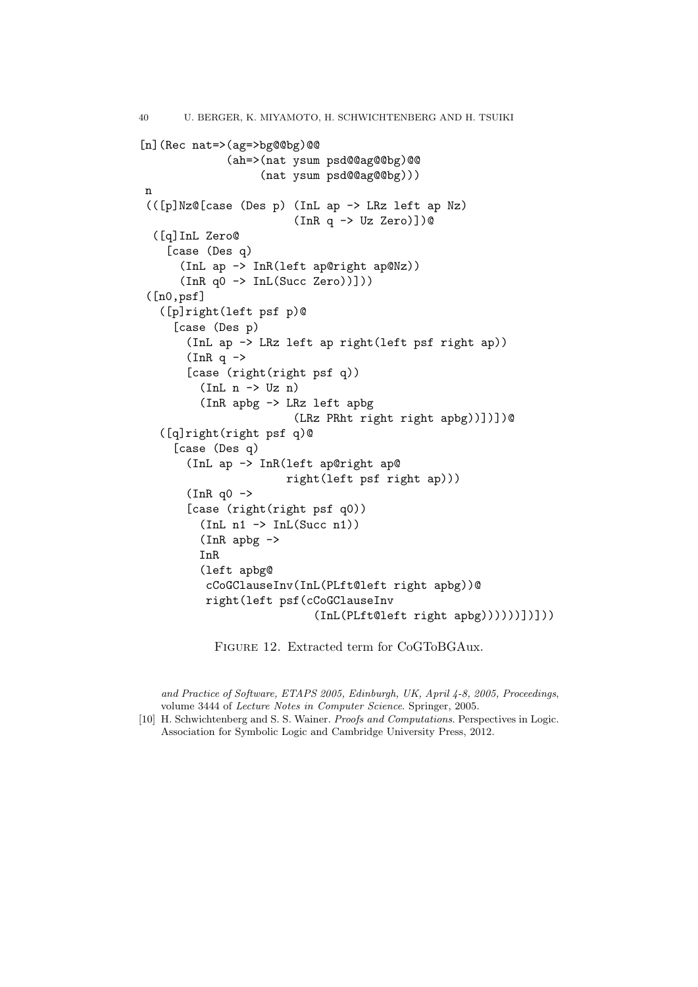```
40 U. BERGER, K. MIYAMOTO, H. SCHWICHTENBERG AND H. TSUIKI
[n](Rec nat=>(ag=>bg@@bg)@@
              (ah=>(nat ysum psd@@ag@@bg)@@
                   (nat ysum psd@@ag@@bg)))
n
 (([p]Nz@[case (Des p) (InL ap -> LRz left ap Nz)
                         (InR q \rightarrow Uz \text{ Zero})])
  ([q]InL Zero@
    [case (Des q)
      (InL ap -> InR(left ap@right ap@Nz))
      (InR q0 -> InL(Succ Zero))]))
 ([n0,psf]
   ([p]right(left psf p)@
     [case (Des p)
       (InL ap -> LRz left ap right(left psf right ap))
       (InR q \rightarrow[case (right(right psf q))
         (Int n \rightarrow Uz n)(InR apbg -> LRz left apbg
                         (LRz PRht right right apbg))])])@
   ([q]right(right psf q)@
     [case (Des q)
       (InL ap -> InR(left ap@right ap@
                       right(left psf right ap)))
       (InR q0 ->
       [case (right(right psf q0))
         (InL n1 \rightarrow InL(Succ n1))(InR apbg ->
         InR
         (left apbg@
          cCoGClauseInv(InL(PLft@left right apbg))@
          right(left psf(cCoGClauseInv
                            (InL(PLft@left right apbg))))))])]))
```
Figure 12. Extracted term for CoGToBGAux.

and Practice of Software, ETAPS 2005, Edinburgh, UK, April 4-8, 2005, Proceedings, volume 3444 of Lecture Notes in Computer Science. Springer, 2005.

[10] H. Schwichtenberg and S. S. Wainer. Proofs and Computations. Perspectives in Logic. Association for Symbolic Logic and Cambridge University Press, 2012.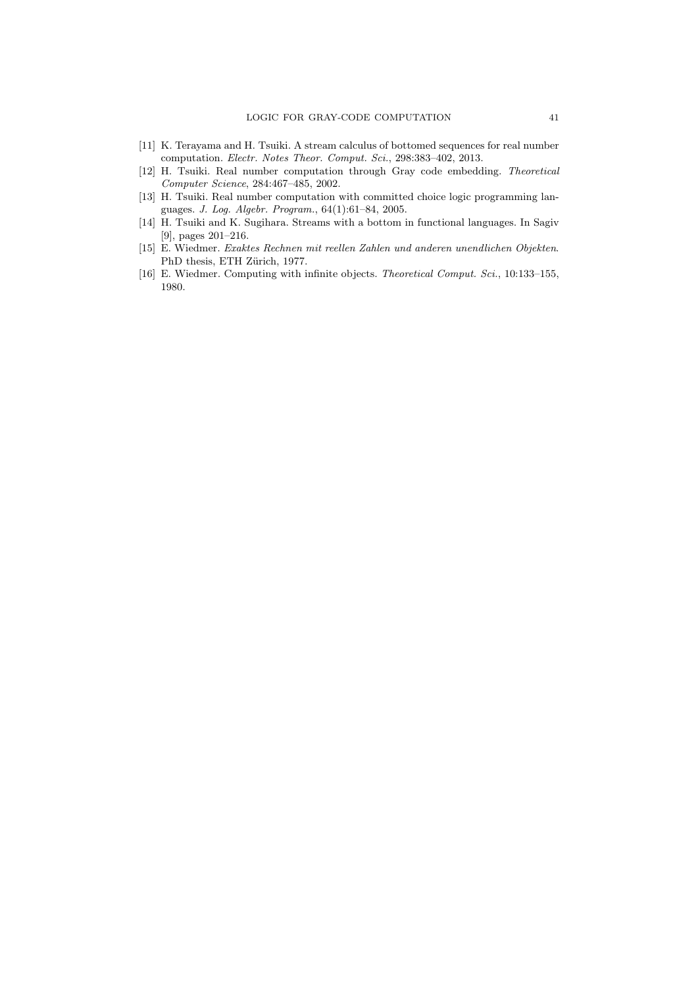- [11] K. Terayama and H. Tsuiki. A stream calculus of bottomed sequences for real number computation. Electr. Notes Theor. Comput. Sci., 298:383–402, 2013.
- [12] H. Tsuiki. Real number computation through Gray code embedding. Theoretical Computer Science, 284:467–485, 2002.
- [13] H. Tsuiki. Real number computation with committed choice logic programming languages. J. Log. Algebr. Program., 64(1):61–84, 2005.
- [14] H. Tsuiki and K. Sugihara. Streams with a bottom in functional languages. In Sagiv [9], pages 201–216.
- [15] E. Wiedmer. Exaktes Rechnen mit reellen Zahlen und anderen unendlichen Objekten. PhD thesis, ETH Zürich, 1977.
- [16] E. Wiedmer. Computing with infinite objects. Theoretical Comput. Sci., 10:133–155, 1980.